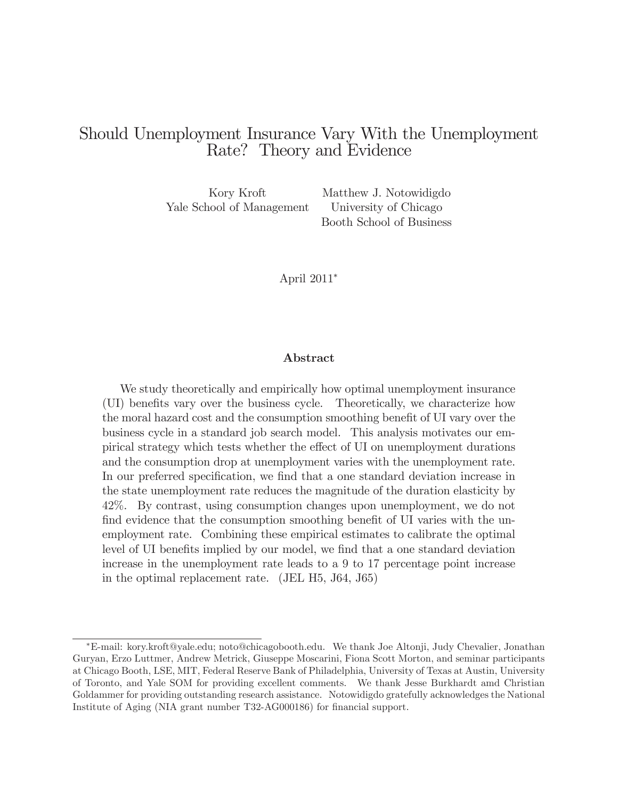# Should Unemployment Insurance Vary With the Unemployment Rate? Theory and Evidence

Yale School of Management University of Chicago

Kory Kroft Matthew J. Notowidigdo Booth School of Business

April 2011<sup>∗</sup>

#### Abstract

We study theoretically and empirically how optimal unemployment insurance (UI) benefits vary over the business cycle. Theoretically, we characterize how the moral hazard cost and the consumption smoothing benefit of UI vary over the business cycle in a standard job search model. This analysis motivates our empirical strategy which tests whether the effect of UI on unemployment durations and the consumption drop at unemployment varies with the unemployment rate. In our preferred specification, we find that a one standard deviation increase in the state unemployment rate reduces the magnitude of the duration elasticity by 42%. By contrast, using consumption changes upon unemployment, we do not find evidence that the consumption smoothing benefit of UI varies with the unemployment rate. Combining these empirical estimates to calibrate the optimal level of UI benefits implied by our model, we find that a one standard deviation increase in the unemployment rate leads to a 9 to 17 percentage point increase in the optimal replacement rate. (JEL H5, J64, J65)

<sup>∗</sup>E-mail: kory.kroft@yale.edu; noto@chicagobooth.edu. We thank Joe Altonji, Judy Chevalier, Jonathan Guryan, Erzo Luttmer, Andrew Metrick, Giuseppe Moscarini, Fiona Scott Morton, and seminar participants at Chicago Booth, LSE, MIT, Federal Reserve Bank of Philadelphia, University of Texas at Austin, University of Toronto, and Yale SOM for providing excellent comments. We thank Jesse Burkhardt amd Christian Goldammer for providing outstanding research assistance. Notowidigdo gratefully acknowledges the National Institute of Aging (NIA grant number T32-AG000186) for financial support.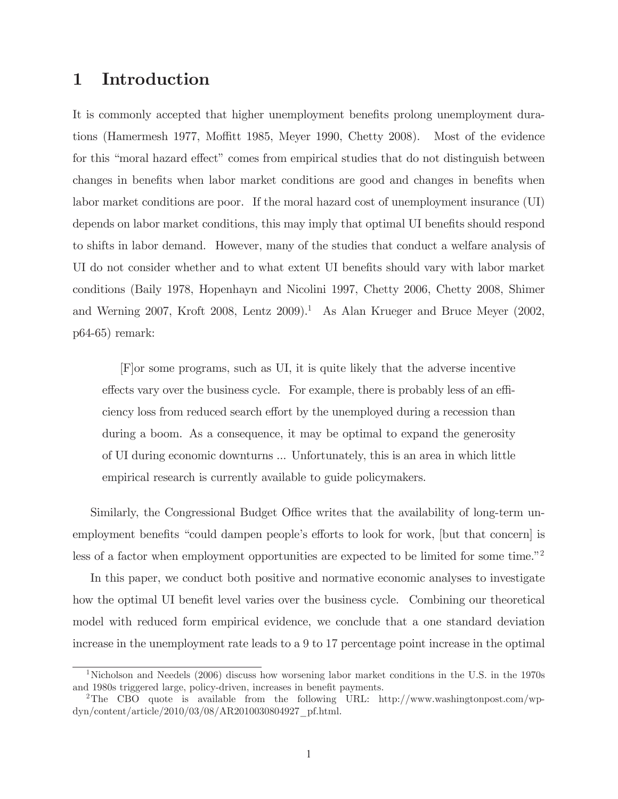# 1 Introduction

It is commonly accepted that higher unemployment benefits prolong unemployment durations (Hamermesh 1977, Moffitt 1985, Meyer 1990, Chetty 2008). Most of the evidence for this "moral hazard effect" comes from empirical studies that do not distinguish between changes in benefits when labor market conditions are good and changes in benefits when labor market conditions are poor. If the moral hazard cost of unemployment insurance (UI) depends on labor market conditions, this may imply that optimal UI benefits should respond to shifts in labor demand. However, many of the studies that conduct a welfare analysis of UI do not consider whether and to what extent UI benefits should vary with labor market conditions (Baily 1978, Hopenhayn and Nicolini 1997, Chetty 2006, Chetty 2008, Shimer and Werning 2007, Kroft 2008, Lentz 2009).<sup>1</sup> As Alan Krueger and Bruce Meyer (2002, p64-65) remark:

[F]or some programs, such as UI, it is quite likely that the adverse incentive effects vary over the business cycle. For example, there is probably less of an efficiency loss from reduced search effort by the unemployed during a recession than during a boom. As a consequence, it may be optimal to expand the generosity of UI during economic downturns ... Unfortunately, this is an area in which little empirical research is currently available to guide policymakers.

Similarly, the Congressional Budget Office writes that the availability of long-term unemployment benefits "could dampen people's efforts to look for work, [but that concern] is less of a factor when employment opportunities are expected to be limited for some time."2

In this paper, we conduct both positive and normative economic analyses to investigate how the optimal UI benefit level varies over the business cycle. Combining our theoretical model with reduced form empirical evidence, we conclude that a one standard deviation increase in the unemployment rate leads to a 9 to 17 percentage point increase in the optimal

<sup>1</sup>Nicholson and Needels (2006) discuss how worsening labor market conditions in the U.S. in the 1970s and 1980s triggered large, policy-driven, increases in benefit payments.

<sup>&</sup>lt;sup>2</sup>The CBO quote is available from the following URL: http://www.washingtonpost.com/wpdyn/content/article/2010/03/08/AR2010030804927\_pf.html.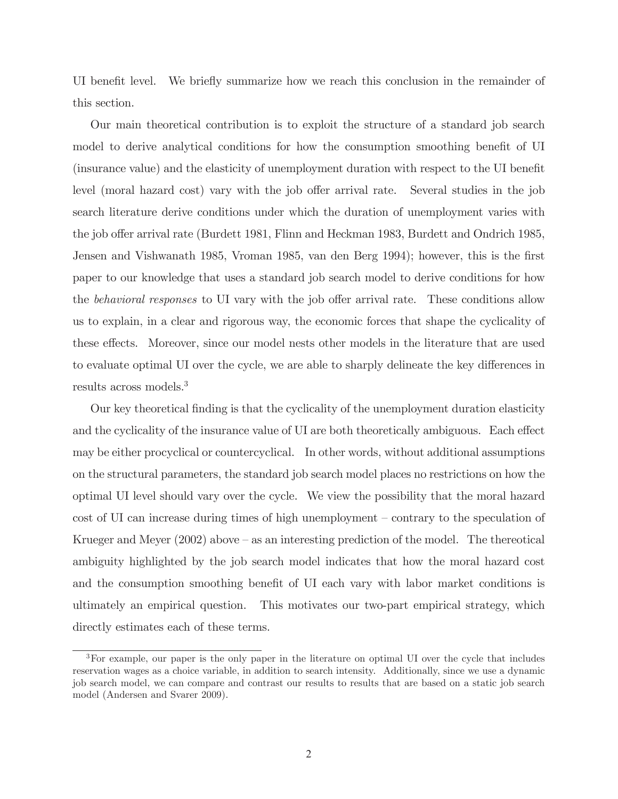UI benefit level. We briefly summarize how we reach this conclusion in the remainder of this section.

Our main theoretical contribution is to exploit the structure of a standard job search model to derive analytical conditions for how the consumption smoothing benefit of UI (insurance value) and the elasticity of unemployment duration with respect to the UI benefit level (moral hazard cost) vary with the job offer arrival rate. Several studies in the job search literature derive conditions under which the duration of unemployment varies with the job offer arrival rate (Burdett 1981, Flinn and Heckman 1983, Burdett and Ondrich 1985, Jensen and Vishwanath 1985, Vroman 1985, van den Berg 1994); however, this is the first paper to our knowledge that uses a standard job search model to derive conditions for how the behavioral responses to UI vary with the job offer arrival rate. These conditions allow us to explain, in a clear and rigorous way, the economic forces that shape the cyclicality of these effects. Moreover, since our model nests other models in the literature that are used to evaluate optimal UI over the cycle, we are able to sharply delineate the key differences in results across models.<sup>3</sup>

Our key theoretical finding is that the cyclicality of the unemployment duration elasticity and the cyclicality of the insurance value of UI are both theoretically ambiguous. Each effect may be either procyclical or countercyclical. In other words, without additional assumptions on the structural parameters, the standard job search model places no restrictions on how the optimal UI level should vary over the cycle. We view the possibility that the moral hazard cost of UI can increase during times of high unemployment — contrary to the speculation of Krueger and Meyer (2002) above — as an interesting prediction of the model. The thereotical ambiguity highlighted by the job search model indicates that how the moral hazard cost and the consumption smoothing benefit of UI each vary with labor market conditions is ultimately an empirical question. This motivates our two-part empirical strategy, which directly estimates each of these terms.

<sup>3</sup>For example, our paper is the only paper in the literature on optimal UI over the cycle that includes reservation wages as a choice variable, in addition to search intensity. Additionally, since we use a dynamic job search model, we can compare and contrast our results to results that are based on a static job search model (Andersen and Svarer 2009).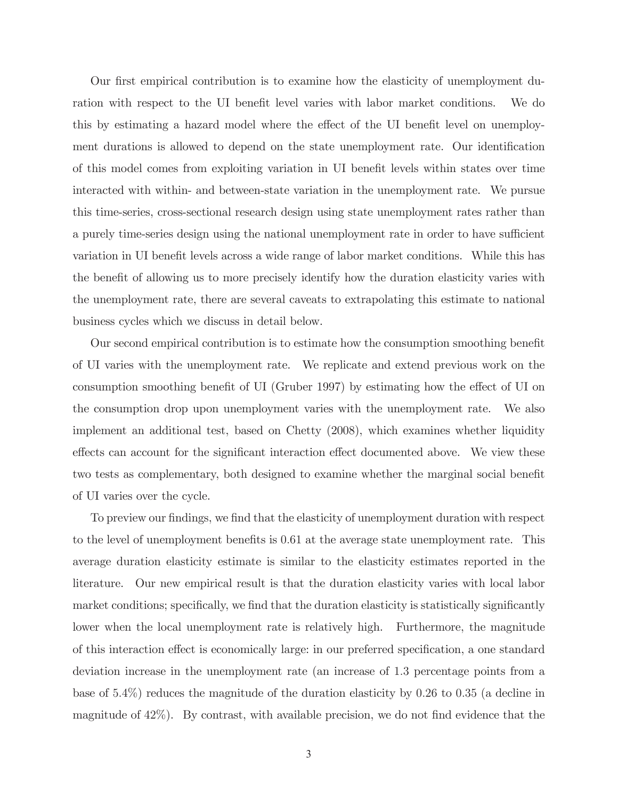Our first empirical contribution is to examine how the elasticity of unemployment duration with respect to the UI benefit level varies with labor market conditions. We do this by estimating a hazard model where the effect of the UI benefit level on unemployment durations is allowed to depend on the state unemployment rate. Our identification of this model comes from exploiting variation in UI benefit levels within states over time interacted with within- and between-state variation in the unemployment rate. We pursue this time-series, cross-sectional research design using state unemployment rates rather than a purely time-series design using the national unemployment rate in order to have sufficient variation in UI benefit levels across a wide range of labor market conditions. While this has the benefit of allowing us to more precisely identify how the duration elasticity varies with the unemployment rate, there are several caveats to extrapolating this estimate to national business cycles which we discuss in detail below.

Our second empirical contribution is to estimate how the consumption smoothing benefit of UI varies with the unemployment rate. We replicate and extend previous work on the consumption smoothing benefit of UI (Gruber 1997) by estimating how the effect of UI on the consumption drop upon unemployment varies with the unemployment rate. We also implement an additional test, based on Chetty (2008), which examines whether liquidity effects can account for the significant interaction effect documented above. We view these two tests as complementary, both designed to examine whether the marginal social benefit of UI varies over the cycle.

To preview our findings, we find that the elasticity of unemployment duration with respect to the level of unemployment benefits is 0.61 at the average state unemployment rate. This average duration elasticity estimate is similar to the elasticity estimates reported in the literature. Our new empirical result is that the duration elasticity varies with local labor market conditions; specifically, we find that the duration elasticity is statistically significantly lower when the local unemployment rate is relatively high. Furthermore, the magnitude of this interaction effect is economically large: in our preferred specification, a one standard deviation increase in the unemployment rate (an increase of 1.3 percentage points from a base of 5.4%) reduces the magnitude of the duration elasticity by 0.26 to 0.35 (a decline in magnitude of 42%). By contrast, with available precision, we do not find evidence that the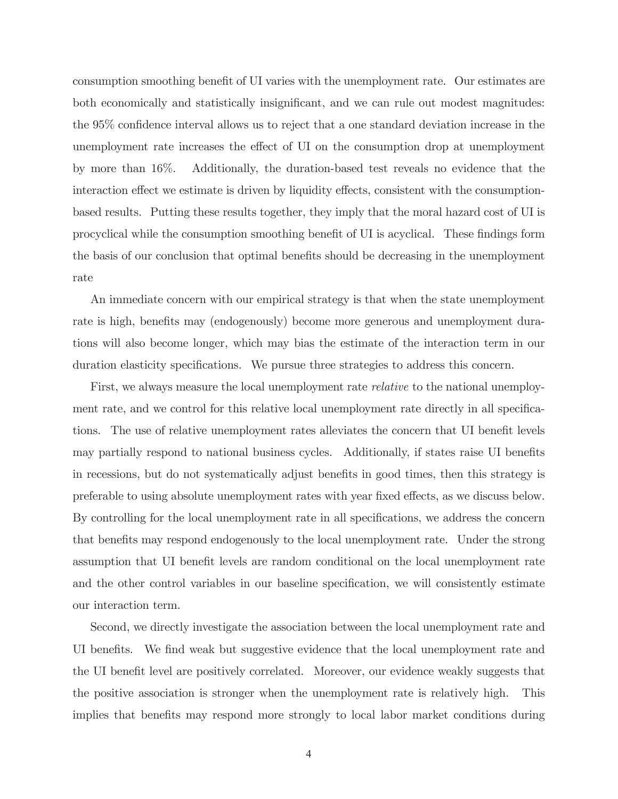consumption smoothing benefit of UI varies with the unemployment rate. Our estimates are both economically and statistically insignificant, and we can rule out modest magnitudes: the 95% confidence interval allows us to reject that a one standard deviation increase in the unemployment rate increases the effect of UI on the consumption drop at unemployment by more than 16%. Additionally, the duration-based test reveals no evidence that the interaction effect we estimate is driven by liquidity effects, consistent with the consumptionbased results. Putting these results together, they imply that the moral hazard cost of UI is procyclical while the consumption smoothing benefit of UI is acyclical. These findings form the basis of our conclusion that optimal benefits should be decreasing in the unemployment rate

An immediate concern with our empirical strategy is that when the state unemployment rate is high, benefits may (endogenously) become more generous and unemployment durations will also become longer, which may bias the estimate of the interaction term in our duration elasticity specifications. We pursue three strategies to address this concern.

First, we always measure the local unemployment rate *relative* to the national unemployment rate, and we control for this relative local unemployment rate directly in all specifications. The use of relative unemployment rates alleviates the concern that UI benefit levels may partially respond to national business cycles. Additionally, if states raise UI benefits in recessions, but do not systematically adjust benefits in good times, then this strategy is preferable to using absolute unemployment rates with year fixed effects, as we discuss below. By controlling for the local unemployment rate in all specifications, we address the concern that benefits may respond endogenously to the local unemployment rate. Under the strong assumption that UI benefit levels are random conditional on the local unemployment rate and the other control variables in our baseline specification, we will consistently estimate our interaction term.

Second, we directly investigate the association between the local unemployment rate and UI benefits. We find weak but suggestive evidence that the local unemployment rate and the UI benefit level are positively correlated. Moreover, our evidence weakly suggests that the positive association is stronger when the unemployment rate is relatively high. This implies that benefits may respond more strongly to local labor market conditions during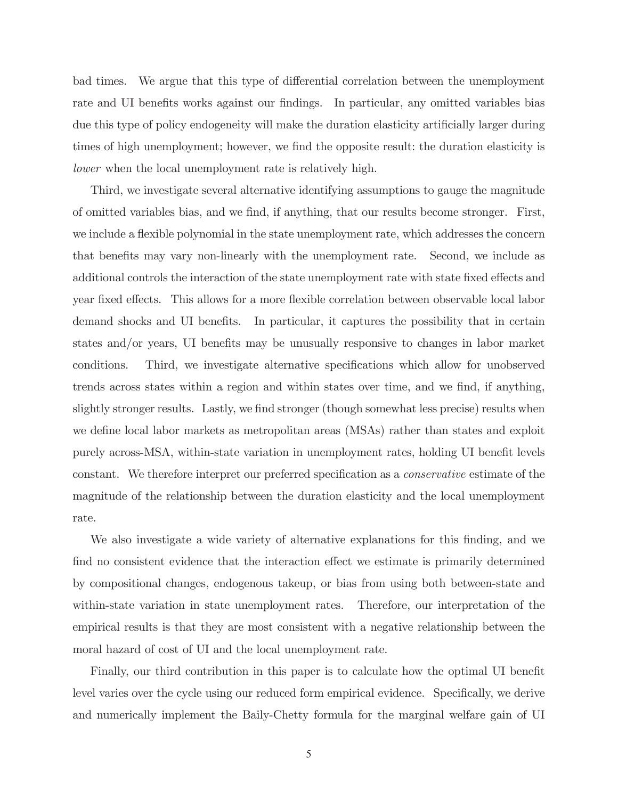bad times. We argue that this type of differential correlation between the unemployment rate and UI benefits works against our findings. In particular, any omitted variables bias due this type of policy endogeneity will make the duration elasticity artificially larger during times of high unemployment; however, we find the opposite result: the duration elasticity is lower when the local unemployment rate is relatively high.

Third, we investigate several alternative identifying assumptions to gauge the magnitude of omitted variables bias, and we find, if anything, that our results become stronger. First, we include a flexible polynomial in the state unemployment rate, which addresses the concern that benefits may vary non-linearly with the unemployment rate. Second, we include as additional controls the interaction of the state unemployment rate with state fixed effects and year fixed effects. This allows for a more flexible correlation between observable local labor demand shocks and UI benefits. In particular, it captures the possibility that in certain states and/or years, UI benefits may be unusually responsive to changes in labor market conditions. Third, we investigate alternative specifications which allow for unobserved trends across states within a region and within states over time, and we find, if anything, slightly stronger results. Lastly, we find stronger (though somewhat less precise) results when we define local labor markets as metropolitan areas (MSAs) rather than states and exploit purely across-MSA, within-state variation in unemployment rates, holding UI benefit levels constant. We therefore interpret our preferred specification as a conservative estimate of the magnitude of the relationship between the duration elasticity and the local unemployment rate.

We also investigate a wide variety of alternative explanations for this finding, and we find no consistent evidence that the interaction effect we estimate is primarily determined by compositional changes, endogenous takeup, or bias from using both between-state and within-state variation in state unemployment rates. Therefore, our interpretation of the empirical results is that they are most consistent with a negative relationship between the moral hazard of cost of UI and the local unemployment rate.

Finally, our third contribution in this paper is to calculate how the optimal UI benefit level varies over the cycle using our reduced form empirical evidence. Specifically, we derive and numerically implement the Baily-Chetty formula for the marginal welfare gain of UI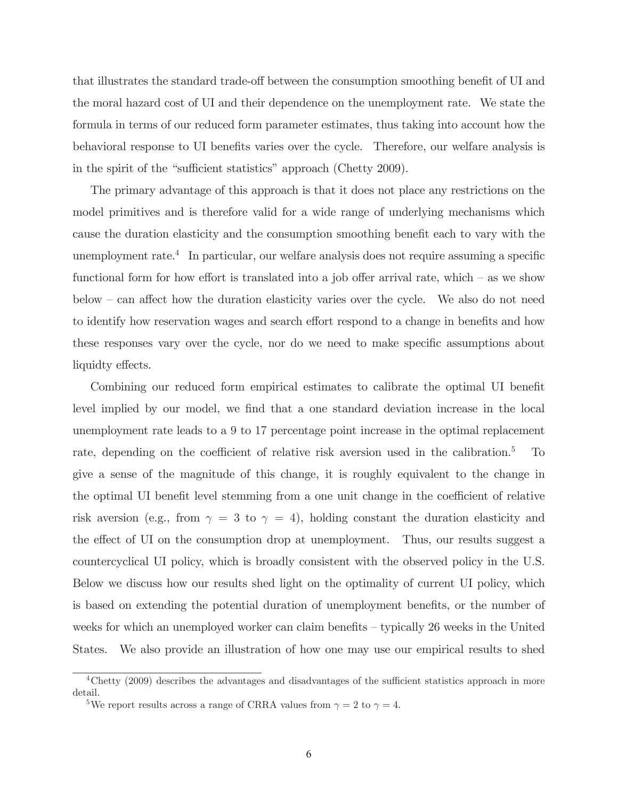that illustrates the standard trade-off between the consumption smoothing benefit of UI and the moral hazard cost of UI and their dependence on the unemployment rate. We state the formula in terms of our reduced form parameter estimates, thus taking into account how the behavioral response to UI benefits varies over the cycle. Therefore, our welfare analysis is in the spirit of the "sufficient statistics" approach (Chetty 2009).

The primary advantage of this approach is that it does not place any restrictions on the model primitives and is therefore valid for a wide range of underlying mechanisms which cause the duration elasticity and the consumption smoothing benefit each to vary with the unemployment rate.<sup>4</sup> In particular, our welfare analysis does not require assuming a specific functional form for how effort is translated into a job offer arrival rate, which  $-$  as we show below — can affect how the duration elasticity varies over the cycle. We also do not need to identify how reservation wages and search effort respond to a change in benefits and how these responses vary over the cycle, nor do we need to make specific assumptions about liquidty effects.

Combining our reduced form empirical estimates to calibrate the optimal UI benefit level implied by our model, we find that a one standard deviation increase in the local unemployment rate leads to a 9 to 17 percentage point increase in the optimal replacement rate, depending on the coefficient of relative risk aversion used in the calibration.5 To give a sense of the magnitude of this change, it is roughly equivalent to the change in the optimal UI benefit level stemming from a one unit change in the coefficient of relative risk aversion (e.g., from  $\gamma = 3$  to  $\gamma = 4$ ), holding constant the duration elasticity and the effect of UI on the consumption drop at unemployment. Thus, our results suggest a countercyclical UI policy, which is broadly consistent with the observed policy in the U.S. Below we discuss how our results shed light on the optimality of current UI policy, which is based on extending the potential duration of unemployment benefits, or the number of weeks for which an unemployed worker can claim benefits — typically 26 weeks in the United States. We also provide an illustration of how one may use our empirical results to shed

<sup>4</sup>Chetty (2009) describes the advantages and disadvantages of the sufficient statistics approach in more detail.

<sup>&</sup>lt;sup>5</sup>We report results across a range of CRRA values from  $\gamma = 2$  to  $\gamma = 4$ .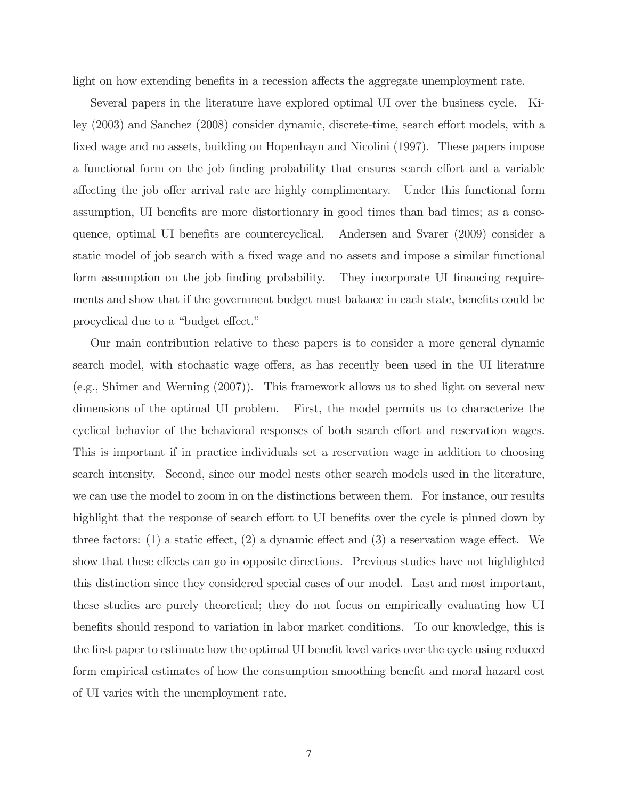light on how extending benefits in a recession affects the aggregate unemployment rate.

Several papers in the literature have explored optimal UI over the business cycle. Kiley (2003) and Sanchez (2008) consider dynamic, discrete-time, search effort models, with a fixed wage and no assets, building on Hopenhayn and Nicolini (1997). These papers impose a functional form on the job finding probability that ensures search effort and a variable affecting the job offer arrival rate are highly complimentary. Under this functional form assumption, UI benefits are more distortionary in good times than bad times; as a consequence, optimal UI benefits are countercyclical. Andersen and Svarer (2009) consider a static model of job search with a fixed wage and no assets and impose a similar functional form assumption on the job finding probability. They incorporate UI financing requirements and show that if the government budget must balance in each state, benefits could be procyclical due to a "budget effect."

Our main contribution relative to these papers is to consider a more general dynamic search model, with stochastic wage offers, as has recently been used in the UI literature (e.g., Shimer and Werning (2007)). This framework allows us to shed light on several new dimensions of the optimal UI problem. First, the model permits us to characterize the cyclical behavior of the behavioral responses of both search effort and reservation wages. This is important if in practice individuals set a reservation wage in addition to choosing search intensity. Second, since our model nests other search models used in the literature, we can use the model to zoom in on the distinctions between them. For instance, our results highlight that the response of search effort to UI benefits over the cycle is pinned down by three factors: (1) a static effect, (2) a dynamic effect and (3) a reservation wage effect. We show that these effects can go in opposite directions. Previous studies have not highlighted this distinction since they considered special cases of our model. Last and most important, these studies are purely theoretical; they do not focus on empirically evaluating how UI benefits should respond to variation in labor market conditions. To our knowledge, this is the first paper to estimate how the optimal UI benefit level varies over the cycle using reduced form empirical estimates of how the consumption smoothing benefit and moral hazard cost of UI varies with the unemployment rate.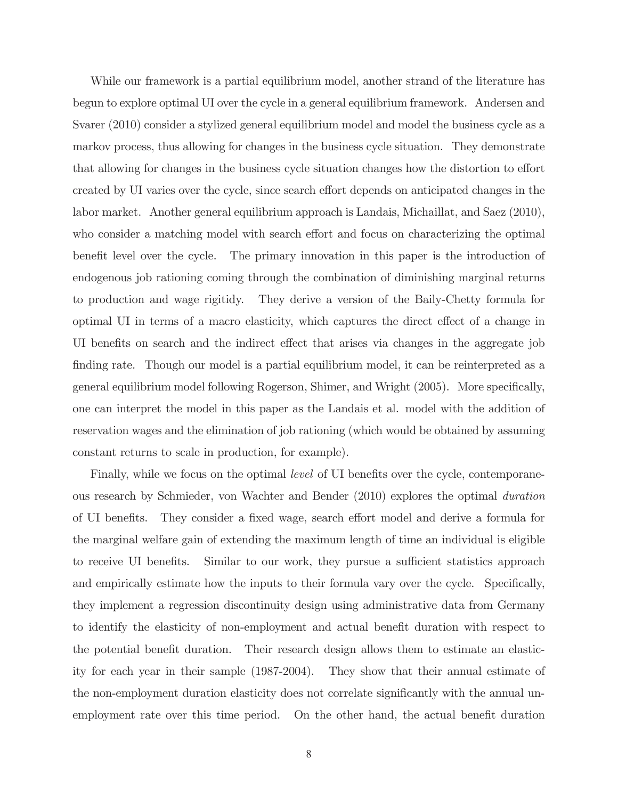While our framework is a partial equilibrium model, another strand of the literature has begun to explore optimal UI over the cycle in a general equilibrium framework. Andersen and Svarer (2010) consider a stylized general equilibrium model and model the business cycle as a markov process, thus allowing for changes in the business cycle situation. They demonstrate that allowing for changes in the business cycle situation changes how the distortion to effort created by UI varies over the cycle, since search effort depends on anticipated changes in the labor market. Another general equilibrium approach is Landais, Michaillat, and Saez (2010), who consider a matching model with search effort and focus on characterizing the optimal benefit level over the cycle. The primary innovation in this paper is the introduction of endogenous job rationing coming through the combination of diminishing marginal returns to production and wage rigitidy. They derive a version of the Baily-Chetty formula for optimal UI in terms of a macro elasticity, which captures the direct effect of a change in UI benefits on search and the indirect effect that arises via changes in the aggregate job finding rate. Though our model is a partial equilibrium model, it can be reinterpreted as a general equilibrium model following Rogerson, Shimer, and Wright (2005). More specifically, one can interpret the model in this paper as the Landais et al. model with the addition of reservation wages and the elimination of job rationing (which would be obtained by assuming constant returns to scale in production, for example).

Finally, while we focus on the optimal *level* of UI benefits over the cycle, contemporaneous research by Schmieder, von Wachter and Bender (2010) explores the optimal duration of UI benefits. They consider a fixed wage, search effort model and derive a formula for the marginal welfare gain of extending the maximum length of time an individual is eligible to receive UI benefits. Similar to our work, they pursue a sufficient statistics approach and empirically estimate how the inputs to their formula vary over the cycle. Specifically, they implement a regression discontinuity design using administrative data from Germany to identify the elasticity of non-employment and actual benefit duration with respect to the potential benefit duration. Their research design allows them to estimate an elasticity for each year in their sample (1987-2004). They show that their annual estimate of the non-employment duration elasticity does not correlate significantly with the annual unemployment rate over this time period. On the other hand, the actual benefit duration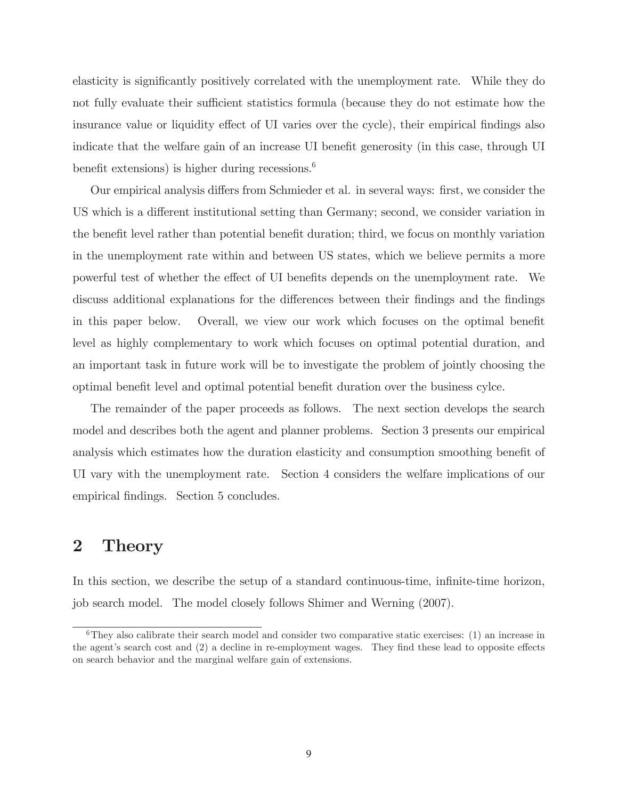elasticity is significantly positively correlated with the unemployment rate. While they do not fully evaluate their sufficient statistics formula (because they do not estimate how the insurance value or liquidity effect of UI varies over the cycle), their empirical findings also indicate that the welfare gain of an increase UI benefit generosity (in this case, through UI benefit extensions) is higher during recessions. $6$ 

Our empirical analysis differs from Schmieder et al. in several ways: first, we consider the US which is a different institutional setting than Germany; second, we consider variation in the benefit level rather than potential benefit duration; third, we focus on monthly variation in the unemployment rate within and between US states, which we believe permits a more powerful test of whether the effect of UI benefits depends on the unemployment rate. We discuss additional explanations for the differences between their findings and the findings in this paper below. Overall, we view our work which focuses on the optimal benefit level as highly complementary to work which focuses on optimal potential duration, and an important task in future work will be to investigate the problem of jointly choosing the optimal benefit level and optimal potential benefit duration over the business cylce.

The remainder of the paper proceeds as follows. The next section develops the search model and describes both the agent and planner problems. Section 3 presents our empirical analysis which estimates how the duration elasticity and consumption smoothing benefit of UI vary with the unemployment rate. Section 4 considers the welfare implications of our empirical findings. Section 5 concludes.

# 2 Theory

In this section, we describe the setup of a standard continuous-time, infinite-time horizon, job search model. The model closely follows Shimer and Werning (2007).

 $6$ They also calibrate their search model and consider two comparative static exercises: (1) an increase in the agent's search cost and (2) a decline in re-employment wages. They find these lead to opposite effects on search behavior and the marginal welfare gain of extensions.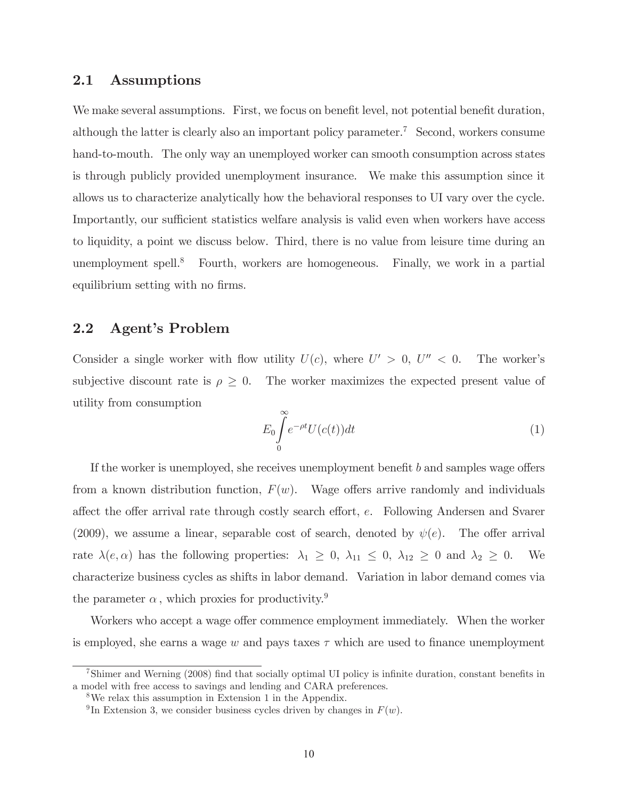### 2.1 Assumptions

We make several assumptions. First, we focus on benefit level, not potential benefit duration, although the latter is clearly also an important policy parameter.<sup>7</sup> Second, workers consume hand-to-mouth. The only way an unemployed worker can smooth consumption across states is through publicly provided unemployment insurance. We make this assumption since it allows us to characterize analytically how the behavioral responses to UI vary over the cycle. Importantly, our sufficient statistics welfare analysis is valid even when workers have access to liquidity, a point we discuss below. Third, there is no value from leisure time during an unemployment spell. $\delta$  Fourth, workers are homogeneous. Finally, we work in a partial equilibrium setting with no firms.

## 2.2 Agent's Problem

Consider a single worker with flow utility  $U(c)$ , where  $U' > 0$ ,  $U'' < 0$ . The worker's subjective discount rate is  $\rho \geq 0$ . The worker maximizes the expected present value of utility from consumption

$$
E_0 \int_0^\infty e^{-\rho t} U(c(t)) dt \tag{1}
$$

If the worker is unemployed, she receives unemployment benefit b and samples wage offers from a known distribution function,  $F(w)$ . Wage offers arrive randomly and individuals affect the offer arrival rate through costly search effort, e. Following Andersen and Svarer (2009), we assume a linear, separable cost of search, denoted by  $\psi(e)$ . The offer arrival rate  $\lambda(e, \alpha)$  has the following properties:  $\lambda_1 \geq 0$ ,  $\lambda_{11} \leq 0$ ,  $\lambda_{12} \geq 0$  and  $\lambda_2 \geq 0$ . We characterize business cycles as shifts in labor demand. Variation in labor demand comes via the parameter  $\alpha$ , which proxies for productivity.<sup>9</sup>

Workers who accept a wage offer commence employment immediately. When the worker is employed, she earns a wage w and pays taxes  $\tau$  which are used to finance unemployment

<sup>7</sup>Shimer and Werning (2008) find that socially optimal UI policy is infinite duration, constant benefits in a model with free access to savings and lending and CARA preferences.

<sup>8</sup>We relax this assumption in Extension 1 in the Appendix.

<sup>&</sup>lt;sup>9</sup>In Extension 3, we consider business cycles driven by changes in  $F(w)$ .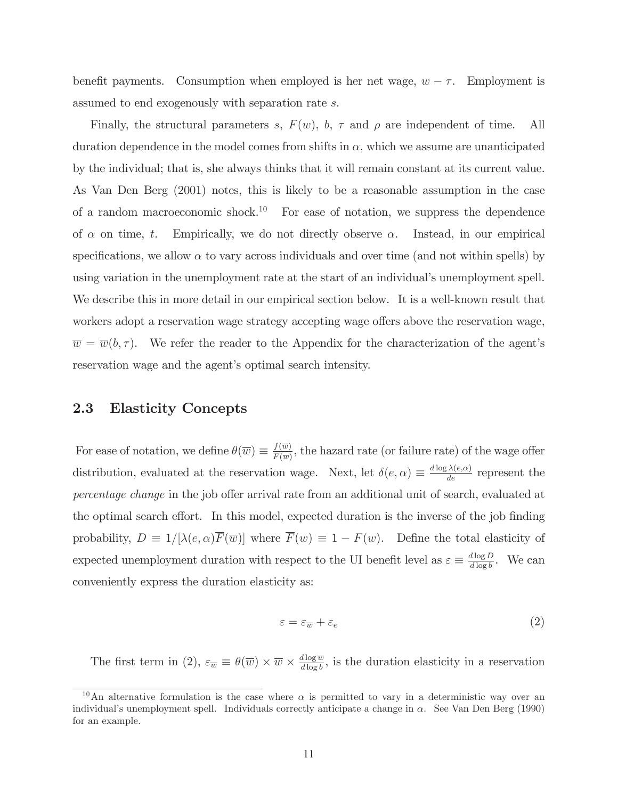benefit payments. Consumption when employed is her net wage,  $w - \tau$ . Employment is assumed to end exogenously with separation rate s.

Finally, the structural parameters s,  $F(w)$ , b,  $\tau$  and  $\rho$  are independent of time. All duration dependence in the model comes from shifts in  $\alpha$ , which we assume are unanticipated by the individual; that is, she always thinks that it will remain constant at its current value. As Van Den Berg (2001) notes, this is likely to be a reasonable assumption in the case of a random macroeconomic shock.<sup>10</sup> For ease of notation, we suppress the dependence of  $\alpha$  on time, t. Empirically, we do not directly observe  $\alpha$ . Instead, in our empirical specifications, we allow  $\alpha$  to vary across individuals and over time (and not within spells) by using variation in the unemployment rate at the start of an individual's unemployment spell. We describe this in more detail in our empirical section below. It is a well-known result that workers adopt a reservation wage strategy accepting wage offers above the reservation wage,  $\overline{w} = \overline{w}(b, \tau)$ . We refer the reader to the Appendix for the characterization of the agent's reservation wage and the agent's optimal search intensity.

## 2.3 Elasticity Concepts

For ease of notation, we define  $\theta(\overline{w}) \equiv \frac{f(\overline{w})}{\overline{F(\overline{w})}}$ , the hazard rate (or failure rate) of the wage offer distribution, evaluated at the reservation wage. Next, let  $\delta(e, \alpha) \equiv \frac{d \log \lambda(e, \alpha)}{de}$  represent the percentage change in the job offer arrival rate from an additional unit of search, evaluated at the optimal search effort. In this model, expected duration is the inverse of the job finding probability,  $D \equiv 1/[\lambda(e, \alpha)\overline{F}(\overline{w})]$  where  $\overline{F}(w) \equiv 1 - F(w)$ . Define the total elasticity of expected unemployment duration with respect to the UI benefit level as  $\varepsilon \equiv \frac{d \log D}{d \log b}$ . We can conveniently express the duration elasticity as:

$$
\varepsilon = \varepsilon_{\overline{w}} + \varepsilon_e \tag{2}
$$

The first term in (2),  $\varepsilon_{\overline{w}} \equiv \theta(\overline{w}) \times \overline{w} \times \frac{d \log \overline{w}}{d \log b}$ , is the duration elasticity in a reservation

<sup>&</sup>lt;sup>10</sup>An alternative formulation is the case where  $\alpha$  is permitted to vary in a deterministic way over an individual's unemployment spell. Individuals correctly anticipate a change in  $\alpha$ . See Van Den Berg (1990) for an example.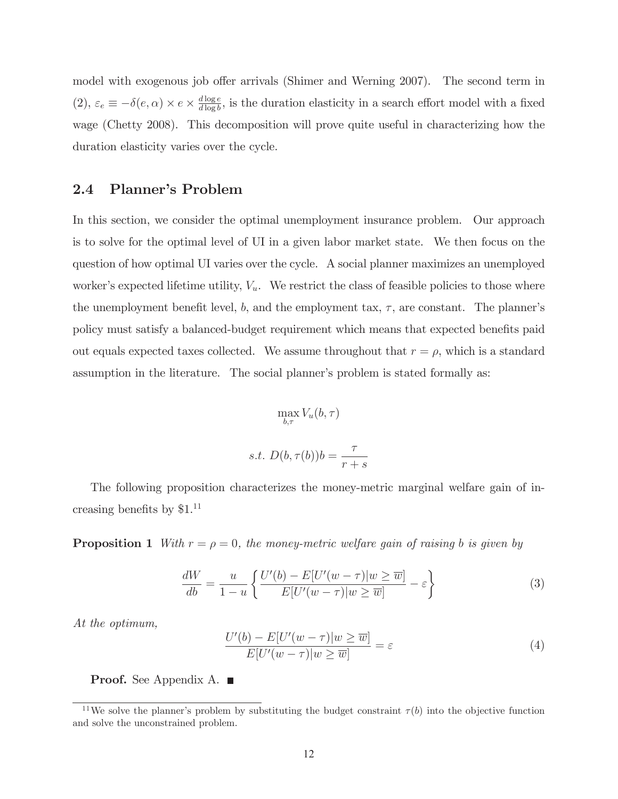model with exogenous job offer arrivals (Shimer and Werning 2007). The second term in (2),  $\varepsilon_e \equiv -\delta(e, \alpha) \times e \times \frac{d \log e}{d \log b}$ , is the duration elasticity in a search effort model with a fixed wage (Chetty 2008). This decomposition will prove quite useful in characterizing how the duration elasticity varies over the cycle.

## 2.4 Planner's Problem

In this section, we consider the optimal unemployment insurance problem. Our approach is to solve for the optimal level of UI in a given labor market state. We then focus on the question of how optimal UI varies over the cycle. A social planner maximizes an unemployed worker's expected lifetime utility,  $V_u$ . We restrict the class of feasible policies to those where the unemployment benefit level, b, and the employment tax,  $\tau$ , are constant. The planner's policy must satisfy a balanced-budget requirement which means that expected benefits paid out equals expected taxes collected. We assume throughout that  $r = \rho$ , which is a standard assumption in the literature. The social planner's problem is stated formally as:

$$
\max_{b,\tau} V_u(b,\tau)
$$
  
s.t.  $D(b,\tau(b))b = \frac{\tau}{r+s}$ 

The following proposition characterizes the money-metric marginal welfare gain of increasing benefits by \$1.11

**Proposition 1** With  $r = \rho = 0$ , the money-metric welfare gain of raising b is given by

$$
\frac{dW}{db} = \frac{u}{1-u} \left\{ \frac{U'(b) - E[U'(w-\tau)|w \ge \overline{w}]}{E[U'(w-\tau)|w \ge \overline{w}]} - \varepsilon \right\}
$$
(3)

At the optimum,

$$
\frac{U'(b) - E[U'(w - \tau)|w \ge \overline{w}]}{E[U'(w - \tau)|w \ge \overline{w}]} = \varepsilon
$$
\n(4)

**Proof.** See Appendix A. ■

<sup>&</sup>lt;sup>11</sup>We solve the planner's problem by substituting the budget constraint  $\tau(b)$  into the objective function and solve the unconstrained problem.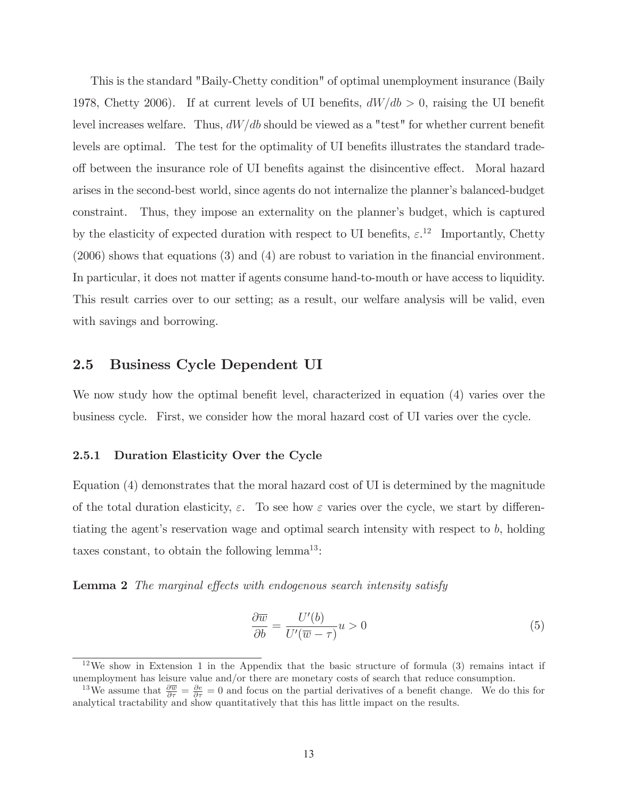This is the standard "Baily-Chetty condition" of optimal unemployment insurance (Baily 1978, Chetty 2006). If at current levels of UI benefits,  $dW/db > 0$ , raising the UI benefit level increases welfare. Thus,  $dW/db$  should be viewed as a "test" for whether current benefit levels are optimal. The test for the optimality of UI benefits illustrates the standard tradeoff between the insurance role of UI benefits against the disincentive effect. Moral hazard arises in the second-best world, since agents do not internalize the planner's balanced-budget constraint. Thus, they impose an externality on the planner's budget, which is captured by the elasticity of expected duration with respect to UI benefits,  $\varepsilon$ <sup>12</sup> Importantly, Chetty (2006) shows that equations (3) and (4) are robust to variation in the financial environment. In particular, it does not matter if agents consume hand-to-mouth or have access to liquidity. This result carries over to our setting; as a result, our welfare analysis will be valid, even with savings and borrowing.

## 2.5 Business Cycle Dependent UI

We now study how the optimal benefit level, characterized in equation (4) varies over the business cycle. First, we consider how the moral hazard cost of UI varies over the cycle.

### 2.5.1 Duration Elasticity Over the Cycle

Equation (4) demonstrates that the moral hazard cost of UI is determined by the magnitude of the total duration elasticity,  $\varepsilon$ . To see how  $\varepsilon$  varies over the cycle, we start by differentiating the agent's reservation wage and optimal search intensity with respect to b, holding taxes constant, to obtain the following  $lemma<sup>13</sup>$ :

Lemma 2 The marginal effects with endogenous search intensity satisfy

$$
\frac{\partial \overline{w}}{\partial b} = \frac{U'(b)}{U'(\overline{w} - \tau)} u > 0
$$
\n(5)

 $12\,\text{We show in Extension 1 in the Appendix that the basic structure of formula (3) remains intact if}$ unemployment has leisure value and/or there are monetary costs of search that reduce consumption.

<sup>&</sup>lt;sup>13</sup>We assume that  $\frac{\partial \overline{w}}{\partial \tau} = \frac{\partial e}{\partial \tau} = 0$  and focus on the partial derivatives of a benefit change. We do this for analytical tractability and show quantitatively that this has little impact on the results.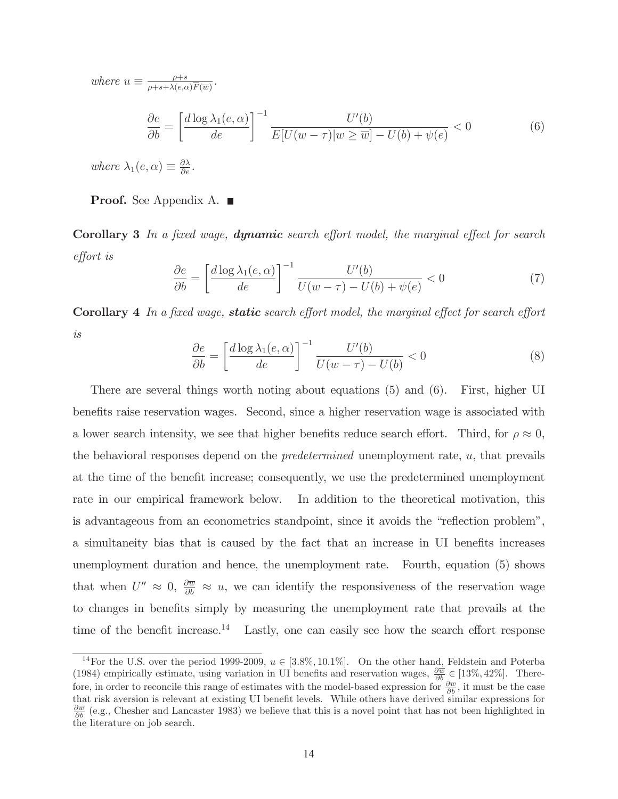where  $u \equiv \frac{\rho+s}{\rho+s+\lambda(e,\alpha)\overline{F}(\overline{w})}$ . ∂e  $\frac{\partial}{\partial b} =$  $\left[\frac{d \log \lambda_1(e, \alpha)}{de}\right]^{-1} \frac{U'(b)}{E[U(w-\tau)|w \geq \overline{w}]}$  $E[U(w - \tau)|w \ge \overline{w}] - U(b) + \psi(e) < 0$  (6)

where  $\lambda_1(e,\alpha) \equiv \frac{\partial \lambda}{\partial e}$ .

**Proof.** See Appendix A.

Corollary 3 In a fixed wage, **dynamic** search effort model, the marginal effect for search effort is

$$
\frac{\partial e}{\partial b} = \left[\frac{d \log \lambda_1(e, \alpha)}{de}\right]^{-1} \frac{U'(b)}{U(w - \tau) - U(b) + \psi(e)} < 0 \tag{7}
$$

Corollary 4 In a fixed wage, static search effort model, the marginal effect for search effort is

$$
\frac{\partial e}{\partial b} = \left[\frac{d \log \lambda_1(e, \alpha)}{de}\right]^{-1} \frac{U'(b)}{U(w - \tau) - U(b)} < 0 \tag{8}
$$

There are several things worth noting about equations (5) and (6). First, higher UI benefits raise reservation wages. Second, since a higher reservation wage is associated with a lower search intensity, we see that higher benefits reduce search effort. Third, for  $\rho \approx 0$ , the behavioral responses depend on the predetermined unemployment rate, u, that prevails at the time of the benefit increase; consequently, we use the predetermined unemployment rate in our empirical framework below. In addition to the theoretical motivation, this is advantageous from an econometrics standpoint, since it avoids the "reflection problem", a simultaneity bias that is caused by the fact that an increase in UI benefits increases unemployment duration and hence, the unemployment rate. Fourth, equation (5) shows that when  $U'' \approx 0$ ,  $\frac{\partial \overline{w}}{\partial b} \approx u$ , we can identify the responsiveness of the reservation wage to changes in benefits simply by measuring the unemployment rate that prevails at the time of the benefit increase.<sup>14</sup> Lastly, one can easily see how the search effort response

<sup>&</sup>lt;sup>14</sup>For the U.S. over the period 1999-2009,  $u \in [3.8\%, 10.1\%]$ . On the other hand, Feldstein and Poterba (1984) empirically estimate, using variation in UI benefits and reservation wages,  $\frac{\partial \overline{w}}{\partial b} \in [13\%, 42\%]$ . Therefore, in order to reconcile this range of estimates with the model-based expression for  $\frac{\partial \overline{w}}{\partial b}$ , it must be the case that risk aversion is relevant at existing UI benefit levels. While others have derived similar expressions for  $\frac{\partial \overline{w}}{\partial b}$  (e.g., Chesher and Lancaster 1983) we believe that this is a novel point that has not been highlighted in the literature on job search.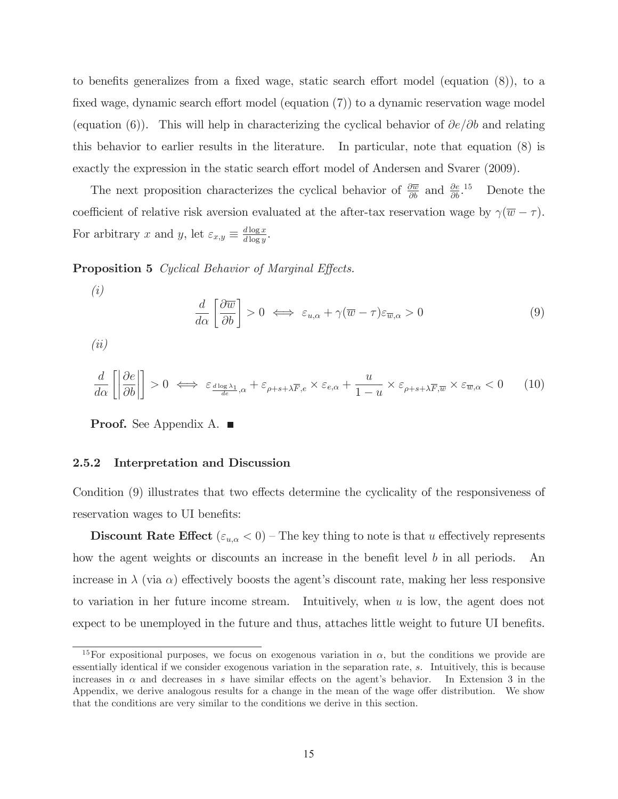to benefits generalizes from a fixed wage, static search effort model (equation (8)), to a fixed wage, dynamic search effort model (equation (7)) to a dynamic reservation wage model (equation (6)). This will help in characterizing the cyclical behavior of  $\partial e/\partial b$  and relating this behavior to earlier results in the literature. In particular, note that equation (8) is exactly the expression in the static search effort model of Andersen and Svarer (2009).

The next proposition characterizes the cyclical behavior of  $\frac{\partial \overline{w}}{\partial b}$  and  $\frac{\partial e}{\partial b}$ .<sup>15</sup> Denote the coefficient of relative risk aversion evaluated at the after-tax reservation wage by  $\gamma(\overline{w} - \tau)$ . For arbitrary x and y, let  $\varepsilon_{x,y} \equiv \frac{d \log x}{d \log y}$ .

**Proposition 5** Cyclical Behavior of Marginal Effects.

$$
\left( i\right)
$$

$$
\frac{d}{d\alpha} \left[ \frac{\partial \overline{w}}{\partial b} \right] > 0 \iff \varepsilon_{u,\alpha} + \gamma (\overline{w} - \tau) \varepsilon_{\overline{w},\alpha} > 0 \tag{9}
$$

(ii)

$$
\frac{d}{d\alpha} \left[ \left| \frac{\partial e}{\partial b} \right| \right] > 0 \iff \varepsilon_{\frac{d \log \lambda_1}{de},\alpha} + \varepsilon_{\rho+s+\lambda \overline{F},e} \times \varepsilon_{e,\alpha} + \frac{u}{1-u} \times \varepsilon_{\rho+s+\lambda \overline{F},\overline{w}} \times \varepsilon_{\overline{w},\alpha} < 0 \quad (10)
$$

**Proof.** See Appendix A. ■

#### 2.5.2 Interpretation and Discussion

Condition (9) illustrates that two effects determine the cyclicality of the responsiveness of reservation wages to UI benefits:

**Discount Rate Effect** ( $\varepsilon_{u,\alpha} < 0$ ) – The key thing to note is that u effectively represents how the agent weights or discounts an increase in the benefit level b in all periods. An increase in  $\lambda$  (via  $\alpha$ ) effectively boosts the agent's discount rate, making her less responsive to variation in her future income stream. Intuitively, when  $u$  is low, the agent does not expect to be unemployed in the future and thus, attaches little weight to future UI benefits.

<sup>&</sup>lt;sup>15</sup>For expositional purposes, we focus on exogenous variation in  $\alpha$ , but the conditions we provide are essentially identical if we consider exogenous variation in the separation rate, s. Intuitively, this is because increases in  $\alpha$  and decreases in s have similar effects on the agent's behavior. In Extension 3 in the Appendix, we derive analogous results for a change in the mean of the wage offer distribution. We show that the conditions are very similar to the conditions we derive in this section.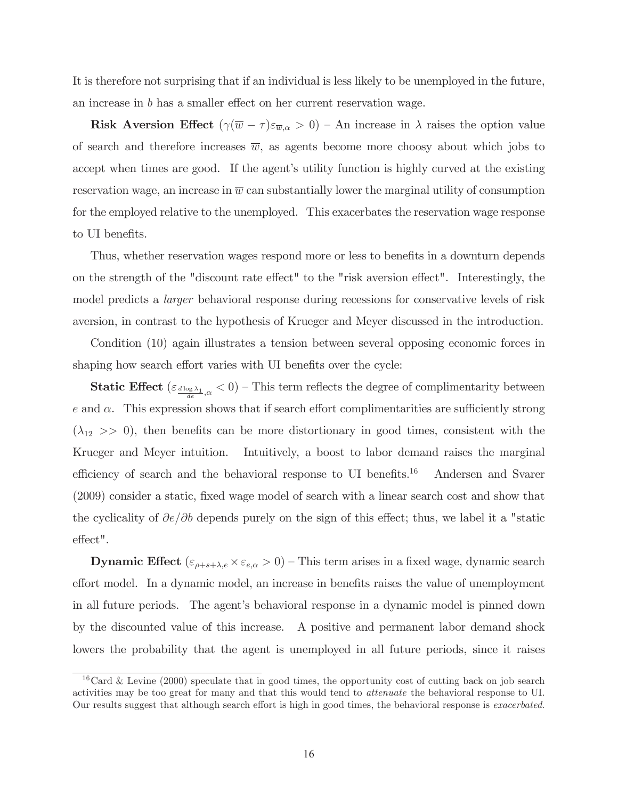It is therefore not surprising that if an individual is less likely to be unemployed in the future, an increase in b has a smaller effect on her current reservation wage.

Risk Aversion Effect  $(\gamma(\overline{w} - \tau)\varepsilon_{\overline{w},\alpha} > 0)$  – An increase in  $\lambda$  raises the option value of search and therefore increases  $\overline{w}$ , as agents become more choosy about which jobs to accept when times are good. If the agent's utility function is highly curved at the existing reservation wage, an increase in  $\overline{w}$  can substantially lower the marginal utility of consumption for the employed relative to the unemployed. This exacerbates the reservation wage response to UI benefits.

Thus, whether reservation wages respond more or less to benefits in a downturn depends on the strength of the "discount rate effect" to the "risk aversion effect". Interestingly, the model predicts a larger behavioral response during recessions for conservative levels of risk aversion, in contrast to the hypothesis of Krueger and Meyer discussed in the introduction.

Condition (10) again illustrates a tension between several opposing economic forces in shaping how search effort varies with UI benefits over the cycle:

**Static Effect** ( $\varepsilon_{\frac{d \log \lambda_1}{d \alpha}} < 0$ ) – This term reflects the degree of complimentarity between e and  $\alpha$ . This expression shows that if search effort complimentarities are sufficiently strong  $(\lambda_{12} >> 0)$ , then benefits can be more distortionary in good times, consistent with the Krueger and Meyer intuition. Intuitively, a boost to labor demand raises the marginal efficiency of search and the behavioral response to UI benefits.<sup>16</sup> Andersen and Svarer (2009) consider a static, fixed wage model of search with a linear search cost and show that the cyclicality of  $\partial e/\partial b$  depends purely on the sign of this effect; thus, we label it a "static effect".

**Dynamic Effect** ( $\varepsilon_{\rho+s+\lambda,e} \times \varepsilon_{e,\alpha} > 0$ ) – This term arises in a fixed wage, dynamic search effort model. In a dynamic model, an increase in benefits raises the value of unemployment in all future periods. The agent's behavioral response in a dynamic model is pinned down by the discounted value of this increase. A positive and permanent labor demand shock lowers the probability that the agent is unemployed in all future periods, since it raises

 $16$ Card & Levine (2000) speculate that in good times, the opportunity cost of cutting back on job search activities may be too great for many and that this would tend to attenuate the behavioral response to UI. Our results suggest that although search effort is high in good times, the behavioral response is exacerbated.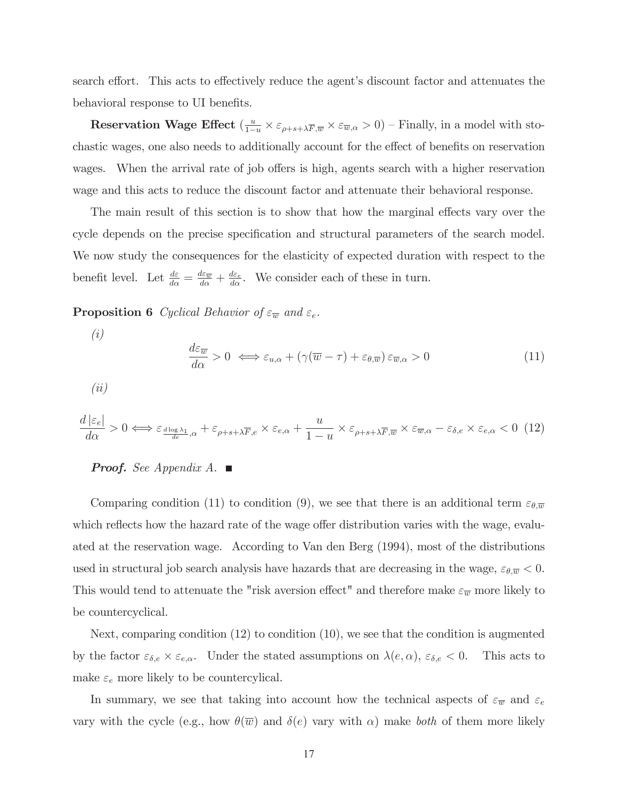search effort. This acts to effectively reduce the agent's discount factor and attenuates the behavioral response to UI benefits.

**Reservation Wage Effect** ( $\frac{u}{1-u} \times \varepsilon_{\rho+s+\lambda \overline{F},\overline{w}} \times \varepsilon_{\overline{w},\alpha} > 0$ ) – Finally, in a model with stochastic wages, one also needs to additionally account for the effect of benefits on reservation wages. When the arrival rate of job offers is high, agents search with a higher reservation wage and this acts to reduce the discount factor and attenuate their behavioral response.

The main result of this section is to show that how the marginal effects vary over the cycle depends on the precise specification and structural parameters of the search model. We now study the consequences for the elasticity of expected duration with respect to the benefit level. Let  $\frac{d\varepsilon}{d\alpha} = \frac{d\varepsilon_{\overline{w}}}{d\alpha} + \frac{d\varepsilon_{e}}{d\alpha}$ . We consider each of these in turn.

**Proposition 6** Cyclical Behavior of  $\varepsilon_{\overline{w}}$  and  $\varepsilon_e$ .

$$
\frac{d\varepsilon_{\overline{w}}}{d\alpha} > 0 \iff \varepsilon_{u,\alpha} + (\gamma(\overline{w} - \tau) + \varepsilon_{\theta,\overline{w}})\varepsilon_{\overline{w},\alpha} > 0 \tag{11}
$$

(ii)

(i)

$$
\frac{d\left|\varepsilon_{e}\right|}{d\alpha} > 0 \Longleftrightarrow \varepsilon_{\frac{d\log\lambda_{1}}{de},\alpha} + \varepsilon_{\rho+s+\lambda\overline{F},e} \times \varepsilon_{e,\alpha} + \frac{u}{1-u} \times \varepsilon_{\rho+s+\lambda\overline{F},\overline{w}} \times \varepsilon_{\overline{w},\alpha} - \varepsilon_{\delta,e} \times \varepsilon_{e,\alpha} < 0 \tag{12}
$$

### **Proof.** See Appendix A.

Comparing condition (11) to condition (9), we see that there is an additional term  $\varepsilon_{\theta,\overline{\omega}}$ which reflects how the hazard rate of the wage offer distribution varies with the wage, evaluated at the reservation wage. According to Van den Berg (1994), most of the distributions used in structural job search analysis have hazards that are decreasing in the wage,  $\varepsilon_{\theta,\overline{w}} < 0$ . This would tend to attenuate the "risk aversion effect" and therefore make  $\varepsilon_{\overline{w}}$  more likely to be countercyclical.

Next, comparing condition (12) to condition (10), we see that the condition is augmented by the factor  $\varepsilon_{\delta,e} \times \varepsilon_{e,\alpha}$ . Under the stated assumptions on  $\lambda(e,\alpha)$ ,  $\varepsilon_{\delta,e} < 0$ . This acts to make  $\varepsilon_e$  more likely to be countercylical.

In summary, we see that taking into account how the technical aspects of  $\varepsilon_{\overline{w}}$  and  $\varepsilon_e$ vary with the cycle (e.g., how  $\theta(\overline{w})$  and  $\delta(e)$  vary with  $\alpha$ ) make both of them more likely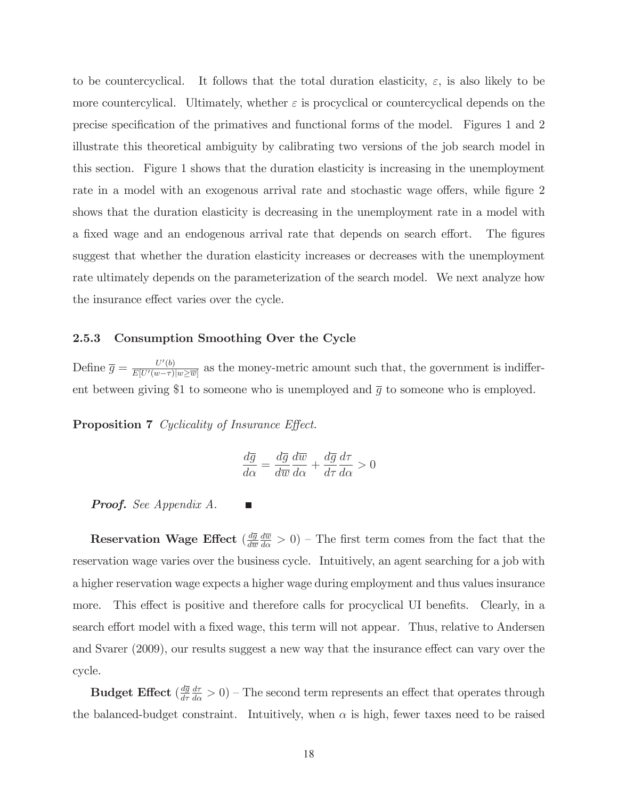to be countercyclical. It follows that the total duration elasticity,  $\varepsilon$ , is also likely to be more countercylical. Ultimately, whether  $\varepsilon$  is procyclical or countercyclical depends on the precise specification of the primatives and functional forms of the model. Figures 1 and 2 illustrate this theoretical ambiguity by calibrating two versions of the job search model in this section. Figure 1 shows that the duration elasticity is increasing in the unemployment rate in a model with an exogenous arrival rate and stochastic wage offers, while figure 2 shows that the duration elasticity is decreasing in the unemployment rate in a model with a fixed wage and an endogenous arrival rate that depends on search effort. The figures suggest that whether the duration elasticity increases or decreases with the unemployment rate ultimately depends on the parameterization of the search model. We next analyze how the insurance effect varies over the cycle.

### 2.5.3 Consumption Smoothing Over the Cycle

Define  $\overline{g} = \frac{U'(b)}{E[U'(w-\tau)]}$  $\frac{U'(0)}{E[U'(w-\tau)|w\geq \overline{w}}$  as the money-metric amount such that, the government is indifferent between giving \$1 to someone who is unemployed and  $\bar{g}$  to someone who is employed.

Proposition 7 Cyclicality of Insurance Effect.

$$
\frac{d\overline{g}}{d\alpha} = \frac{d\overline{g}}{d\overline{w}} \frac{d\overline{w}}{d\alpha} + \frac{d\overline{g}}{d\tau} \frac{d\tau}{d\alpha} > 0
$$

Proof. See Appendix A.

Reservation Wage Effect  $(\frac{d\overline{g}}{d\overline{w}})$  $\frac{d\overline{w}}{d\alpha} > 0$ ) – The first term comes from the fact that the reservation wage varies over the business cycle. Intuitively, an agent searching for a job with a higher reservation wage expects a higher wage during employment and thus values insurance more. This effect is positive and therefore calls for procyclical UI benefits. Clearly, in a search effort model with a fixed wage, this term will not appear. Thus, relative to Andersen and Svarer (2009), our results suggest a new way that the insurance effect can vary over the cycle.

 $\mathbf B$ udget Effect  $(\frac{d\overline{g}}{d\tau}$  $\frac{d\tau}{d\alpha} > 0$ ) – The second term represents an effect that operates through the balanced-budget constraint. Intuitively, when  $\alpha$  is high, fewer taxes need to be raised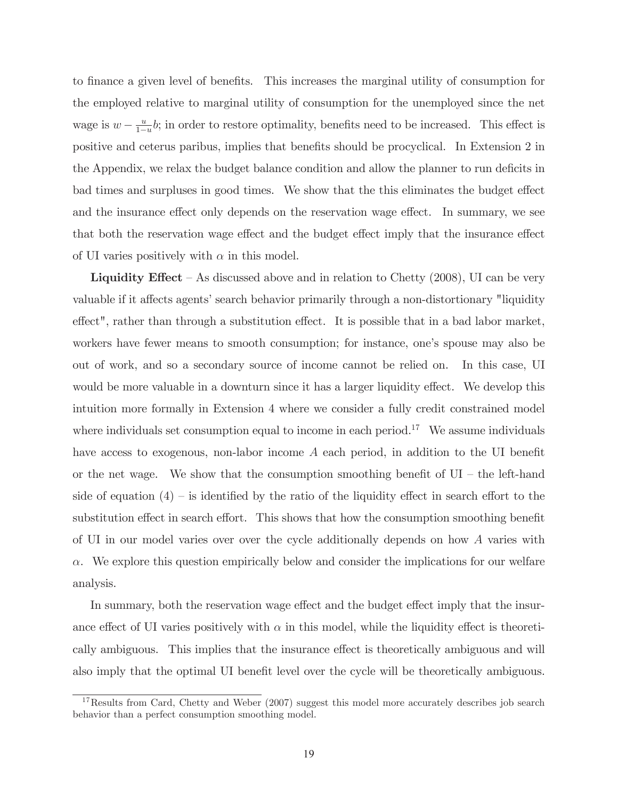to finance a given level of benefits. This increases the marginal utility of consumption for the employed relative to marginal utility of consumption for the unemployed since the net wage is  $w - \frac{u}{1-u}b$ ; in order to restore optimality, benefits need to be increased. This effect is positive and ceterus paribus, implies that benefits should be procyclical. In Extension 2 in the Appendix, we relax the budget balance condition and allow the planner to run deficits in bad times and surpluses in good times. We show that the this eliminates the budget effect and the insurance effect only depends on the reservation wage effect. In summary, we see that both the reservation wage effect and the budget effect imply that the insurance effect of UI varies positively with  $\alpha$  in this model.

**Liquidity Effect** – As discussed above and in relation to Chetty  $(2008)$ , UI can be very valuable if it affects agents' search behavior primarily through a non-distortionary "liquidity effect", rather than through a substitution effect. It is possible that in a bad labor market, workers have fewer means to smooth consumption; for instance, one's spouse may also be out of work, and so a secondary source of income cannot be relied on. In this case, UI would be more valuable in a downturn since it has a larger liquidity effect. We develop this intuition more formally in Extension 4 where we consider a fully credit constrained model where individuals set consumption equal to income in each period.<sup>17</sup> We assume individuals have access to exogenous, non-labor income A each period, in addition to the UI benefit or the net wage. We show that the consumption smoothing benefit of  $UI -$  the left-hand side of equation  $(4)$  – is identified by the ratio of the liquidity effect in search effort to the substitution effect in search effort. This shows that how the consumption smoothing benefit of UI in our model varies over over the cycle additionally depends on how A varies with  $\alpha$ . We explore this question empirically below and consider the implications for our welfare analysis.

In summary, both the reservation wage effect and the budget effect imply that the insurance effect of UI varies positively with  $\alpha$  in this model, while the liquidity effect is theoretically ambiguous. This implies that the insurance effect is theoretically ambiguous and will also imply that the optimal UI benefit level over the cycle will be theoretically ambiguous.

 $17$ Results from Card, Chetty and Weber (2007) suggest this model more accurately describes job search behavior than a perfect consumption smoothing model.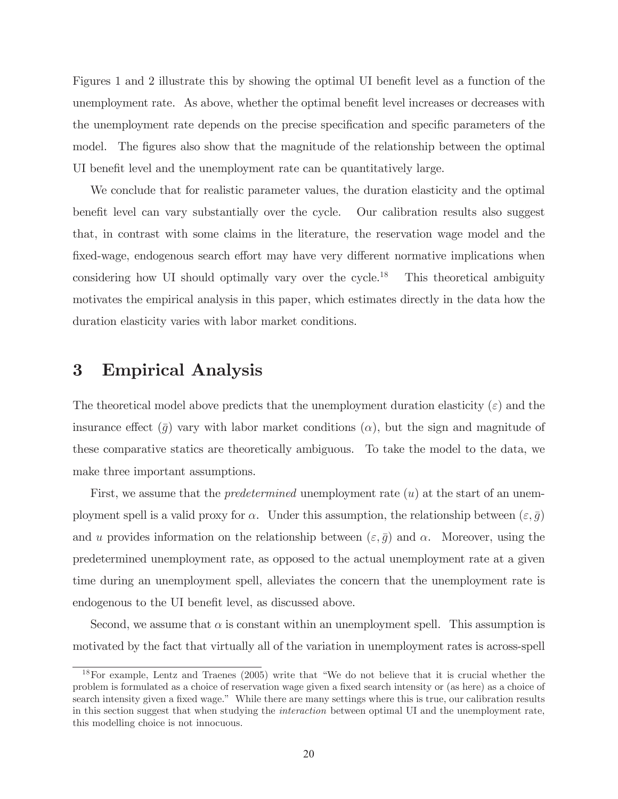Figures 1 and 2 illustrate this by showing the optimal UI benefit level as a function of the unemployment rate. As above, whether the optimal benefit level increases or decreases with the unemployment rate depends on the precise specification and specific parameters of the model. The figures also show that the magnitude of the relationship between the optimal UI benefit level and the unemployment rate can be quantitatively large.

We conclude that for realistic parameter values, the duration elasticity and the optimal benefit level can vary substantially over the cycle. Our calibration results also suggest that, in contrast with some claims in the literature, the reservation wage model and the fixed-wage, endogenous search effort may have very different normative implications when considering how UI should optimally vary over the cycle.<sup>18</sup> This theoretical ambiguity motivates the empirical analysis in this paper, which estimates directly in the data how the duration elasticity varies with labor market conditions.

## 3 Empirical Analysis

The theoretical model above predicts that the unemployment duration elasticity  $(\varepsilon)$  and the insurance effect  $(\bar{g})$  vary with labor market conditions  $(\alpha)$ , but the sign and magnitude of these comparative statics are theoretically ambiguous. To take the model to the data, we make three important assumptions.

First, we assume that the *predetermined* unemployment rate  $(u)$  at the start of an unemployment spell is a valid proxy for  $\alpha$ . Under this assumption, the relationship between  $(\varepsilon, \bar{g})$ and u provides information on the relationship between  $(\varepsilon, \bar{g})$  and  $\alpha$ . Moreover, using the predetermined unemployment rate, as opposed to the actual unemployment rate at a given time during an unemployment spell, alleviates the concern that the unemployment rate is endogenous to the UI benefit level, as discussed above.

Second, we assume that  $\alpha$  is constant within an unemployment spell. This assumption is motivated by the fact that virtually all of the variation in unemployment rates is across-spell

<sup>18</sup>For example, Lentz and Traenes (2005) write that "We do not believe that it is crucial whether the problem is formulated as a choice of reservation wage given a fixed search intensity or (as here) as a choice of search intensity given a fixed wage." While there are many settings where this is true, our calibration results in this section suggest that when studying the interaction between optimal UI and the unemployment rate, this modelling choice is not innocuous.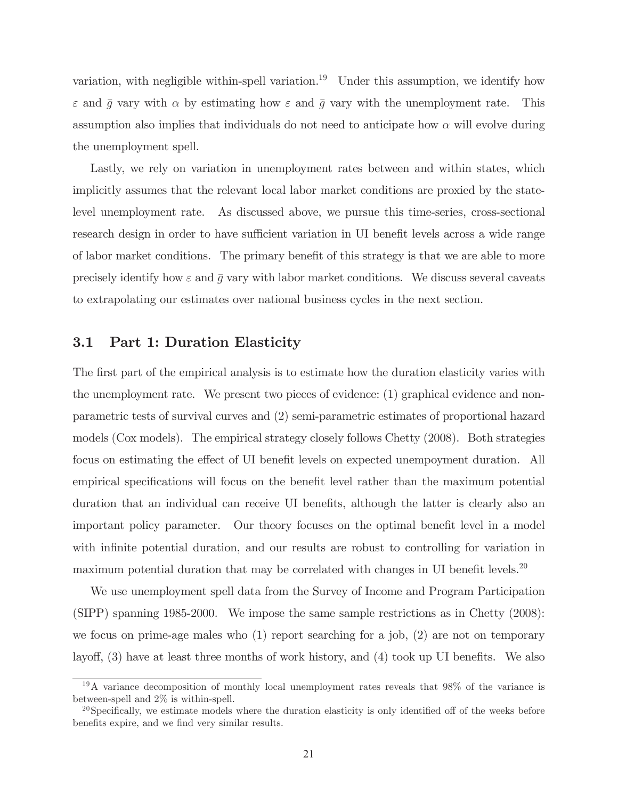variation, with negligible within-spell variation.<sup>19</sup> Under this assumption, we identify how  $\varepsilon$  and  $\bar{g}$  vary with  $\alpha$  by estimating how  $\varepsilon$  and  $\bar{g}$  vary with the unemployment rate. This assumption also implies that individuals do not need to anticipate how  $\alpha$  will evolve during the unemployment spell.

Lastly, we rely on variation in unemployment rates between and within states, which implicitly assumes that the relevant local labor market conditions are proxied by the statelevel unemployment rate. As discussed above, we pursue this time-series, cross-sectional research design in order to have sufficient variation in UI benefit levels across a wide range of labor market conditions. The primary benefit of this strategy is that we are able to more precisely identify how  $\varepsilon$  and  $\bar{g}$  vary with labor market conditions. We discuss several caveats to extrapolating our estimates over national business cycles in the next section.

### 3.1 Part 1: Duration Elasticity

The first part of the empirical analysis is to estimate how the duration elasticity varies with the unemployment rate. We present two pieces of evidence: (1) graphical evidence and nonparametric tests of survival curves and (2) semi-parametric estimates of proportional hazard models (Cox models). The empirical strategy closely follows Chetty (2008). Both strategies focus on estimating the effect of UI benefit levels on expected unempoyment duration. All empirical specifications will focus on the benefit level rather than the maximum potential duration that an individual can receive UI benefits, although the latter is clearly also an important policy parameter. Our theory focuses on the optimal benefit level in a model with infinite potential duration, and our results are robust to controlling for variation in maximum potential duration that may be correlated with changes in UI benefit levels.<sup>20</sup>

We use unemployment spell data from the Survey of Income and Program Participation (SIPP) spanning 1985-2000. We impose the same sample restrictions as in Chetty (2008): we focus on prime-age males who (1) report searching for a job, (2) are not on temporary layoff, (3) have at least three months of work history, and (4) took up UI benefits. We also

<sup>19</sup>A variance decomposition of monthly local unemployment rates reveals that 98% of the variance is between-spell and 2% is within-spell.

 $^{20}$ Specifically, we estimate models where the duration elasticity is only identified off of the weeks before benefits expire, and we find very similar results.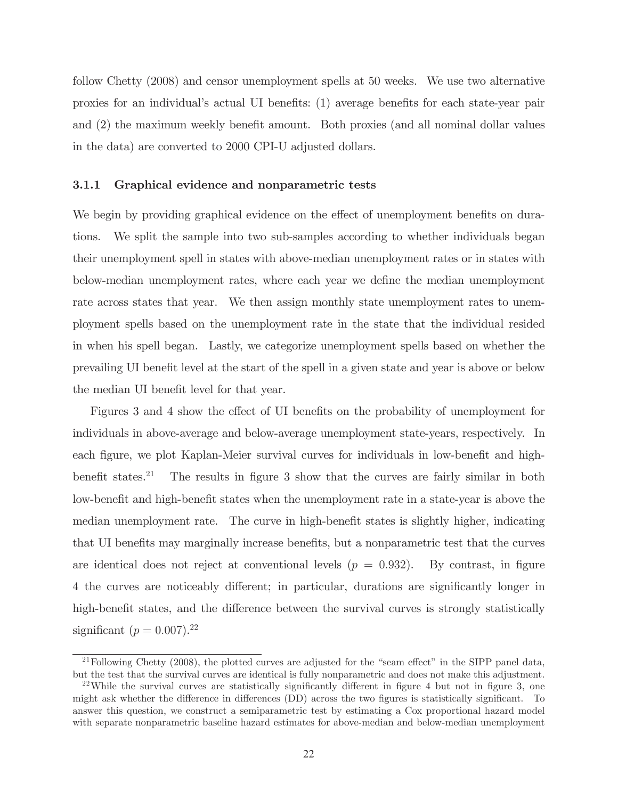follow Chetty (2008) and censor unemployment spells at 50 weeks. We use two alternative proxies for an individual's actual UI benefits: (1) average benefits for each state-year pair and (2) the maximum weekly benefit amount. Both proxies (and all nominal dollar values in the data) are converted to 2000 CPI-U adjusted dollars.

### 3.1.1 Graphical evidence and nonparametric tests

We begin by providing graphical evidence on the effect of unemployment benefits on durations. We split the sample into two sub-samples according to whether individuals began their unemployment spell in states with above-median unemployment rates or in states with below-median unemployment rates, where each year we define the median unemployment rate across states that year. We then assign monthly state unemployment rates to unemployment spells based on the unemployment rate in the state that the individual resided in when his spell began. Lastly, we categorize unemployment spells based on whether the prevailing UI benefit level at the start of the spell in a given state and year is above or below the median UI benefit level for that year.

Figures 3 and 4 show the effect of UI benefits on the probability of unemployment for individuals in above-average and below-average unemployment state-years, respectively. In each figure, we plot Kaplan-Meier survival curves for individuals in low-benefit and highbenefit states.<sup>21</sup> The results in figure 3 show that the curves are fairly similar in both low-benefit and high-benefit states when the unemployment rate in a state-year is above the median unemployment rate. The curve in high-benefit states is slightly higher, indicating that UI benefits may marginally increase benefits, but a nonparametric test that the curves are identical does not reject at conventional levels  $(p = 0.932)$ . By contrast, in figure 4 the curves are noticeably different; in particular, durations are significantly longer in high-benefit states, and the difference between the survival curves is strongly statistically significant  $(p = 0.007).^{22}$ 

<sup>&</sup>lt;sup>21</sup>Following Chetty (2008), the plotted curves are adjusted for the "seam effect" in the SIPP panel data, but the test that the survival curves are identical is fully nonparametric and does not make this adjustment.

<sup>&</sup>lt;sup>22</sup>While the survival curves are statistically significantly different in figure 4 but not in figure 3, one might ask whether the difference in differences (DD) across the two figures is statistically significant. To answer this question, we construct a semiparametric test by estimating a Cox proportional hazard model with separate nonparametric baseline hazard estimates for above-median and below-median unemployment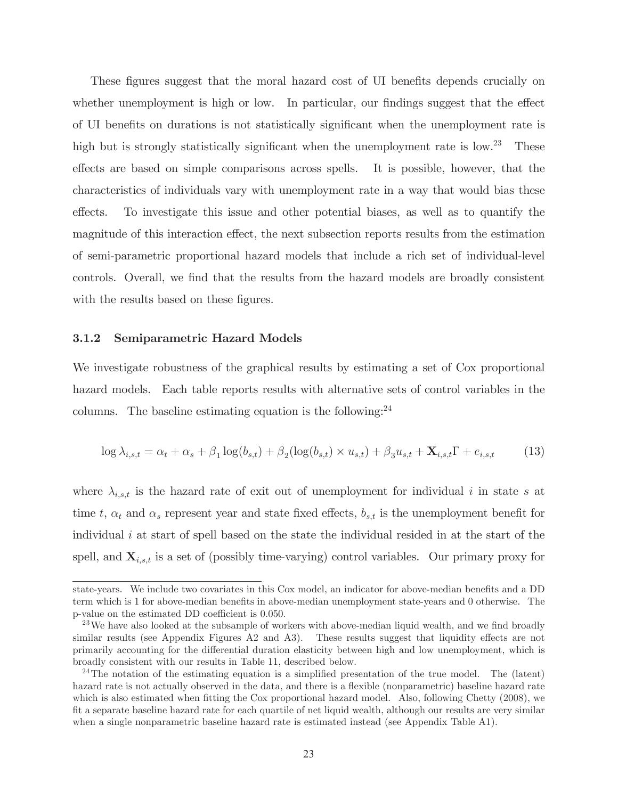These figures suggest that the moral hazard cost of UI benefits depends crucially on whether unemployment is high or low. In particular, our findings suggest that the effect of UI benefits on durations is not statistically significant when the unemployment rate is high but is strongly statistically significant when the unemployment rate is low.<sup>23</sup> These effects are based on simple comparisons across spells. It is possible, however, that the characteristics of individuals vary with unemployment rate in a way that would bias these effects. To investigate this issue and other potential biases, as well as to quantify the magnitude of this interaction effect, the next subsection reports results from the estimation of semi-parametric proportional hazard models that include a rich set of individual-level controls. Overall, we find that the results from the hazard models are broadly consistent with the results based on these figures.

### 3.1.2 Semiparametric Hazard Models

We investigate robustness of the graphical results by estimating a set of Cox proportional hazard models. Each table reports results with alternative sets of control variables in the columns. The baseline estimating equation is the following:  $24$ 

$$
\log \lambda_{i,s,t} = \alpha_t + \alpha_s + \beta_1 \log(b_{s,t}) + \beta_2 (\log(b_{s,t}) \times u_{s,t}) + \beta_3 u_{s,t} + \mathbf{X}_{i,s,t} \Gamma + e_{i,s,t} \tag{13}
$$

where  $\lambda_{i,s,t}$  is the hazard rate of exit out of unemployment for individual i in state s at time t,  $\alpha_t$  and  $\alpha_s$  represent year and state fixed effects,  $b_{s,t}$  is the unemployment benefit for individual  $i$  at start of spell based on the state the individual resided in at the start of the spell, and  $\mathbf{X}_{i,s,t}$  is a set of (possibly time-varying) control variables. Our primary proxy for

state-years. We include two covariates in this Cox model, an indicator for above-median benefits and a DD term which is 1 for above-median benefits in above-median unemployment state-years and 0 otherwise. The p-value on the estimated DD coefficient is 0.050.

 $23$  We have also looked at the subsample of workers with above-median liquid wealth, and we find broadly similar results (see Appendix Figures A2 and A3). These results suggest that liquidity effects are not primarily accounting for the differential duration elasticity between high and low unemployment, which is broadly consistent with our results in Table 11, described below.

<sup>&</sup>lt;sup>24</sup>The notation of the estimating equation is a simplified presentation of the true model. The (latent) hazard rate is not actually observed in the data, and there is a flexible (nonparametric) baseline hazard rate which is also estimated when fitting the Cox proportional hazard model. Also, following Chetty (2008), we fit a separate baseline hazard rate for each quartile of net liquid wealth, although our results are very similar when a single nonparametric baseline hazard rate is estimated instead (see Appendix Table A1).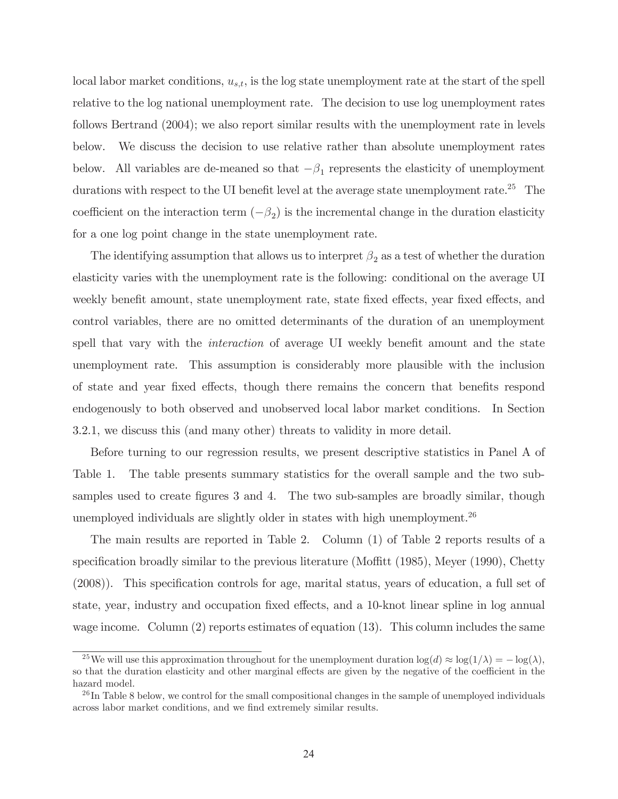local labor market conditions,  $u_{s,t}$ , is the log state unemployment rate at the start of the spell relative to the log national unemployment rate. The decision to use log unemployment rates follows Bertrand (2004); we also report similar results with the unemployment rate in levels below. We discuss the decision to use relative rather than absolute unemployment rates below. All variables are de-meaned so that  $-\beta_1$  represents the elasticity of unemployment durations with respect to the UI benefit level at the average state unemployment rate.<sup>25</sup> The coefficient on the interaction term  $(-\beta_2)$  is the incremental change in the duration elasticity for a one log point change in the state unemployment rate.

The identifying assumption that allows us to interpret  $\beta_2$  as a test of whether the duration elasticity varies with the unemployment rate is the following: conditional on the average UI weekly benefit amount, state unemployment rate, state fixed effects, year fixed effects, and control variables, there are no omitted determinants of the duration of an unemployment spell that vary with the *interaction* of average UI weekly benefit amount and the state unemployment rate. This assumption is considerably more plausible with the inclusion of state and year fixed effects, though there remains the concern that benefits respond endogenously to both observed and unobserved local labor market conditions. In Section 3.2.1, we discuss this (and many other) threats to validity in more detail.

Before turning to our regression results, we present descriptive statistics in Panel A of Table 1. The table presents summary statistics for the overall sample and the two subsamples used to create figures 3 and 4. The two sub-samples are broadly similar, though unemployed individuals are slightly older in states with high unemployment.<sup>26</sup>

The main results are reported in Table 2. Column (1) of Table 2 reports results of a specification broadly similar to the previous literature (Moffitt (1985), Meyer (1990), Chetty (2008)). This specification controls for age, marital status, years of education, a full set of state, year, industry and occupation fixed effects, and a 10-knot linear spline in log annual wage income. Column  $(2)$  reports estimates of equation  $(13)$ . This column includes the same

<sup>&</sup>lt;sup>25</sup>We will use this approximation throughout for the unemployment duration  $\log(d) \approx \log(1/\lambda) = -\log(\lambda)$ , so that the duration elasticity and other marginal effects are given by the negative of the coefficient in the hazard model.

 $^{26}$ In Table 8 below, we control for the small compositional changes in the sample of unemployed individuals across labor market conditions, and we find extremely similar results.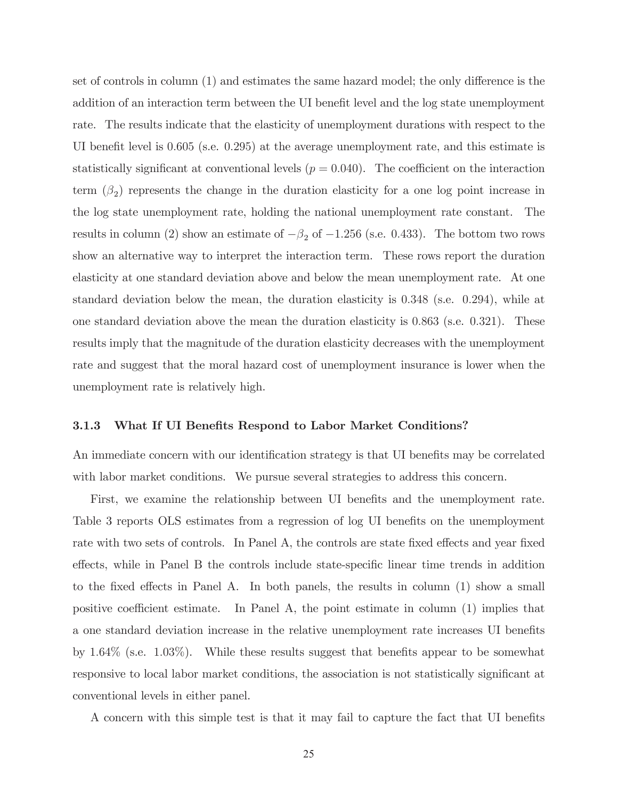set of controls in column (1) and estimates the same hazard model; the only difference is the addition of an interaction term between the UI benefit level and the log state unemployment rate. The results indicate that the elasticity of unemployment durations with respect to the UI benefit level is 0.605 (s.e. 0.295) at the average unemployment rate, and this estimate is statistically significant at conventional levels  $(p = 0.040)$ . The coefficient on the interaction term  $(\beta_2)$  represents the change in the duration elasticity for a one log point increase in the log state unemployment rate, holding the national unemployment rate constant. The results in column (2) show an estimate of  $-\beta_2$  of  $-1.256$  (s.e. 0.433). The bottom two rows show an alternative way to interpret the interaction term. These rows report the duration elasticity at one standard deviation above and below the mean unemployment rate. At one standard deviation below the mean, the duration elasticity is 0.348 (s.e. 0.294), while at one standard deviation above the mean the duration elasticity is 0.863 (s.e. 0.321). These results imply that the magnitude of the duration elasticity decreases with the unemployment rate and suggest that the moral hazard cost of unemployment insurance is lower when the unemployment rate is relatively high.

#### 3.1.3 What If UI Benefits Respond to Labor Market Conditions?

An immediate concern with our identification strategy is that UI benefits may be correlated with labor market conditions. We pursue several strategies to address this concern.

First, we examine the relationship between UI benefits and the unemployment rate. Table 3 reports OLS estimates from a regression of log UI benefits on the unemployment rate with two sets of controls. In Panel A, the controls are state fixed effects and year fixed effects, while in Panel B the controls include state-specific linear time trends in addition to the fixed effects in Panel A. In both panels, the results in column (1) show a small positive coefficient estimate. In Panel A, the point estimate in column (1) implies that a one standard deviation increase in the relative unemployment rate increases UI benefits by 1.64% (s.e. 1.03%). While these results suggest that benefits appear to be somewhat responsive to local labor market conditions, the association is not statistically significant at conventional levels in either panel.

A concern with this simple test is that it may fail to capture the fact that UI benefits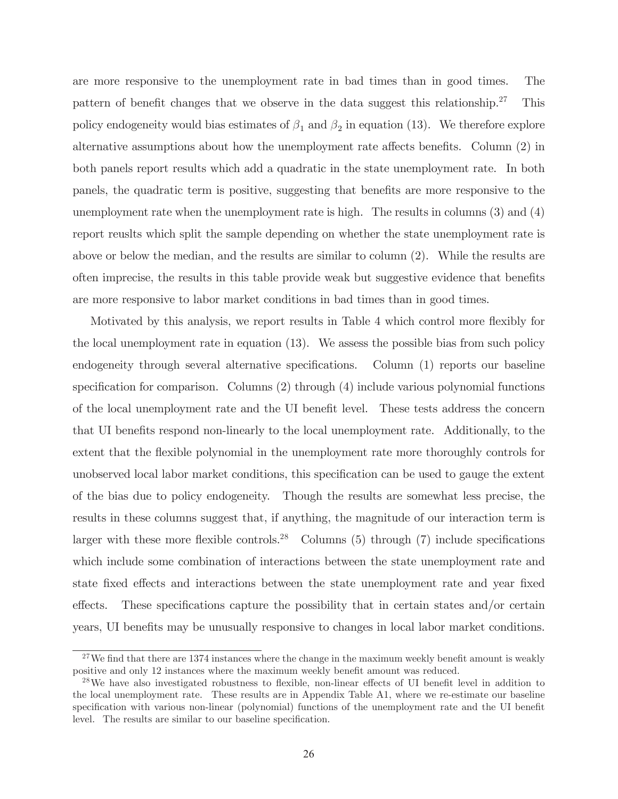are more responsive to the unemployment rate in bad times than in good times. The pattern of benefit changes that we observe in the data suggest this relationship.<sup>27</sup> This policy endogeneity would bias estimates of  $\beta_1$  and  $\beta_2$  in equation (13). We therefore explore alternative assumptions about how the unemployment rate affects benefits. Column (2) in both panels report results which add a quadratic in the state unemployment rate. In both panels, the quadratic term is positive, suggesting that benefits are more responsive to the unemployment rate when the unemployment rate is high. The results in columns (3) and (4) report reuslts which split the sample depending on whether the state unemployment rate is above or below the median, and the results are similar to column (2). While the results are often imprecise, the results in this table provide weak but suggestive evidence that benefits are more responsive to labor market conditions in bad times than in good times.

Motivated by this analysis, we report results in Table 4 which control more flexibly for the local unemployment rate in equation (13). We assess the possible bias from such policy endogeneity through several alternative specifications. Column (1) reports our baseline specification for comparison. Columns (2) through (4) include various polynomial functions of the local unemployment rate and the UI benefit level. These tests address the concern that UI benefits respond non-linearly to the local unemployment rate. Additionally, to the extent that the flexible polynomial in the unemployment rate more thoroughly controls for unobserved local labor market conditions, this specification can be used to gauge the extent of the bias due to policy endogeneity. Though the results are somewhat less precise, the results in these columns suggest that, if anything, the magnitude of our interaction term is larger with these more flexible controls.<sup>28</sup> Columns  $(5)$  through  $(7)$  include specifications which include some combination of interactions between the state unemployment rate and state fixed effects and interactions between the state unemployment rate and year fixed effects. These specifications capture the possibility that in certain states and/or certain years, UI benefits may be unusually responsive to changes in local labor market conditions.

 $27$ We find that there are 1374 instances where the change in the maximum weekly benefit amount is weakly positive and only 12 instances where the maximum weekly benefit amount was reduced.

<sup>&</sup>lt;sup>28</sup>We have also investigated robustness to flexible, non-linear effects of UI benefit level in addition to the local unemployment rate. These results are in Appendix Table A1, where we re-estimate our baseline specification with various non-linear (polynomial) functions of the unemployment rate and the UI benefit level. The results are similar to our baseline specification.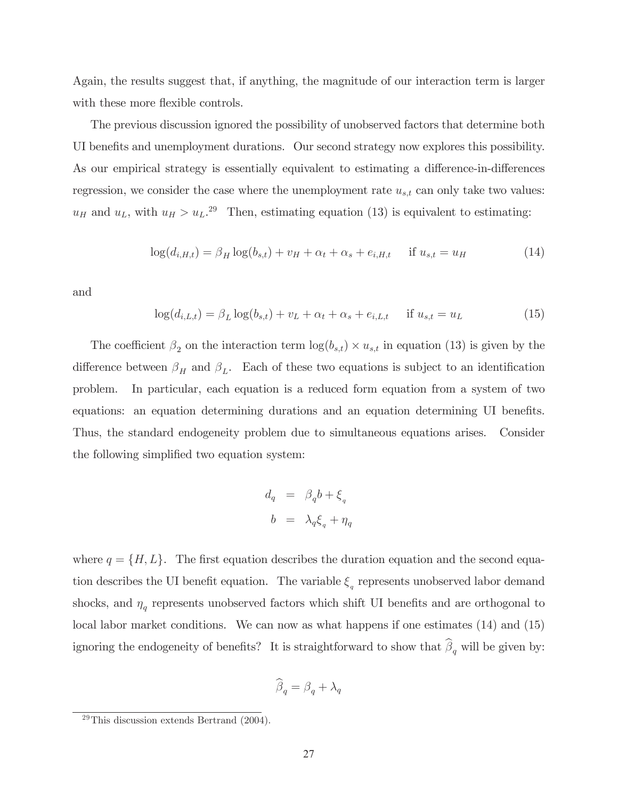Again, the results suggest that, if anything, the magnitude of our interaction term is larger with these more flexible controls.

The previous discussion ignored the possibility of unobserved factors that determine both UI benefits and unemployment durations. Our second strategy now explores this possibility. As our empirical strategy is essentially equivalent to estimating a difference-in-differences regression, we consider the case where the unemployment rate  $u_{s,t}$  can only take two values:  $u_H$  and  $u_L$ , with  $u_H > u_L$ .<sup>29</sup> Then, estimating equation (13) is equivalent to estimating:

$$
\log(d_{i,H,t}) = \beta_H \log(b_{s,t}) + v_H + \alpha_t + \alpha_s + e_{i,H,t} \quad \text{if } u_{s,t} = u_H \tag{14}
$$

and

$$
\log(d_{i,L,t}) = \beta_L \log(b_{s,t}) + v_L + \alpha_t + \alpha_s + e_{i,L,t} \quad \text{if } u_{s,t} = u_L \tag{15}
$$

The coefficient  $\beta_2$  on the interaction term  $\log(b_{s,t}) \times u_{s,t}$  in equation (13) is given by the difference between  $\beta_H$  and  $\beta_L$ . Each of these two equations is subject to an identification problem. In particular, each equation is a reduced form equation from a system of two equations: an equation determining durations and an equation determining UI benefits. Thus, the standard endogeneity problem due to simultaneous equations arises. Consider the following simplified two equation system:

$$
d_q = \beta_q b + \xi_q
$$
  

$$
b = \lambda_q \xi_q + \eta_q
$$

where  $q = \{H, L\}$ . The first equation describes the duration equation and the second equation describes the UI benefit equation. The variable  $\xi_q$  represents unobserved labor demand shocks, and  $\eta_q$  represents unobserved factors which shift UI benefits and are orthogonal to local labor market conditions. We can now as what happens if one estimates (14) and (15) ignoring the endogeneity of benefits? It is straightforward to show that  $\beta_q$  will be given by:

$$
\widehat{\beta}_q = \beta_q + \lambda_q
$$

 $29$ This discussion extends Bertrand (2004).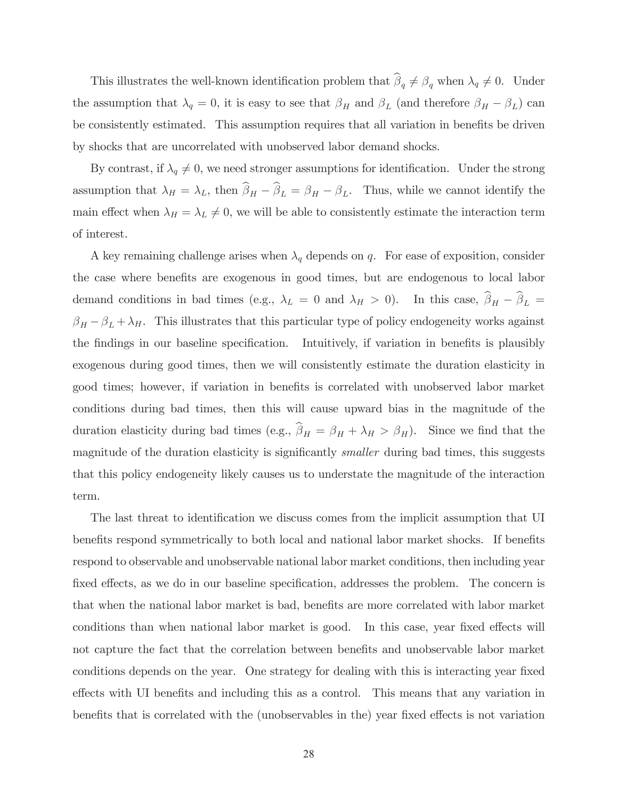This illustrates the well-known identification problem that  $\beta_q \neq \beta_q$  when  $\lambda_q \neq 0$ . Under the assumption that  $\lambda_q = 0$ , it is easy to see that  $\beta_H$  and  $\beta_L$  (and therefore  $\beta_H - \beta_L$ ) can be consistently estimated. This assumption requires that all variation in benefits be driven by shocks that are uncorrelated with unobserved labor demand shocks.

By contrast, if  $\lambda_q \neq 0$ , we need stronger assumptions for identification. Under the strong assumption that  $\lambda_H = \lambda_L$ , then  $\beta_H - \beta_L = \beta_H - \beta_L$ . Thus, while we cannot identify the main effect when  $\lambda_H = \lambda_L \neq 0$ , we will be able to consistently estimate the interaction term of interest.

A key remaining challenge arises when  $\lambda_q$  depends on q. For ease of exposition, consider the case where benefits are exogenous in good times, but are endogenous to local labor demand conditions in bad times (e.g.,  $\lambda_L = 0$  and  $\lambda_H > 0$ ). In this case,  $\beta_H - \beta_L =$  $\beta_H - \beta_L + \lambda_H$ . This illustrates that this particular type of policy endogeneity works against the findings in our baseline specification. Intuitively, if variation in benefits is plausibly exogenous during good times, then we will consistently estimate the duration elasticity in good times; however, if variation in benefits is correlated with unobserved labor market conditions during bad times, then this will cause upward bias in the magnitude of the duration elasticity during bad times (e.g.,  $\beta_H = \beta_H + \lambda_H > \beta_H$ ). Since we find that the magnitude of the duration elasticity is significantly *smaller* during bad times, this suggests that this policy endogeneity likely causes us to understate the magnitude of the interaction term.

The last threat to identification we discuss comes from the implicit assumption that UI benefits respond symmetrically to both local and national labor market shocks. If benefits respond to observable and unobservable national labor market conditions, then including year fixed effects, as we do in our baseline specification, addresses the problem. The concern is that when the national labor market is bad, benefits are more correlated with labor market conditions than when national labor market is good. In this case, year fixed effects will not capture the fact that the correlation between benefits and unobservable labor market conditions depends on the year. One strategy for dealing with this is interacting year fixed effects with UI benefits and including this as a control. This means that any variation in benefits that is correlated with the (unobservables in the) year fixed effects is not variation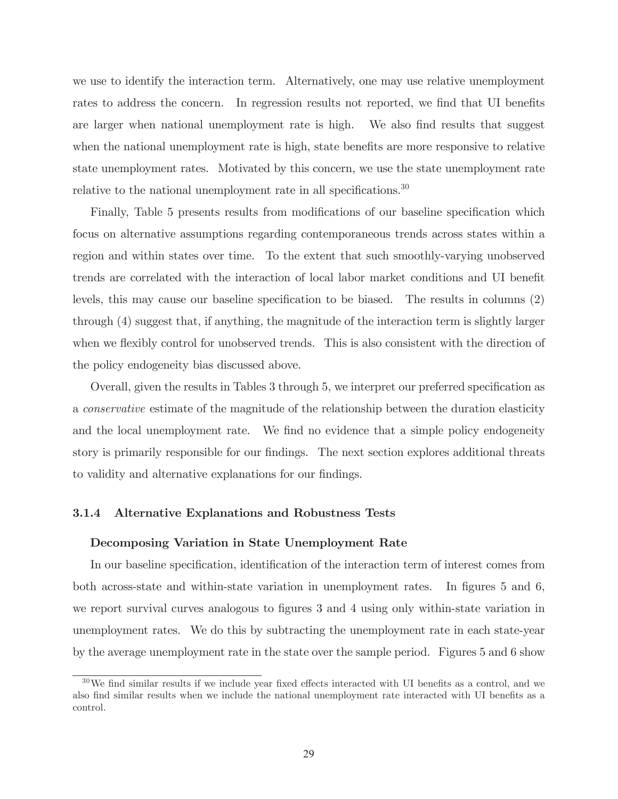we use to identify the interaction term. Alternatively, one may use relative unemployment rates to address the concern. In regression results not reported, we find that UI benefits are larger when national unemployment rate is high. We also find results that suggest when the national unemployment rate is high, state benefits are more responsive to relative state unemployment rates. Motivated by this concern, we use the state unemployment rate relative to the national unemployment rate in all specifications.<sup>30</sup>

Finally, Table 5 presents results from modifications of our baseline specification which focus on alternative assumptions regarding contemporaneous trends across states within a region and within states over time. To the extent that such smoothly-varying unobserved trends are correlated with the interaction of local labor market conditions and UI benefit levels, this may cause our baseline specification to be biased. The results in columns (2) through (4) suggest that, if anything, the magnitude of the interaction term is slightly larger when we flexibly control for unobserved trends. This is also consistent with the direction of the policy endogeneity bias discussed above.

Overall, given the results in Tables 3 through 5, we interpret our preferred specification as a conservative estimate of the magnitude of the relationship between the duration elasticity and the local unemployment rate. We find no evidence that a simple policy endogeneity story is primarily responsible for our findings. The next section explores additional threats to validity and alternative explanations for our findings.

#### 3.1.4 Alternative Explanations and Robustness Tests

#### Decomposing Variation in State Unemployment Rate

In our baseline specification, identification of the interaction term of interest comes from both across-state and within-state variation in unemployment rates. In figures 5 and 6, we report survival curves analogous to figures 3 and 4 using only within-state variation in unemployment rates. We do this by subtracting the unemployment rate in each state-year by the average unemployment rate in the state over the sample period. Figures 5 and 6 show

<sup>30</sup>We find similar results if we include year fixed effects interacted with UI benefits as a control, and we also find similar results when we include the national unemployment rate interacted with UI benefits as a control.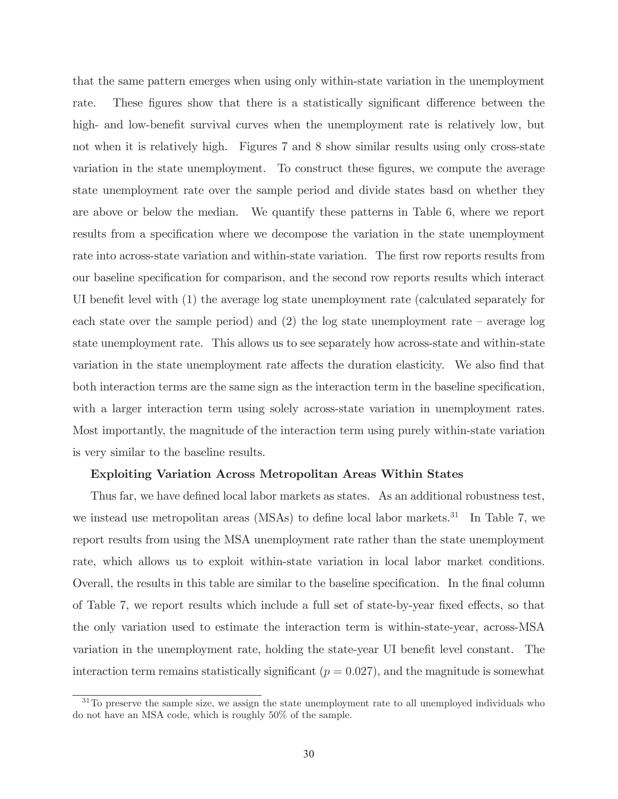that the same pattern emerges when using only within-state variation in the unemployment rate. These figures show that there is a statistically significant difference between the high- and low-benefit survival curves when the unemployment rate is relatively low, but not when it is relatively high. Figures 7 and 8 show similar results using only cross-state variation in the state unemployment. To construct these figures, we compute the average state unemployment rate over the sample period and divide states basd on whether they are above or below the median. We quantify these patterns in Table 6, where we report results from a specification where we decompose the variation in the state unemployment rate into across-state variation and within-state variation. The first row reports results from our baseline specification for comparison, and the second row reports results which interact UI benefit level with (1) the average log state unemployment rate (calculated separately for each state over the sample period) and  $(2)$  the log state unemployment rate – average log state unemployment rate. This allows us to see separately how across-state and within-state variation in the state unemployment rate affects the duration elasticity. We also find that both interaction terms are the same sign as the interaction term in the baseline specification, with a larger interaction term using solely across-state variation in unemployment rates. Most importantly, the magnitude of the interaction term using purely within-state variation is very similar to the baseline results.

### Exploiting Variation Across Metropolitan Areas Within States

Thus far, we have defined local labor markets as states. As an additional robustness test, we instead use metropolitan areas (MSAs) to define local labor markets.<sup>31</sup> In Table 7, we report results from using the MSA unemployment rate rather than the state unemployment rate, which allows us to exploit within-state variation in local labor market conditions. Overall, the results in this table are similar to the baseline specification. In the final column of Table 7, we report results which include a full set of state-by-year fixed effects, so that the only variation used to estimate the interaction term is within-state-year, across-MSA variation in the unemployment rate, holding the state-year UI benefit level constant. The interaction term remains statistically significant  $(p = 0.027)$ , and the magnitude is somewhat

 $31$ To preserve the sample size, we assign the state unemployment rate to all unemployed individuals who do not have an MSA code, which is roughly 50% of the sample.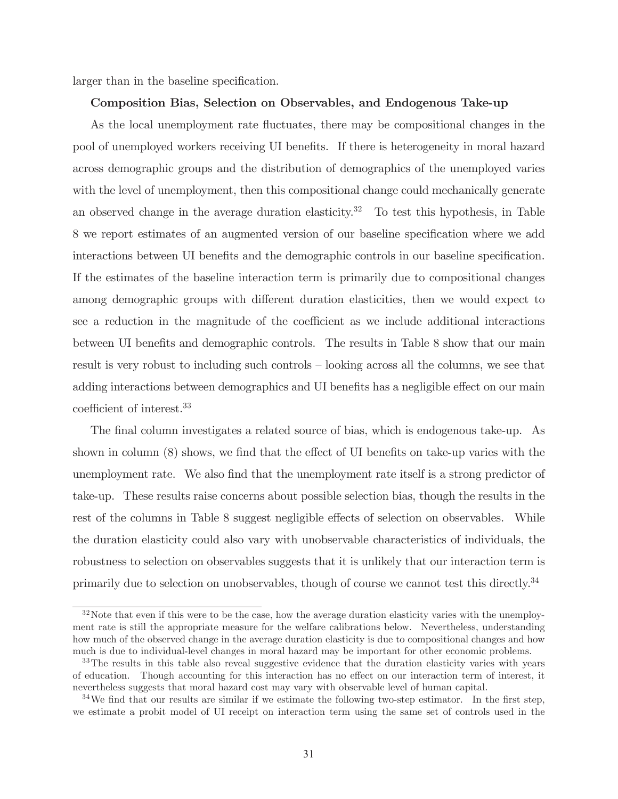larger than in the baseline specification.

#### Composition Bias, Selection on Observables, and Endogenous Take-up

As the local unemployment rate fluctuates, there may be compositional changes in the pool of unemployed workers receiving UI benefits. If there is heterogeneity in moral hazard across demographic groups and the distribution of demographics of the unemployed varies with the level of unemployment, then this compositional change could mechanically generate an observed change in the average duration elasticity.<sup>32</sup> To test this hypothesis, in Table 8 we report estimates of an augmented version of our baseline specification where we add interactions between UI benefits and the demographic controls in our baseline specification. If the estimates of the baseline interaction term is primarily due to compositional changes among demographic groups with different duration elasticities, then we would expect to see a reduction in the magnitude of the coefficient as we include additional interactions between UI benefits and demographic controls. The results in Table 8 show that our main result is very robust to including such controls — looking across all the columns, we see that adding interactions between demographics and UI benefits has a negligible effect on our main coefficient of interest.33

The final column investigates a related source of bias, which is endogenous take-up. As shown in column (8) shows, we find that the effect of UI benefits on take-up varies with the unemployment rate. We also find that the unemployment rate itself is a strong predictor of take-up. These results raise concerns about possible selection bias, though the results in the rest of the columns in Table 8 suggest negligible effects of selection on observables. While the duration elasticity could also vary with unobservable characteristics of individuals, the robustness to selection on observables suggests that it is unlikely that our interaction term is primarily due to selection on unobservables, though of course we cannot test this directly.<sup>34</sup>

 $32\,\text{Note that even if this were to be the case, how the average duration elasticity varies with the unempty-}$ ment rate is still the appropriate measure for the welfare calibrations below. Nevertheless, understanding how much of the observed change in the average duration elasticity is due to compositional changes and how much is due to individual-level changes in moral hazard may be important for other economic problems.

<sup>&</sup>lt;sup>33</sup>The results in this table also reveal suggestive evidence that the duration elasticity varies with years of education. Though accounting for this interaction has no effect on our interaction term of interest, it nevertheless suggests that moral hazard cost may vary with observable level of human capital.

 $34$ We find that our results are similar if we estimate the following two-step estimator. In the first step, we estimate a probit model of UI receipt on interaction term using the same set of controls used in the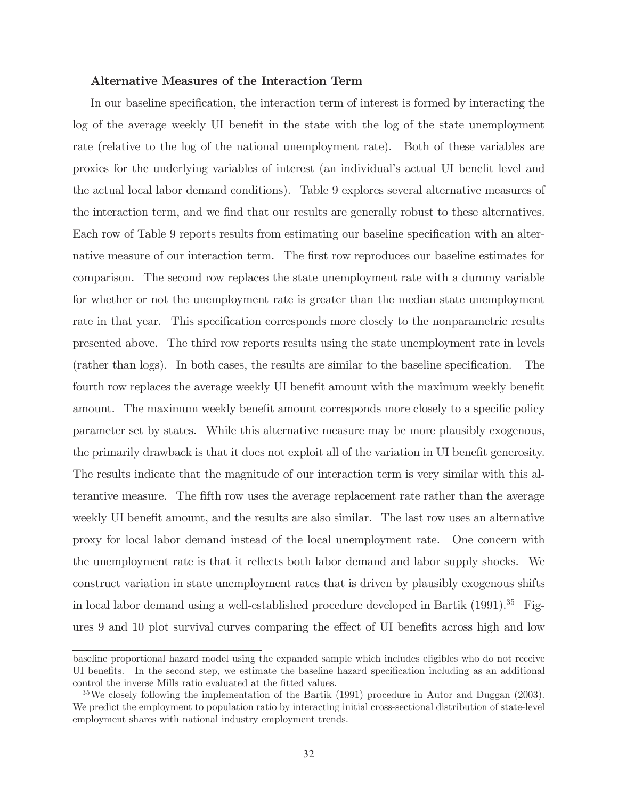### Alternative Measures of the Interaction Term

In our baseline specification, the interaction term of interest is formed by interacting the log of the average weekly UI benefit in the state with the log of the state unemployment rate (relative to the log of the national unemployment rate). Both of these variables are proxies for the underlying variables of interest (an individual's actual UI benefit level and the actual local labor demand conditions). Table 9 explores several alternative measures of the interaction term, and we find that our results are generally robust to these alternatives. Each row of Table 9 reports results from estimating our baseline specification with an alternative measure of our interaction term. The first row reproduces our baseline estimates for comparison. The second row replaces the state unemployment rate with a dummy variable for whether or not the unemployment rate is greater than the median state unemployment rate in that year. This specification corresponds more closely to the nonparametric results presented above. The third row reports results using the state unemployment rate in levels (rather than logs). In both cases, the results are similar to the baseline specification. The fourth row replaces the average weekly UI benefit amount with the maximum weekly benefit amount. The maximum weekly benefit amount corresponds more closely to a specific policy parameter set by states. While this alternative measure may be more plausibly exogenous, the primarily drawback is that it does not exploit all of the variation in UI benefit generosity. The results indicate that the magnitude of our interaction term is very similar with this alterantive measure. The fifth row uses the average replacement rate rather than the average weekly UI benefit amount, and the results are also similar. The last row uses an alternative proxy for local labor demand instead of the local unemployment rate. One concern with the unemployment rate is that it reflects both labor demand and labor supply shocks. We construct variation in state unemployment rates that is driven by plausibly exogenous shifts in local labor demand using a well-established procedure developed in Bartik  $(1991).^{35}$  Figures 9 and 10 plot survival curves comparing the effect of UI benefits across high and low

baseline proportional hazard model using the expanded sample which includes eligibles who do not receive UI benefits. In the second step, we estimate the baseline hazard specification including as an additional control the inverse Mills ratio evaluated at the fitted values.

<sup>35</sup>We closely following the implementation of the Bartik (1991) procedure in Autor and Duggan (2003). We predict the employment to population ratio by interacting initial cross-sectional distribution of state-level employment shares with national industry employment trends.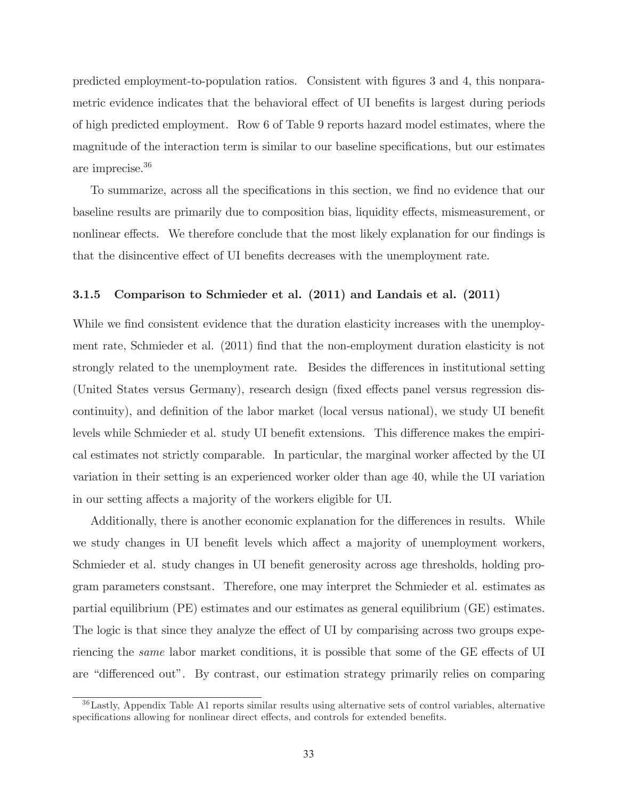predicted employment-to-population ratios. Consistent with figures 3 and 4, this nonparametric evidence indicates that the behavioral effect of UI benefits is largest during periods of high predicted employment. Row 6 of Table 9 reports hazard model estimates, where the magnitude of the interaction term is similar to our baseline specifications, but our estimates are imprecise.36

To summarize, across all the specifications in this section, we find no evidence that our baseline results are primarily due to composition bias, liquidity effects, mismeasurement, or nonlinear effects. We therefore conclude that the most likely explanation for our findings is that the disincentive effect of UI benefits decreases with the unemployment rate.

### 3.1.5 Comparison to Schmieder et al. (2011) and Landais et al. (2011)

While we find consistent evidence that the duration elasticity increases with the unemployment rate, Schmieder et al. (2011) find that the non-employment duration elasticity is not strongly related to the unemployment rate. Besides the differences in institutional setting (United States versus Germany), research design (fixed effects panel versus regression discontinuity), and definition of the labor market (local versus national), we study UI benefit levels while Schmieder et al. study UI benefit extensions. This difference makes the empirical estimates not strictly comparable. In particular, the marginal worker affected by the UI variation in their setting is an experienced worker older than age 40, while the UI variation in our setting affects a majority of the workers eligible for UI.

Additionally, there is another economic explanation for the differences in results. While we study changes in UI benefit levels which affect a majority of unemployment workers, Schmieder et al. study changes in UI benefit generosity across age thresholds, holding program parameters constsant. Therefore, one may interpret the Schmieder et al. estimates as partial equilibrium (PE) estimates and our estimates as general equilibrium (GE) estimates. The logic is that since they analyze the effect of UI by comparising across two groups experiencing the same labor market conditions, it is possible that some of the GE effects of UI are "differenced out". By contrast, our estimation strategy primarily relies on comparing

<sup>36</sup>Lastly, Appendix Table A1 reports similar results using alternative sets of control variables, alternative specifications allowing for nonlinear direct effects, and controls for extended benefits.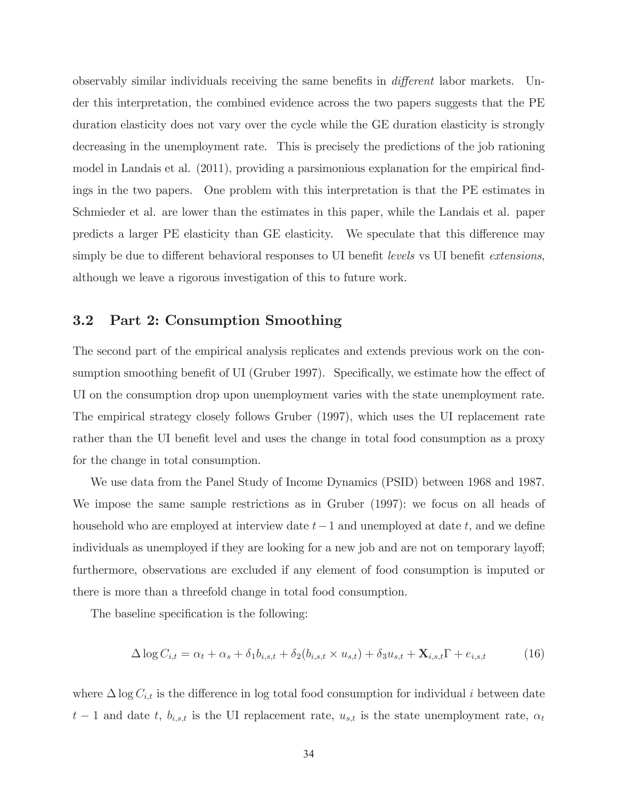observably similar individuals receiving the same benefits in different labor markets. Under this interpretation, the combined evidence across the two papers suggests that the PE duration elasticity does not vary over the cycle while the GE duration elasticity is strongly decreasing in the unemployment rate. This is precisely the predictions of the job rationing model in Landais et al. (2011), providing a parsimonious explanation for the empirical findings in the two papers. One problem with this interpretation is that the PE estimates in Schmieder et al. are lower than the estimates in this paper, while the Landais et al. paper predicts a larger PE elasticity than GE elasticity. We speculate that this difference may simply be due to different behavioral responses to UI benefit *levels* vs UI benefit extensions, although we leave a rigorous investigation of this to future work.

## 3.2 Part 2: Consumption Smoothing

The second part of the empirical analysis replicates and extends previous work on the consumption smoothing benefit of UI (Gruber 1997). Specifically, we estimate how the effect of UI on the consumption drop upon unemployment varies with the state unemployment rate. The empirical strategy closely follows Gruber (1997), which uses the UI replacement rate rather than the UI benefit level and uses the change in total food consumption as a proxy for the change in total consumption.

We use data from the Panel Study of Income Dynamics (PSID) between 1968 and 1987. We impose the same sample restrictions as in Gruber (1997): we focus on all heads of household who are employed at interview date  $t-1$  and unemployed at date  $t$ , and we define individuals as unemployed if they are looking for a new job and are not on temporary layoff; furthermore, observations are excluded if any element of food consumption is imputed or there is more than a threefold change in total food consumption.

The baseline specification is the following:

$$
\Delta \log C_{i,t} = \alpha_t + \alpha_s + \delta_1 b_{i,s,t} + \delta_2 (b_{i,s,t} \times u_{s,t}) + \delta_3 u_{s,t} + \mathbf{X}_{i,s,t} \Gamma + e_{i,s,t} \tag{16}
$$

where  $\Delta \log C_{i,t}$  is the difference in log total food consumption for individual i between date  $t-1$  and date t,  $b_{i,s,t}$  is the UI replacement rate,  $u_{s,t}$  is the state unemployment rate,  $\alpha_t$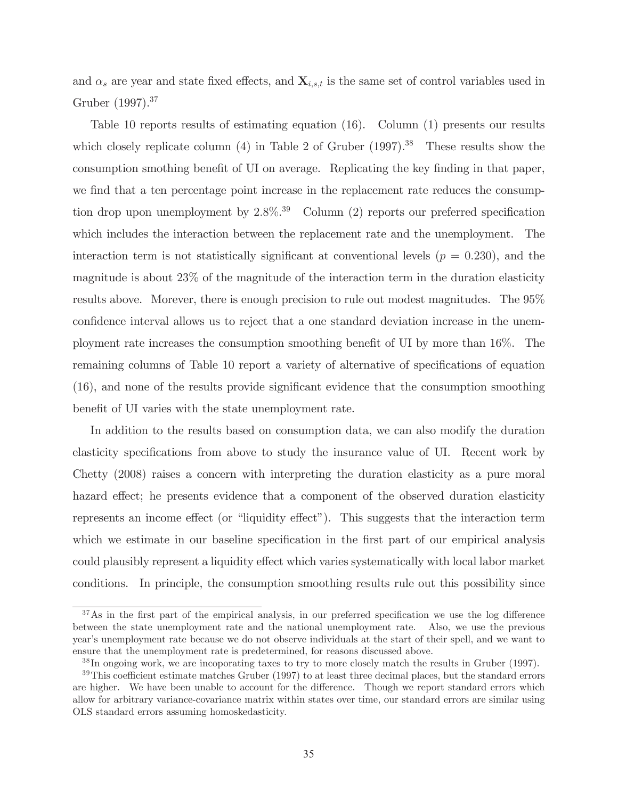and  $\alpha_s$  are year and state fixed effects, and  $\mathbf{X}_{i,s,t}$  is the same set of control variables used in Gruber (1997).<sup>37</sup>

Table 10 reports results of estimating equation (16). Column (1) presents our results which closely replicate column  $(4)$  in Table 2 of Gruber  $(1997).$ <sup>38</sup> These results show the consumption smothing benefit of UI on average. Replicating the key finding in that paper, we find that a ten percentage point increase in the replacement rate reduces the consumption drop upon unemployment by  $2.8\%$ <sup>39</sup> Column (2) reports our preferred specification which includes the interaction between the replacement rate and the unemployment. The interaction term is not statistically significant at conventional levels  $(p = 0.230)$ , and the magnitude is about 23% of the magnitude of the interaction term in the duration elasticity results above. Morever, there is enough precision to rule out modest magnitudes. The 95% confidence interval allows us to reject that a one standard deviation increase in the unemployment rate increases the consumption smoothing benefit of UI by more than 16%. The remaining columns of Table 10 report a variety of alternative of specifications of equation (16), and none of the results provide significant evidence that the consumption smoothing benefit of UI varies with the state unemployment rate.

In addition to the results based on consumption data, we can also modify the duration elasticity specifications from above to study the insurance value of UI. Recent work by Chetty (2008) raises a concern with interpreting the duration elasticity as a pure moral hazard effect; he presents evidence that a component of the observed duration elasticity represents an income effect (or "liquidity effect"). This suggests that the interaction term which we estimate in our baseline specification in the first part of our empirical analysis could plausibly represent a liquidity effect which varies systematically with local labor market conditions. In principle, the consumption smoothing results rule out this possibility since

<sup>&</sup>lt;sup>37</sup>As in the first part of the empirical analysis, in our preferred specification we use the log difference between the state unemployment rate and the national unemployment rate. Also, we use the previous year's unemployment rate because we do not observe individuals at the start of their spell, and we want to ensure that the unemployment rate is predetermined, for reasons discussed above.

<sup>38</sup> In ongoing work, we are incoporating taxes to try to more closely match the results in Gruber (1997).

 $39$ This coefficient estimate matches Gruber (1997) to at least three decimal places, but the standard errors are higher. We have been unable to account for the difference. Though we report standard errors which allow for arbitrary variance-covariance matrix within states over time, our standard errors are similar using OLS standard errors assuming homoskedasticity.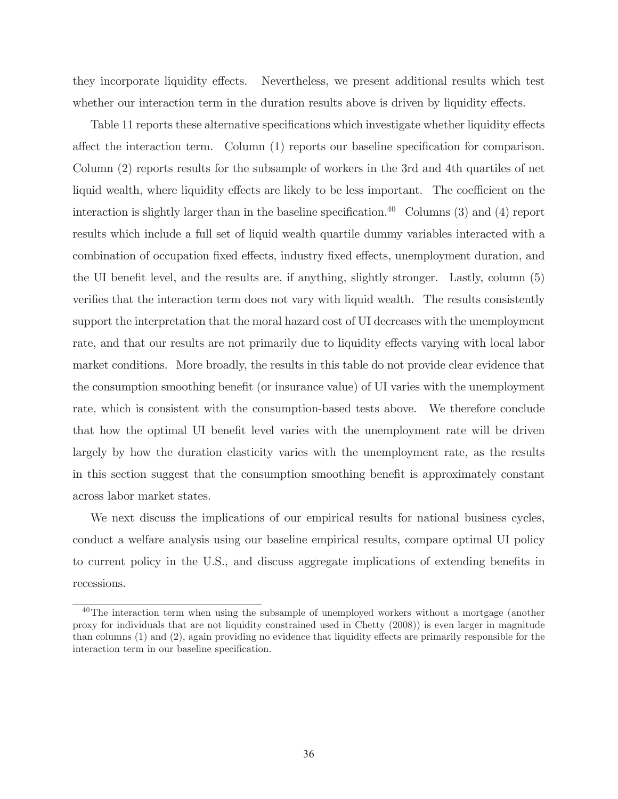they incorporate liquidity effects. Nevertheless, we present additional results which test whether our interaction term in the duration results above is driven by liquidity effects.

Table 11 reports these alternative specifications which investigate whether liquidity effects affect the interaction term. Column (1) reports our baseline specification for comparison. Column (2) reports results for the subsample of workers in the 3rd and 4th quartiles of net liquid wealth, where liquidity effects are likely to be less important. The coefficient on the interaction is slightly larger than in the baseline specification.<sup>40</sup> Columns (3) and (4) report results which include a full set of liquid wealth quartile dummy variables interacted with a combination of occupation fixed effects, industry fixed effects, unemployment duration, and the UI benefit level, and the results are, if anything, slightly stronger. Lastly, column (5) verifies that the interaction term does not vary with liquid wealth. The results consistently support the interpretation that the moral hazard cost of UI decreases with the unemployment rate, and that our results are not primarily due to liquidity effects varying with local labor market conditions. More broadly, the results in this table do not provide clear evidence that the consumption smoothing benefit (or insurance value) of UI varies with the unemployment rate, which is consistent with the consumption-based tests above. We therefore conclude that how the optimal UI benefit level varies with the unemployment rate will be driven largely by how the duration elasticity varies with the unemployment rate, as the results in this section suggest that the consumption smoothing benefit is approximately constant across labor market states.

We next discuss the implications of our empirical results for national business cycles, conduct a welfare analysis using our baseline empirical results, compare optimal UI policy to current policy in the U.S., and discuss aggregate implications of extending benefits in recessions.

<sup>&</sup>lt;sup>40</sup>The interaction term when using the subsample of unemployed workers without a mortgage (another proxy for individuals that are not liquidity constrained used in Chetty (2008)) is even larger in magnitude than columns (1) and (2), again providing no evidence that liquidity effects are primarily responsible for the interaction term in our baseline specification.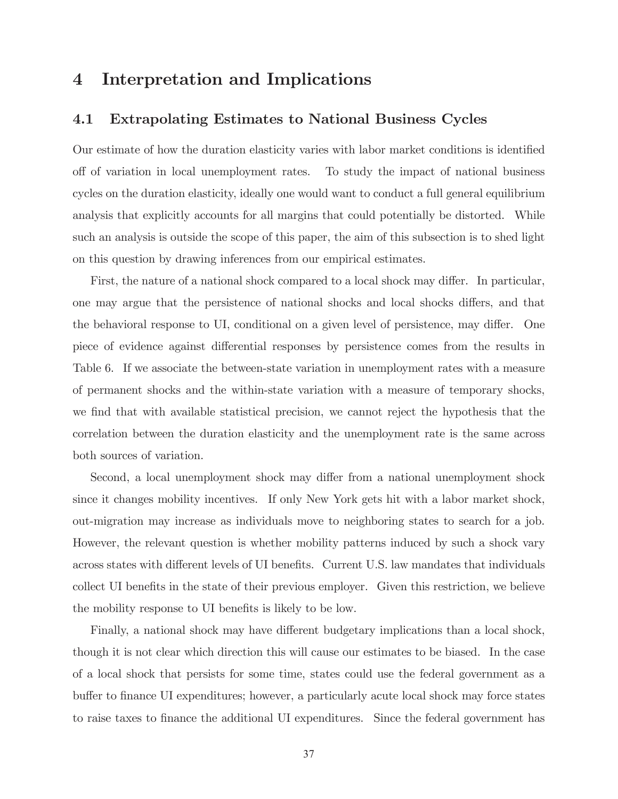# 4 Interpretation and Implications

## 4.1 Extrapolating Estimates to National Business Cycles

Our estimate of how the duration elasticity varies with labor market conditions is identified off of variation in local unemployment rates. To study the impact of national business cycles on the duration elasticity, ideally one would want to conduct a full general equilibrium analysis that explicitly accounts for all margins that could potentially be distorted. While such an analysis is outside the scope of this paper, the aim of this subsection is to shed light on this question by drawing inferences from our empirical estimates.

First, the nature of a national shock compared to a local shock may differ. In particular, one may argue that the persistence of national shocks and local shocks differs, and that the behavioral response to UI, conditional on a given level of persistence, may differ. One piece of evidence against differential responses by persistence comes from the results in Table 6. If we associate the between-state variation in unemployment rates with a measure of permanent shocks and the within-state variation with a measure of temporary shocks, we find that with available statistical precision, we cannot reject the hypothesis that the correlation between the duration elasticity and the unemployment rate is the same across both sources of variation.

Second, a local unemployment shock may differ from a national unemployment shock since it changes mobility incentives. If only New York gets hit with a labor market shock, out-migration may increase as individuals move to neighboring states to search for a job. However, the relevant question is whether mobility patterns induced by such a shock vary across states with different levels of UI benefits. Current U.S. law mandates that individuals collect UI benefits in the state of their previous employer. Given this restriction, we believe the mobility response to UI benefits is likely to be low.

Finally, a national shock may have different budgetary implications than a local shock, though it is not clear which direction this will cause our estimates to be biased. In the case of a local shock that persists for some time, states could use the federal government as a buffer to finance UI expenditures; however, a particularly acute local shock may force states to raise taxes to finance the additional UI expenditures. Since the federal government has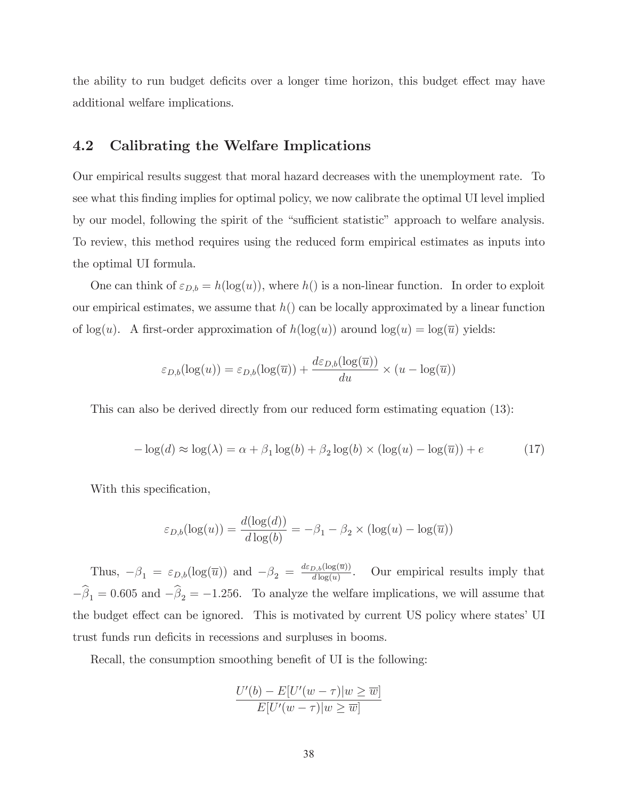the ability to run budget deficits over a longer time horizon, this budget effect may have additional welfare implications.

## 4.2 Calibrating the Welfare Implications

Our empirical results suggest that moral hazard decreases with the unemployment rate. To see what this finding implies for optimal policy, we now calibrate the optimal UI level implied by our model, following the spirit of the "sufficient statistic" approach to welfare analysis. To review, this method requires using the reduced form empirical estimates as inputs into the optimal UI formula.

One can think of  $\varepsilon_{D,b} = h(\log(u))$ , where  $h()$  is a non-linear function. In order to exploit our empirical estimates, we assume that  $h()$  can be locally approximated by a linear function of  $log(u)$ . A first-order approximation of  $h(log(u))$  around  $log(u) = log(\overline{u})$  yields:

$$
\varepsilon_{D,b}(\log(u)) = \varepsilon_{D,b}(\log(\overline{u})) + \frac{d\varepsilon_{D,b}(\log(\overline{u}))}{du} \times (u - \log(\overline{u}))
$$

This can also be derived directly from our reduced form estimating equation (13):

$$
-\log(d) \approx \log(\lambda) = \alpha + \beta_1 \log(b) + \beta_2 \log(b) \times (\log(u) - \log(\overline{u})) + e \tag{17}
$$

With this specification,

$$
\varepsilon_{D,b}(\log(u)) = \frac{d(\log(d))}{d \log(b)} = -\beta_1 - \beta_2 \times (\log(u) - \log(\overline{u}))
$$

Thus,  $-\beta_1 = \varepsilon_{D,b}(\log(\overline{u}))$  and  $-\beta_2 = \frac{d\varepsilon_{D,b}(\log(\overline{u}))}{d \log(u)}$ . Our empirical results imply that  $-\beta_1 = 0.605$  and  $-\beta_2 = -1.256$ . To analyze the welfare implications, we will assume that the budget effect can be ignored. This is motivated by current US policy where states' UI trust funds run deficits in recessions and surpluses in booms.

Recall, the consumption smoothing benefit of UI is the following:

$$
\frac{U'(b) - E[U'(w - \tau)|w \geq \overline{w}]}{E[U'(w - \tau)|w \geq \overline{w}]}
$$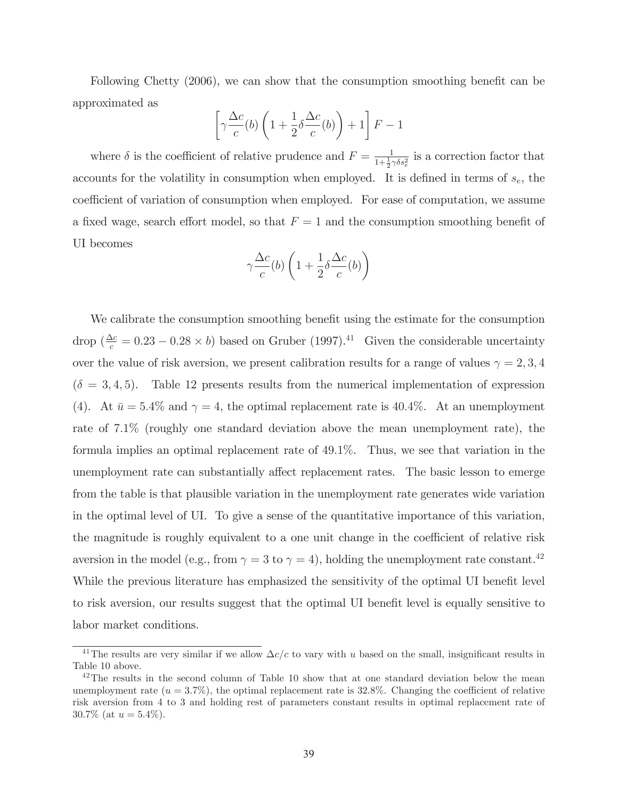Following Chetty (2006), we can show that the consumption smoothing benefit can be approximated as

$$
\left[\gamma \frac{\Delta c}{c}(b) \left(1 + \frac{1}{2} \delta \frac{\Delta c}{c}(b)\right) + 1\right] F - 1
$$

where  $\delta$  is the coefficient of relative prudence and  $F = \frac{1}{1 + \frac{1}{2}\gamma \delta s_e^2}$  is a correction factor that accounts for the volatility in consumption when employed. It is defined in terms of  $s_e$ , the coefficient of variation of consumption when employed. For ease of computation, we assume a fixed wage, search effort model, so that  $F = 1$  and the consumption smoothing benefit of UI becomes

$$
\gamma \frac{\Delta c}{c}(b) \left( 1 + \frac{1}{2} \delta \frac{\Delta c}{c}(b) \right)
$$

We calibrate the consumption smoothing benefit using the estimate for the consumption drop ( $\frac{\Delta c}{c} = 0.23 - 0.28 \times b$ ) based on Gruber (1997).<sup>41</sup> Given the considerable uncertainty over the value of risk aversion, we present calibration results for a range of values  $\gamma = 2, 3, 4$  $(\delta = 3, 4, 5)$ . Table 12 presents results from the numerical implementation of expression (4). At  $\bar{u} = 5.4\%$  and  $\gamma = 4$ , the optimal replacement rate is 40.4%. At an unemployment rate of 7.1% (roughly one standard deviation above the mean unemployment rate), the formula implies an optimal replacement rate of 49.1%. Thus, we see that variation in the unemployment rate can substantially affect replacement rates. The basic lesson to emerge from the table is that plausible variation in the unemployment rate generates wide variation in the optimal level of UI. To give a sense of the quantitative importance of this variation, the magnitude is roughly equivalent to a one unit change in the coefficient of relative risk aversion in the model (e.g., from  $\gamma = 3$  to  $\gamma = 4$ ), holding the unemployment rate constant.<sup>42</sup> While the previous literature has emphasized the sensitivity of the optimal UI benefit level to risk aversion, our results suggest that the optimal UI benefit level is equally sensitive to labor market conditions.

<sup>&</sup>lt;sup>41</sup>The results are very similar if we allow  $\Delta c/c$  to vary with u based on the small, insignificant results in Table 10 above.

 $^{42}$ The results in the second column of Table 10 show that at one standard deviation below the mean unemployment rate  $(u = 3.7\%)$ , the optimal replacement rate is 32.8%. Changing the coefficient of relative risk aversion from 4 to 3 and holding rest of parameters constant results in optimal replacement rate of 30.7% (at  $u = 5.4\%$ ).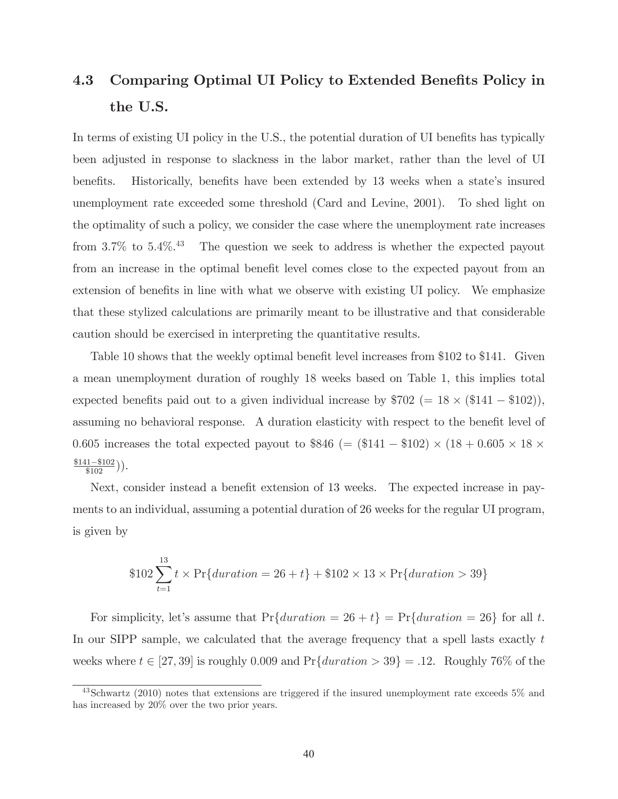# 4.3 Comparing Optimal UI Policy to Extended Benefits Policy in the U.S.

In terms of existing UI policy in the U.S., the potential duration of UI benefits has typically been adjusted in response to slackness in the labor market, rather than the level of UI benefits. Historically, benefits have been extended by 13 weeks when a state's insured unemployment rate exceeded some threshold (Card and Levine, 2001). To shed light on the optimality of such a policy, we consider the case where the unemployment rate increases from  $3.7\%$  to  $5.4\%$ .<sup>43</sup> The question we seek to address is whether the expected payout from an increase in the optimal benefit level comes close to the expected payout from an extension of benefits in line with what we observe with existing UI policy. We emphasize that these stylized calculations are primarily meant to be illustrative and that considerable caution should be exercised in interpreting the quantitative results.

Table 10 shows that the weekly optimal benefit level increases from \$102 to \$141. Given a mean unemployment duration of roughly 18 weeks based on Table 1, this implies total expected benefits paid out to a given individual increase by  $$702 (= 18 \times ($141 - $102)),$ assuming no behavioral response. A duration elasticity with respect to the benefit level of 0.605 increases the total expected payout to  $$846 (= ($141 - $102) \times (18 + 0.605 \times 18 \times$  $\frac{$141 - $102}{$102}\big)$ .

Next, consider instead a benefit extension of 13 weeks. The expected increase in payments to an individual, assuming a potential duration of 26 weeks for the regular UI program, is given by

$$
$102 \sum_{t=1}^{13} t \times \Pr{duration = 26 + t} + $102 \times 13 \times \Pr{duration > 39}
$$

For simplicity, let's assume that  $Pr{duration = 26 + t} = Pr{duration = 26}$  for all t. In our SIPP sample, we calculated that the average frequency that a spell lasts exactly t weeks where  $t \in [27, 39]$  is roughly 0.009 and  $Pr{duration > 39} = .12$ . Roughly 76\% of the

<sup>43</sup>Schwartz (2010) notes that extensions are triggered if the insured unemployment rate exceeds 5% and has increased by 20% over the two prior years.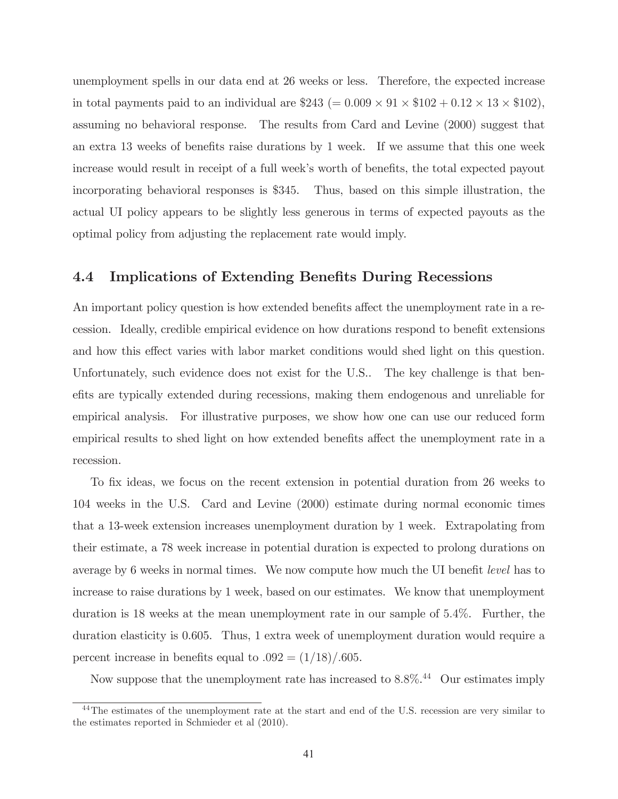unemployment spells in our data end at 26 weeks or less. Therefore, the expected increase in total payments paid to an individual are  $$243 (= 0.009 \times 91 \times $102 + 0.12 \times 13 \times $102)$ , assuming no behavioral response. The results from Card and Levine (2000) suggest that an extra 13 weeks of benefits raise durations by 1 week. If we assume that this one week increase would result in receipt of a full week's worth of benefits, the total expected payout incorporating behavioral responses is \$345. Thus, based on this simple illustration, the actual UI policy appears to be slightly less generous in terms of expected payouts as the optimal policy from adjusting the replacement rate would imply.

## 4.4 Implications of Extending Benefits During Recessions

An important policy question is how extended benefits affect the unemployment rate in a recession. Ideally, credible empirical evidence on how durations respond to benefit extensions and how this effect varies with labor market conditions would shed light on this question. Unfortunately, such evidence does not exist for the U.S.. The key challenge is that benefits are typically extended during recessions, making them endogenous and unreliable for empirical analysis. For illustrative purposes, we show how one can use our reduced form empirical results to shed light on how extended benefits affect the unemployment rate in a recession.

To fix ideas, we focus on the recent extension in potential duration from 26 weeks to 104 weeks in the U.S. Card and Levine (2000) estimate during normal economic times that a 13-week extension increases unemployment duration by 1 week. Extrapolating from their estimate, a 78 week increase in potential duration is expected to prolong durations on average by 6 weeks in normal times. We now compute how much the UI benefit level has to increase to raise durations by 1 week, based on our estimates. We know that unemployment duration is 18 weeks at the mean unemployment rate in our sample of 5.4%. Further, the duration elasticity is 0.605. Thus, 1 extra week of unemployment duration would require a percent increase in benefits equal to  $.092 = (1/18)/.605$ .

Now suppose that the unemployment rate has increased to  $8.8\%$ <sup>44</sup> Our estimates imply

<sup>&</sup>lt;sup>44</sup>The estimates of the unemployment rate at the start and end of the U.S. recession are very similar to the estimates reported in Schmieder et al (2010).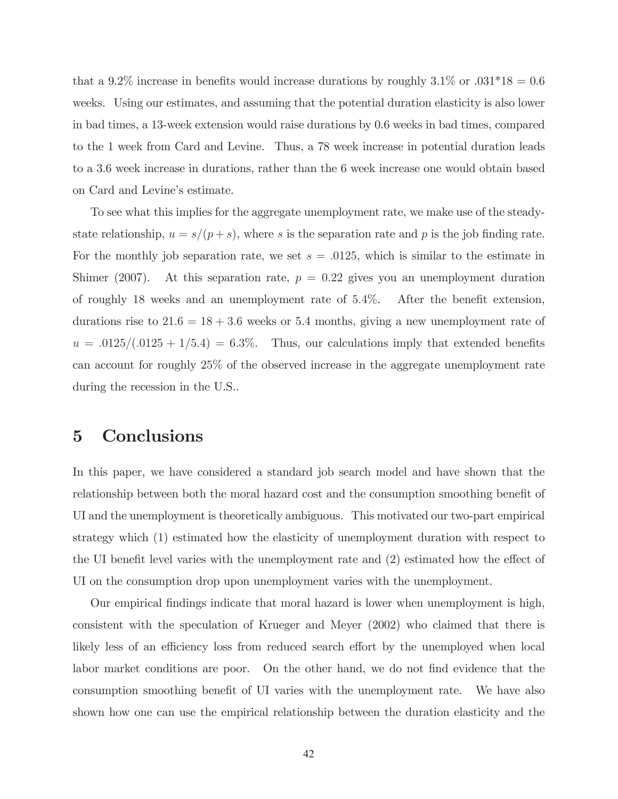that a 9.2% increase in benefits would increase durations by roughly  $3.1\%$  or  $.031*18 = 0.6$ weeks. Using our estimates, and assuming that the potential duration elasticity is also lower in bad times, a 13-week extension would raise durations by 0.6 weeks in bad times, compared to the 1 week from Card and Levine. Thus, a 78 week increase in potential duration leads to a 3.6 week increase in durations, rather than the 6 week increase one would obtain based on Card and Levine's estimate.

To see what this implies for the aggregate unemployment rate, we make use of the steadystate relationship,  $u = s/(p + s)$ , where s is the separation rate and p is the job finding rate. For the monthly job separation rate, we set  $s = .0125$ , which is similar to the estimate in Shimer (2007). At this separation rate,  $p = 0.22$  gives you an unemployment duration of roughly 18 weeks and an unemployment rate of 5.4%. After the benefit extension, durations rise to  $21.6 = 18 + 3.6$  weeks or 5.4 months, giving a new unemployment rate of  $u = .0125/(.0125 + 1/5.4) = 6.3\%$ . Thus, our calculations imply that extended benefits can account for roughly 25% of the observed increase in the aggregate unemployment rate during the recession in the U.S..

# 5 Conclusions

In this paper, we have considered a standard job search model and have shown that the relationship between both the moral hazard cost and the consumption smoothing benefit of UI and the unemployment is theoretically ambiguous. This motivated our two-part empirical strategy which (1) estimated how the elasticity of unemployment duration with respect to the UI benefit level varies with the unemployment rate and (2) estimated how the effect of UI on the consumption drop upon unemployment varies with the unemployment.

Our empirical findings indicate that moral hazard is lower when unemployment is high, consistent with the speculation of Krueger and Meyer (2002) who claimed that there is likely less of an efficiency loss from reduced search effort by the unemployed when local labor market conditions are poor. On the other hand, we do not find evidence that the consumption smoothing benefit of UI varies with the unemployment rate. We have also shown how one can use the empirical relationship between the duration elasticity and the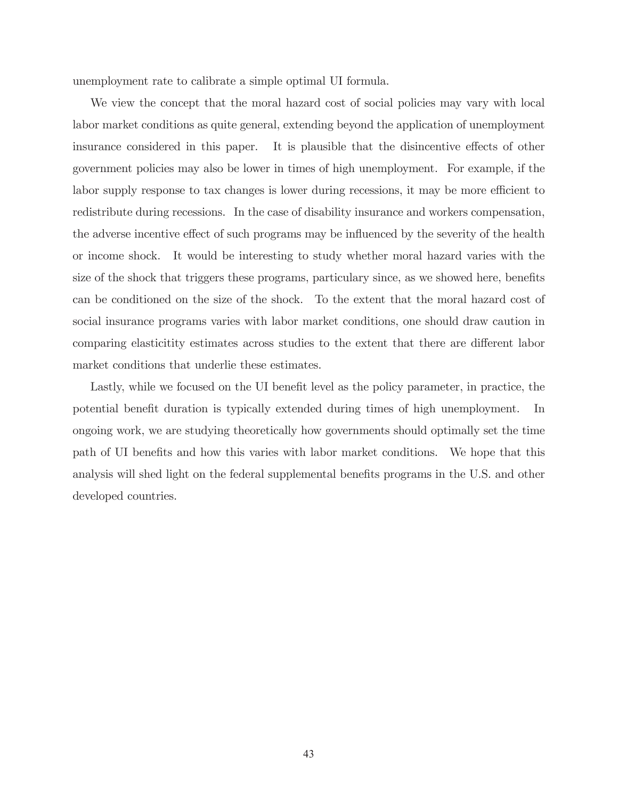unemployment rate to calibrate a simple optimal UI formula.

We view the concept that the moral hazard cost of social policies may vary with local labor market conditions as quite general, extending beyond the application of unemployment insurance considered in this paper. It is plausible that the disincentive effects of other government policies may also be lower in times of high unemployment. For example, if the labor supply response to tax changes is lower during recessions, it may be more efficient to redistribute during recessions. In the case of disability insurance and workers compensation, the adverse incentive effect of such programs may be influenced by the severity of the health or income shock. It would be interesting to study whether moral hazard varies with the size of the shock that triggers these programs, particulary since, as we showed here, benefits can be conditioned on the size of the shock. To the extent that the moral hazard cost of social insurance programs varies with labor market conditions, one should draw caution in comparing elasticitity estimates across studies to the extent that there are different labor market conditions that underlie these estimates.

Lastly, while we focused on the UI benefit level as the policy parameter, in practice, the potential benefit duration is typically extended during times of high unemployment. In ongoing work, we are studying theoretically how governments should optimally set the time path of UI benefits and how this varies with labor market conditions. We hope that this analysis will shed light on the federal supplemental benefits programs in the U.S. and other developed countries.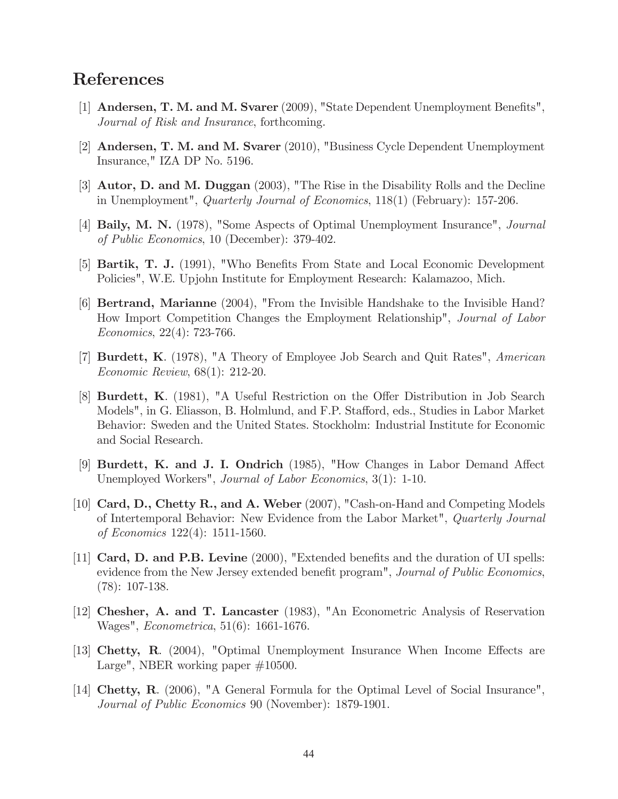# References

- [1] Andersen, T. M. and M. Svarer (2009), "State Dependent Unemployment Benefits", Journal of Risk and Insurance, forthcoming.
- [2] Andersen, T. M. and M. Svarer (2010), "Business Cycle Dependent Unemployment Insurance," IZA DP No. 5196.
- [3] Autor, D. and M. Duggan (2003), "The Rise in the Disability Rolls and the Decline in Unemployment", *Quarterly Journal of Economics*,  $118(1)$  (February): 157-206.
- [4] Baily, M. N. (1978), "Some Aspects of Optimal Unemployment Insurance", Journal of Public Economics, 10 (December): 379-402.
- [5] Bartik, T. J. (1991), "Who Benefits From State and Local Economic Development Policies", W.E. Upjohn Institute for Employment Research: Kalamazoo, Mich.
- [6] Bertrand, Marianne (2004), "From the Invisible Handshake to the Invisible Hand? How Import Competition Changes the Employment Relationship", Journal of Labor Economics, 22(4): 723-766.
- [7] Burdett, K. (1978), "A Theory of Employee Job Search and Quit Rates", American Economic Review, 68(1): 212-20.
- [8] Burdett, K. (1981), "A Useful Restriction on the Offer Distribution in Job Search Models", in G. Eliasson, B. Holmlund, and F.P. Stafford, eds., Studies in Labor Market Behavior: Sweden and the United States. Stockholm: Industrial Institute for Economic and Social Research.
- [9] Burdett, K. and J. I. Ondrich (1985), "How Changes in Labor Demand Affect Unemployed Workers", Journal of Labor Economics, 3(1): 1-10.
- [10] Card, D., Chetty R., and A. Weber (2007), "Cash-on-Hand and Competing Models of Intertemporal Behavior: New Evidence from the Labor Market", Quarterly Journal of Economics 122(4): 1511-1560.
- [11] Card, D. and P.B. Levine (2000), "Extended benefits and the duration of UI spells: evidence from the New Jersey extended benefit program", *Journal of Public Economics*, (78): 107-138.
- [12] Chesher, A. and T. Lancaster (1983), "An Econometric Analysis of Reservation Wages", Econometrica, 51(6): 1661-1676.
- [13] Chetty, R. (2004), "Optimal Unemployment Insurance When Income Effects are Large", NBER working paper #10500.
- [14] Chetty, R. (2006), "A General Formula for the Optimal Level of Social Insurance", Journal of Public Economics 90 (November): 1879-1901.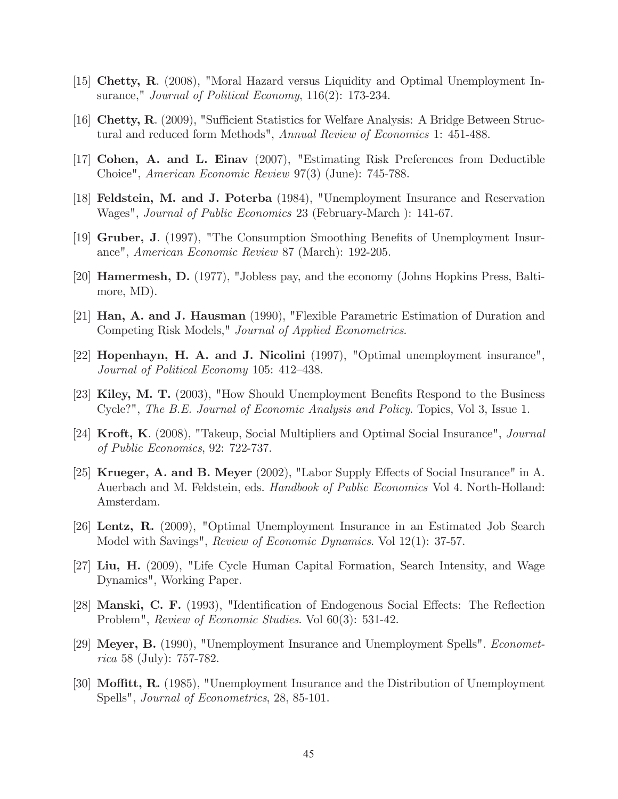- [15] Chetty, R. (2008), "Moral Hazard versus Liquidity and Optimal Unemployment Insurance," *Journal of Political Economy*, 116(2): 173-234.
- [16] Chetty, R. (2009), "Sufficient Statistics for Welfare Analysis: A Bridge Between Structural and reduced form Methods", Annual Review of Economics 1: 451-488.
- [17] Cohen, A. and L. Einav (2007), "Estimating Risk Preferences from Deductible Choice", American Economic Review 97(3) (June): 745-788.
- [18] Feldstein, M. and J. Poterba (1984), "Unemployment Insurance and Reservation Wages", Journal of Public Economics 23 (February-March ): 141-67.
- [19] Gruber, J. (1997), "The Consumption Smoothing Benefits of Unemployment Insurance", American Economic Review 87 (March): 192-205.
- [20] Hamermesh, D. (1977), "Jobless pay, and the economy (Johns Hopkins Press, Baltimore, MD).
- [21] Han, A. and J. Hausman (1990), "Flexible Parametric Estimation of Duration and Competing Risk Models," Journal of Applied Econometrics.
- [22] Hopenhayn, H. A. and J. Nicolini (1997), "Optimal unemployment insurance", Journal of Political Economy 105: 412—438.
- [23] Kiley, M. T. (2003), "How Should Unemployment Benefits Respond to the Business Cycle?", The B.E. Journal of Economic Analysis and Policy. Topics, Vol 3, Issue 1.
- [24] Kroft, K. (2008), "Takeup, Social Multipliers and Optimal Social Insurance", Journal of Public Economics, 92: 722-737.
- [25] Krueger, A. and B. Meyer (2002), "Labor Supply Effects of Social Insurance" in A. Auerbach and M. Feldstein, eds. Handbook of Public Economics Vol 4. North-Holland: Amsterdam.
- [26] Lentz, R. (2009), "Optimal Unemployment Insurance in an Estimated Job Search Model with Savings", *Review of Economic Dynamics*. Vol 12(1): 37-57.
- [27] Liu, H. (2009), "Life Cycle Human Capital Formation, Search Intensity, and Wage Dynamics", Working Paper.
- [28] Manski, C. F. (1993), "Identification of Endogenous Social Effects: The Reflection Problem", Review of Economic Studies. Vol 60(3): 531-42.
- [29] Meyer, B. (1990), "Unemployment Insurance and Unemployment Spells". Econometrica 58 (July): 757-782.
- [30] Moffitt, R. (1985), "Unemployment Insurance and the Distribution of Unemployment Spells", Journal of Econometrics, 28, 85-101.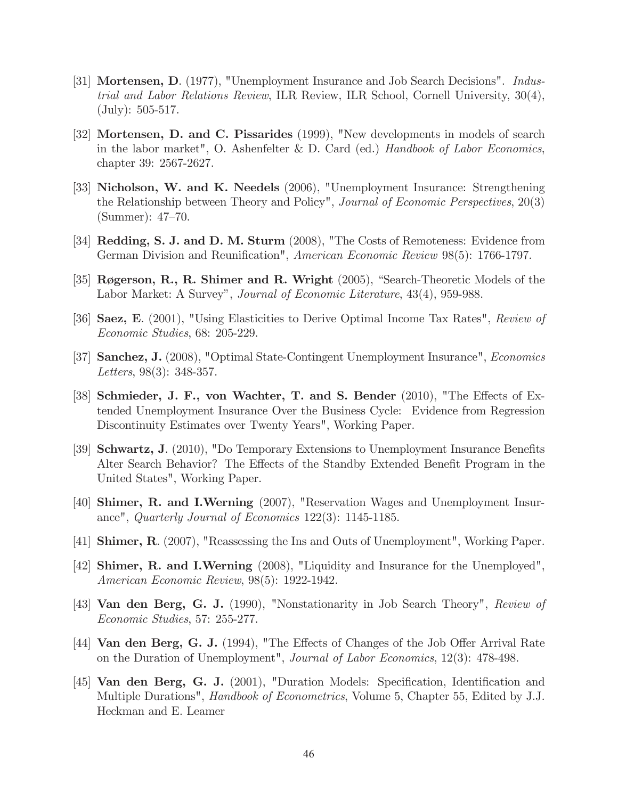- [31] Mortensen, D. (1977), "Unemployment Insurance and Job Search Decisions". Industrial and Labor Relations Review, ILR Review, ILR School, Cornell University, 30(4), (July): 505-517.
- [32] Mortensen, D. and C. Pissarides (1999), "New developments in models of search in the labor market", O. Ashenfelter & D. Card (ed.) Handbook of Labor Economics, chapter 39: 2567-2627.
- [33] Nicholson, W. and K. Needels (2006), "Unemployment Insurance: Strengthening the Relationship between Theory and Policy", Journal of Economic Perspectives, 20(3) (Summer): 47—70.
- [34] Redding, S. J. and D. M. Sturm (2008), "The Costs of Remoteness: Evidence from German Division and Reunification", American Economic Review 98(5): 1766-1797.
- [35] Røgerson, R., R. Shimer and R. Wright (2005), "Search-Theoretic Models of the Labor Market: A Survey", Journal of Economic Literature, 43(4), 959-988.
- [36] Saez, E. (2001), "Using Elasticities to Derive Optimal Income Tax Rates", Review of Economic Studies, 68: 205-229.
- [37] Sanchez, J. (2008), "Optimal State-Contingent Unemployment Insurance", Economics Letters, 98(3): 348-357.
- [38] Schmieder, J. F., von Wachter, T. and S. Bender (2010), "The Effects of Extended Unemployment Insurance Over the Business Cycle: Evidence from Regression Discontinuity Estimates over Twenty Years", Working Paper.
- [39] Schwartz, J. (2010), "Do Temporary Extensions to Unemployment Insurance Benefits Alter Search Behavior? The Effects of the Standby Extended Benefit Program in the United States", Working Paper.
- [40] Shimer, R. and I.Werning (2007), "Reservation Wages and Unemployment Insurance", Quarterly Journal of Economics 122(3): 1145-1185.
- [41] Shimer, R. (2007), "Reassessing the Ins and Outs of Unemployment", Working Paper.
- [42] Shimer, R. and I.Werning (2008), "Liquidity and Insurance for the Unemployed", American Economic Review, 98(5): 1922-1942.
- [43] Van den Berg, G. J. (1990), "Nonstationarity in Job Search Theory", Review of Economic Studies, 57: 255-277.
- [44] **Van den Berg, G. J.** (1994), "The Effects of Changes of the Job Offer Arrival Rate on the Duration of Unemployment", Journal of Labor Economics, 12(3): 478-498.
- [45] **Van den Berg, G. J.** (2001), "Duration Models: Specification, Identification and Multiple Durations", *Handbook of Econometrics*, Volume 5, Chapter 55, Edited by J.J. Heckman and E. Leamer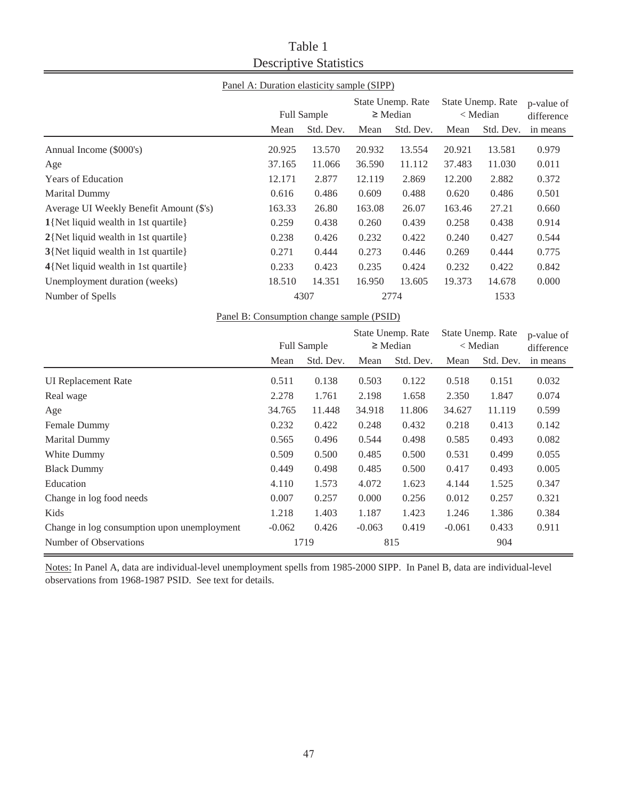# Table 1 Descriptive Statistics

## Panel A: Duration elasticity sample (SIPP)

|                                         |        | <b>Full Sample</b> |        | State Unemp. Rate<br>$\geq$ Median |        | State Unemp. Rate<br>$<$ Median |          |
|-----------------------------------------|--------|--------------------|--------|------------------------------------|--------|---------------------------------|----------|
|                                         | Mean   | Std. Dev.          | Mean   | Std. Dev.                          | Mean   | Std. Dev.                       | in means |
| Annual Income (\$000's)                 | 20.925 | 13.570             | 20.932 | 13.554                             | 20.921 | 13.581                          | 0.979    |
| Age                                     | 37.165 | 11.066             | 36.590 | 11.112                             | 37.483 | 11.030                          | 0.011    |
| <b>Years of Education</b>               | 12.171 | 2.877              | 12.119 | 2.869                              | 12.200 | 2.882                           | 0.372    |
| <b>Marital Dummy</b>                    | 0.616  | 0.486              | 0.609  | 0.488                              | 0.620  | 0.486                           | 0.501    |
| Average UI Weekly Benefit Amount (\$'s) | 163.33 | 26.80              | 163.08 | 26.07                              | 163.46 | 27.21                           | 0.660    |
| 1{Net liquid wealth in 1st quartile}    | 0.259  | 0.438              | 0.260  | 0.439                              | 0.258  | 0.438                           | 0.914    |
| 2{Net liquid wealth in 1st quartile}    | 0.238  | 0.426              | 0.232  | 0.422                              | 0.240  | 0.427                           | 0.544    |
| 3{Net liquid wealth in 1st quartile}    | 0.271  | 0.444              | 0.273  | 0.446                              | 0.269  | 0.444                           | 0.775    |
| 4{Net liquid wealth in 1st quartile}    | 0.233  | 0.423              | 0.235  | 0.424                              | 0.232  | 0.422                           | 0.842    |
| Unemployment duration (weeks)           | 18.510 | 14.351             | 16.950 | 13.605                             | 19.373 | 14.678                          | 0.000    |
| Number of Spells                        |        | 4307               |        | 2774                               |        | 1533                            |          |

Panel B: Consumption change sample (PSID)

|                                             | Full Sample |           | State Unemp. Rate<br>$\geq$ Median |           | State Unemp. Rate<br>$<$ Median |           | p-value of<br>difference |
|---------------------------------------------|-------------|-----------|------------------------------------|-----------|---------------------------------|-----------|--------------------------|
|                                             | Mean        | Std. Dev. | Mean                               | Std. Dev. | Mean                            | Std. Dev. | in means                 |
| <b>UI Replacement Rate</b>                  | 0.511       | 0.138     | 0.503                              | 0.122     | 0.518                           | 0.151     | 0.032                    |
| Real wage                                   | 2.278       | 1.761     | 2.198                              | 1.658     | 2.350                           | 1.847     | 0.074                    |
| Age                                         | 34.765      | 11.448    | 34.918                             | 11.806    | 34.627                          | 11.119    | 0.599                    |
| Female Dummy                                | 0.232       | 0.422     | 0.248                              | 0.432     | 0.218                           | 0.413     | 0.142                    |
| <b>Marital Dummy</b>                        | 0.565       | 0.496     | 0.544                              | 0.498     | 0.585                           | 0.493     | 0.082                    |
| White Dummy                                 | 0.509       | 0.500     | 0.485                              | 0.500     | 0.531                           | 0.499     | 0.055                    |
| <b>Black Dummy</b>                          | 0.449       | 0.498     | 0.485                              | 0.500     | 0.417                           | 0.493     | 0.005                    |
| Education                                   | 4.110       | 1.573     | 4.072                              | 1.623     | 4.144                           | 1.525     | 0.347                    |
| Change in log food needs                    | 0.007       | 0.257     | 0.000                              | 0.256     | 0.012                           | 0.257     | 0.321                    |
| Kids                                        | 1.218       | 1.403     | 1.187                              | 1.423     | 1.246                           | 1.386     | 0.384                    |
| Change in log consumption upon unemployment | $-0.062$    | 0.426     | $-0.063$                           | 0.419     | $-0.061$                        | 0.433     | 0.911                    |
| Number of Observations                      |             | 1719      |                                    | 815       |                                 | 904       |                          |

Notes: In Panel A, data are individual-level unemployment spells from 1985-2000 SIPP. In Panel B, data are individual-level observations from 1968-1987 PSID. See text for details.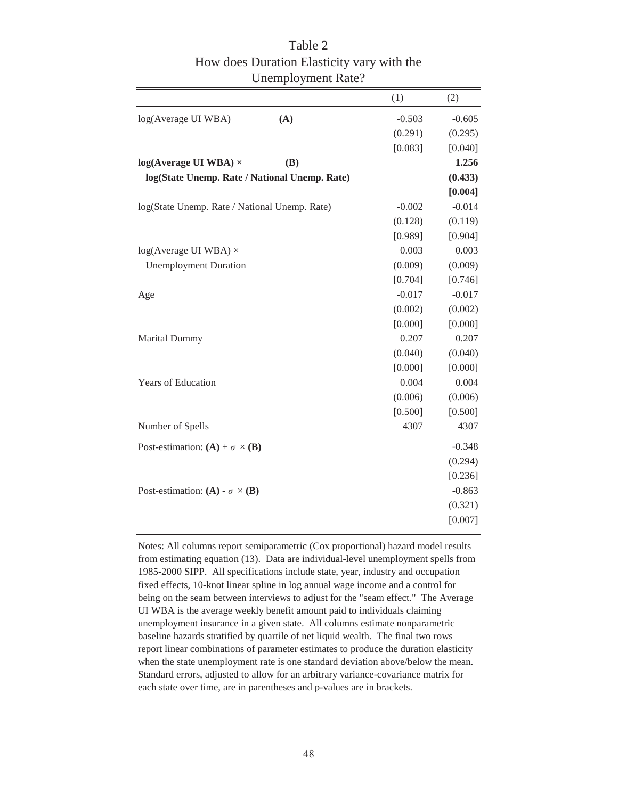|                                               | (1)      | (2)      |
|-----------------------------------------------|----------|----------|
| log(Average UI WBA)<br>(A)                    | $-0.503$ | $-0.605$ |
|                                               | (0.291)  | (0.295)  |
|                                               | [0.083]  | [0.040]  |
| $log(Average UI WBA)$ ×<br>(B)                |          | 1.256    |
| log(State Unemp. Rate / National Unemp. Rate) |          | (0.433)  |
|                                               |          | [0.004]  |
| log(State Unemp. Rate / National Unemp. Rate) | $-0.002$ | $-0.014$ |
|                                               | (0.128)  | (0.119)  |
|                                               | [0.989]  | [0.904]  |
| $log(Average UI WBA)$ ×                       | 0.003    | 0.003    |
| <b>Unemployment Duration</b>                  | (0.009)  | (0.009)  |
|                                               | [0.704]  | [0.746]  |
| Age                                           | $-0.017$ | $-0.017$ |
|                                               | (0.002)  | (0.002)  |
|                                               | [0.000]  | [0.000]  |
| Marital Dummy                                 | 0.207    | 0.207    |
|                                               | (0.040)  | (0.040)  |
|                                               | [0.000]  | [0.000]  |
| <b>Years of Education</b>                     | 0.004    | 0.004    |
|                                               | (0.006)  | (0.006)  |
|                                               | [0.500]  | [0.500]  |
| Number of Spells                              | 4307     | 4307     |
| Post-estimation: $(A) + \sigma \times (B)$    |          | $-0.348$ |
|                                               |          | (0.294)  |
|                                               |          | [0.236]  |
| Post-estimation: (A) - $\sigma \times (B)$    |          | $-0.863$ |
|                                               |          | (0.321)  |
|                                               |          | [0.007]  |

Table 2 How does Duration Elasticity vary with the Unemployment Rate?

Notes: All columns report semiparametric (Cox proportional) hazard model results from estimating equation (13). Data are individual-level unemployment spells from 1985-2000 SIPP. All specifications include state, year, industry and occupation fixed effects, 10-knot linear spline in log annual wage income and a control for being on the seam between interviews to adjust for the "seam effect." The Average UI WBA is the average weekly benefit amount paid to individuals claiming unemployment insurance in a given state. All columns estimate nonparametric baseline hazards stratified by quartile of net liquid wealth. The final two rows report linear combinations of parameter estimates to produce the duration elasticity when the state unemployment rate is one standard deviation above/below the mean. Standard errors, adjusted to allow for an arbitrary variance-covariance matrix for each state over time, are in parentheses and p-values are in brackets.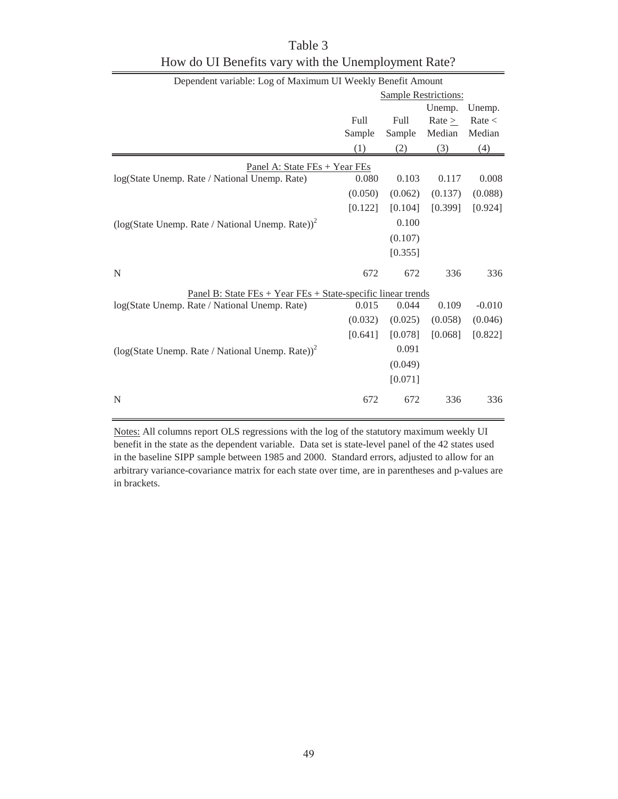| Dependent variable: Log of Maximum UI Weekly Benefit Amount            |                             |         |         |          |  |  |  |
|------------------------------------------------------------------------|-----------------------------|---------|---------|----------|--|--|--|
|                                                                        | <b>Sample Restrictions:</b> |         |         |          |  |  |  |
|                                                                        |                             |         | Unemp.  | Unemp.   |  |  |  |
|                                                                        | Full                        | Full    | Rate >  | Rate <   |  |  |  |
|                                                                        | Sample                      | Sample  | Median  | Median   |  |  |  |
|                                                                        | (1)                         | (2)     | (3)     | (4)      |  |  |  |
| Panel A: State FEs + Year FEs                                          |                             |         |         |          |  |  |  |
| log(State Unemp. Rate / National Unemp. Rate)                          | 0.080                       | 0.103   | 0.117   | 0.008    |  |  |  |
|                                                                        | (0.050)                     | (0.062) | (0.137) | (0.088)  |  |  |  |
|                                                                        | [0.122]                     | [0.104] | [0.399] | [0.924]  |  |  |  |
| $\left(\log(\text{State Unemp. Rate / National Unemp. Rate})\right)^2$ |                             | 0.100   |         |          |  |  |  |
|                                                                        |                             | (0.107) |         |          |  |  |  |
|                                                                        |                             | [0.355] |         |          |  |  |  |
| N                                                                      | 672                         | 672     | 336     | 336      |  |  |  |
| <u> Panel B: State FEs + Year FEs + State-specific linear trends</u>   |                             |         |         |          |  |  |  |
| log(State Unemp. Rate / National Unemp. Rate)                          | 0.015                       | 0.044   | 0.109   | $-0.010$ |  |  |  |
|                                                                        | (0.032)                     | (0.025) | (0.058) | (0.046)  |  |  |  |
|                                                                        | [0.641]                     | [0.078] | [0.068] | [0.822]  |  |  |  |
| $\left(\log(\text{State Unemp. Rate / National Unemp. Rate})\right)^2$ |                             | 0.091   |         |          |  |  |  |
|                                                                        |                             | (0.049) |         |          |  |  |  |
|                                                                        |                             | [0.071] |         |          |  |  |  |
| N                                                                      | 672                         | 672     | 336     | 336      |  |  |  |

Table 3 How do UI Benefits vary with the Unemployment Rate?

Notes: All columns report OLS regressions with the log of the statutory maximum weekly UI benefit in the state as the dependent variable. Data set is state-level panel of the 42 states used in the baseline SIPP sample between 1985 and 2000. Standard errors, adjusted to allow for an arbitrary variance-covariance matrix for each state over time, are in parentheses and p-values are in brackets.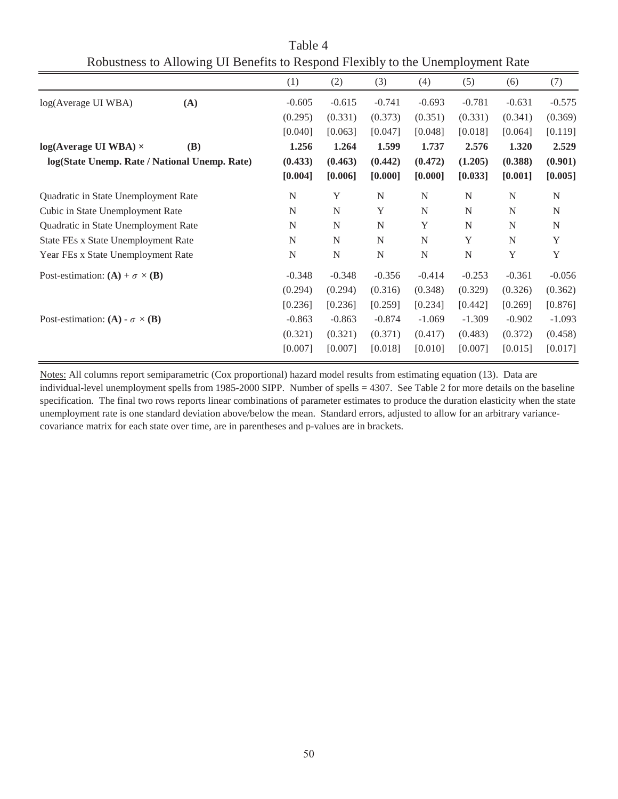| Robusticss to Amowing Of Denems to Respond Flexibly to the Unchiployment Rate |            |             |             |             |             |             |          |             |
|-------------------------------------------------------------------------------|------------|-------------|-------------|-------------|-------------|-------------|----------|-------------|
|                                                                               |            | (1)         | (2)         | (3)         | (4)         | (5)         | (6)      | (7)         |
| log(Average UI WBA)                                                           | (A)        | $-0.605$    | $-0.615$    | $-0.741$    | $-0.693$    | $-0.781$    | $-0.631$ | $-0.575$    |
|                                                                               |            | (0.295)     | (0.331)     | (0.373)     | (0.351)     | (0.331)     | (0.341)  | (0.369)     |
|                                                                               |            | [0.040]     | [0.063]     | [0.047]     | [0.048]     | [0.018]     | [0.064]  | [0.119]     |
| $log(Average UI WBA) \times$                                                  | <b>(B)</b> | 1.256       | 1.264       | 1.599       | 1.737       | 2.576       | 1.320    | 2.529       |
| log(State Unemp. Rate / National Unemp. Rate)                                 |            | (0.433)     | (0.463)     | (0.442)     | (0.472)     | (1.205)     | (0.388)  | (0.901)     |
|                                                                               |            | [0.004]     | [0.006]     | [0.000]     | [0.000]     | [0.033]     | [0.001]  | [0.005]     |
| Quadratic in State Unemployment Rate                                          |            | $\mathbf N$ | Y           | $\mathbf N$ | $\mathbf N$ | $\mathbf N$ | N        | $\mathbf N$ |
| Cubic in State Unemployment Rate                                              |            | N           | $\mathbf N$ | Y           | $\mathbf N$ | $\mathbf N$ | N        | $\mathbf N$ |
| Quadratic in State Unemployment Rate                                          |            | N           | N           | N           | Y           | N           | N        | N           |
| State FEs x State Unemployment Rate                                           |            | N           | N           | N           | N           | Y           | N        | Y           |
| Year FEs x State Unemployment Rate                                            |            | $\mathbf N$ | ${\bf N}$   | ${\bf N}$   | ${\bf N}$   | ${\bf N}$   | Y        | Y           |
| Post-estimation: $(A) + \sigma \times (B)$                                    |            | $-0.348$    | $-0.348$    | $-0.356$    | $-0.414$    | $-0.253$    | $-0.361$ | $-0.056$    |
|                                                                               |            | (0.294)     | (0.294)     | (0.316)     | (0.348)     | (0.329)     | (0.326)  | (0.362)     |
|                                                                               |            | [0.236]     | [0.236]     | [0.259]     | [0.234]     | [0.442]     | [0.269]  | [0.876]     |
| Post-estimation: (A) - $\sigma \times (B)$                                    |            | $-0.863$    | $-0.863$    | $-0.874$    | $-1.069$    | $-1.309$    | $-0.902$ | $-1.093$    |
|                                                                               |            | (0.321)     | (0.321)     | (0.371)     | (0.417)     | (0.483)     | (0.372)  | (0.458)     |
|                                                                               |            | [0.007]     | [0.007]     | [0.018]     | [0.010]     | [0.007]     | [0.015]  | [0.017]     |

Table 4 Robustness to Allowing UI Benefits to Respond Flexibly to the Unemployment Rate

Notes: All columns report semiparametric (Cox proportional) hazard model results from estimating equation (13). Data are individual-level unemployment spells from 1985-2000 SIPP. Number of spells = 4307. See Table 2 for more details on the baseline specification. The final two rows reports linear combinations of parameter estimates to produce the duration elasticity when the state unemployment rate is one standard deviation above/below the mean. Standard errors, adjusted to allow for an arbitrary variancecovariance matrix for each state over time, are in parentheses and p-values are in brackets.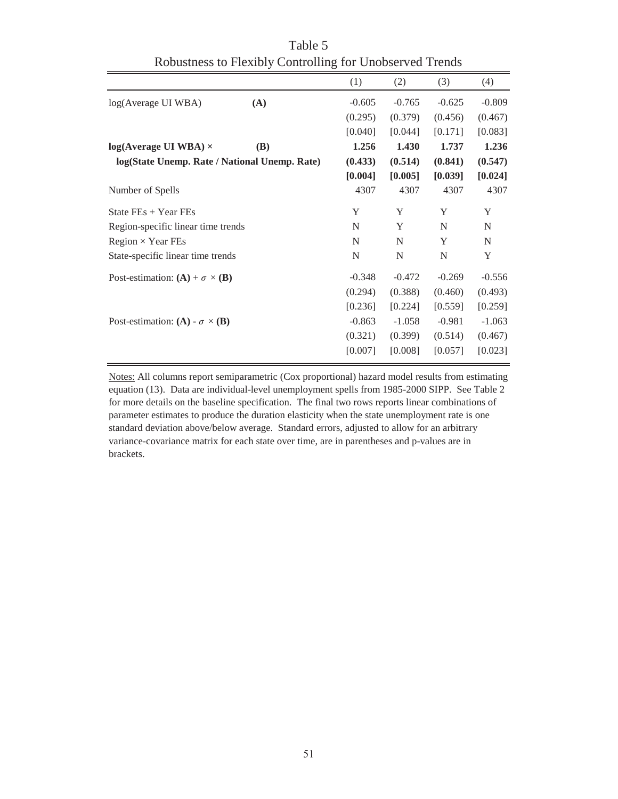|            | (1)                                                                                                                                                                    | (2)      | (3)      | (4)      |
|------------|------------------------------------------------------------------------------------------------------------------------------------------------------------------------|----------|----------|----------|
| (A)        | $-0.605$                                                                                                                                                               | $-0.765$ | $-0.625$ | $-0.809$ |
|            | (0.295)                                                                                                                                                                | (0.379)  | (0.456)  | (0.467)  |
|            | [0.040]                                                                                                                                                                | [0.044]  | [0.171]  | [0.083]  |
| <b>(B)</b> | 1.256                                                                                                                                                                  | 1.430    | 1.737    | 1.236    |
|            | (0.433)                                                                                                                                                                | (0.514)  | (0.841)  | (0.547)  |
|            | [0.004]                                                                                                                                                                | [0.005]  | [0.039]  | [0.024]  |
|            | 4307                                                                                                                                                                   | 4307     | 4307     | 4307     |
|            | Y                                                                                                                                                                      | Y        | Y        | Y        |
|            | N                                                                                                                                                                      | Y        | N        | N        |
|            | N                                                                                                                                                                      | N        | Y        | N        |
|            | N                                                                                                                                                                      | N        | N        | Y        |
|            | $-0.348$                                                                                                                                                               | $-0.472$ | $-0.269$ | $-0.556$ |
|            | (0.294)                                                                                                                                                                | (0.388)  | (0.460)  | (0.493)  |
|            | [0.236]                                                                                                                                                                | [0.224]  | [0.559]  | [0.259]  |
|            | $-0.863$                                                                                                                                                               | $-1.058$ | $-0.981$ | $-1.063$ |
|            | (0.321)                                                                                                                                                                | (0.399)  | (0.514)  | (0.467)  |
|            | [0.007]                                                                                                                                                                | [0.008]  | [0.057]  | [0.023]  |
|            | log(State Unemp. Rate / National Unemp. Rate)<br>Region-specific linear time trends<br>State-specific linear time trends<br>Post-estimation: $(A) + \sigma \times (B)$ |          |          |          |

Table 5 Robustness to Flexibly Controlling for Unobserved Trends

Notes: All columns report semiparametric (Cox proportional) hazard model results from estimating equation (13). Data are individual-level unemployment spells from 1985-2000 SIPP. See Table 2 for more details on the baseline specification. The final two rows reports linear combinations of parameter estimates to produce the duration elasticity when the state unemployment rate is one standard deviation above/below average. Standard errors, adjusted to allow for an arbitrary variance-covariance matrix for each state over time, are in parentheses and p-values are in brackets.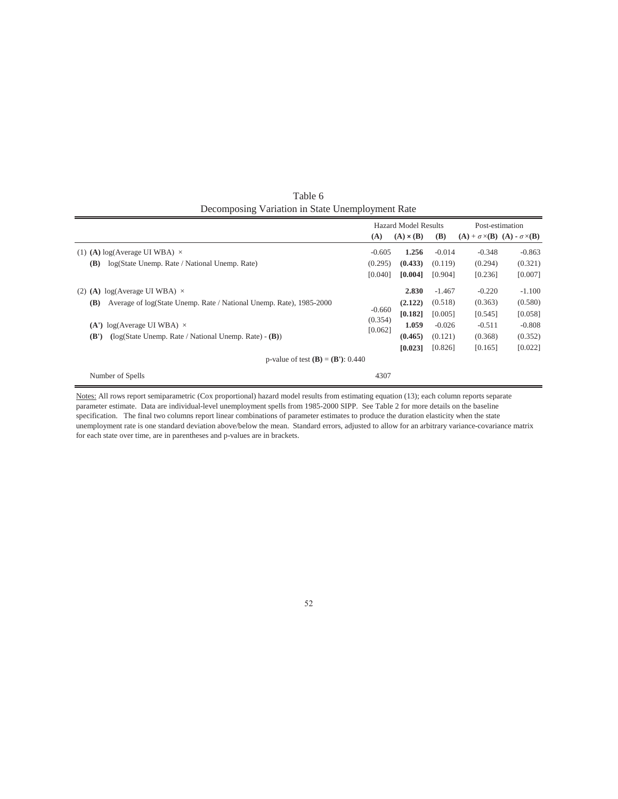|                                                                            | <b>Hazard Model Results</b>                         |                  |            | Post-estimation                                     |          |  |  |
|----------------------------------------------------------------------------|-----------------------------------------------------|------------------|------------|-----------------------------------------------------|----------|--|--|
|                                                                            | (A)                                                 | $(A) \times (B)$ | <b>(B)</b> | $(A) + \sigma \times (B)$ $(A) - \sigma \times (B)$ |          |  |  |
| (1) (A) $log(Average UI WBA) \times$                                       | $-0.605$                                            | 1.256            | $-0.014$   | $-0.348$                                            | $-0.863$ |  |  |
| log(State Unemp. Rate / National Unemp. Rate)<br><b>(B)</b>                | (0.295)                                             | (0.433)          | (0.119)    | (0.294)                                             | (0.321)  |  |  |
|                                                                            | [0.040]                                             | [0.004]          | [0.904]    | [0.236]                                             | [0.007]  |  |  |
| (2) (A) $log(Average UI WBA) \times$                                       |                                                     | 2.830            | $-1.467$   | $-0.220$                                            | $-1.100$ |  |  |
| Average of log(State Unemp. Rate / National Unemp. Rate), 1985-2000<br>(B) |                                                     | (2.122)          | (0.518)    | (0.363)                                             | (0.580)  |  |  |
|                                                                            | $-0.660$                                            | [0.182]          | [0.005]    | [0.545]                                             | [0.058]  |  |  |
| (A') $log(A)$ (Average UI WBA) $\times$                                    | (0.354)<br>[0.062]                                  | 1.059            | $-0.026$   | $-0.511$                                            | $-0.808$ |  |  |
| $(\log(\text{State Unemp. Rate / National Unemp. Rate}) - (B))$<br>(B')    |                                                     | (0.465)          | (0.121)    | (0.368)                                             | (0.352)  |  |  |
|                                                                            |                                                     | [0.023]          | [0.826]    | [0.165]                                             | [0.022]  |  |  |
|                                                                            | p-value of test ( <b>B</b> ) = ( <b>B</b> '): 0.440 |                  |            |                                                     |          |  |  |
| Number of Spells                                                           | 4307                                                |                  |            |                                                     |          |  |  |

Table 6 Decomposing Variation in State Unemployment Rate

Notes: All rows report semiparametric (Cox proportional) hazard model results from estimating equation (13); each column reports separate parameter estimate. Data are individual-level unemployment spells from 1985-2000 SIPP. See Table 2 for more details on the baseline specification. The final two columns report linear combinations of parameter estimates to produce the duration elasticity when the state unemployment rate is one standard deviation above/below the mean. Standard errors, adjusted to allow for an arbitrary variance-covariance matrix for each state over time, are in parentheses and p-values are in brackets.

#### 52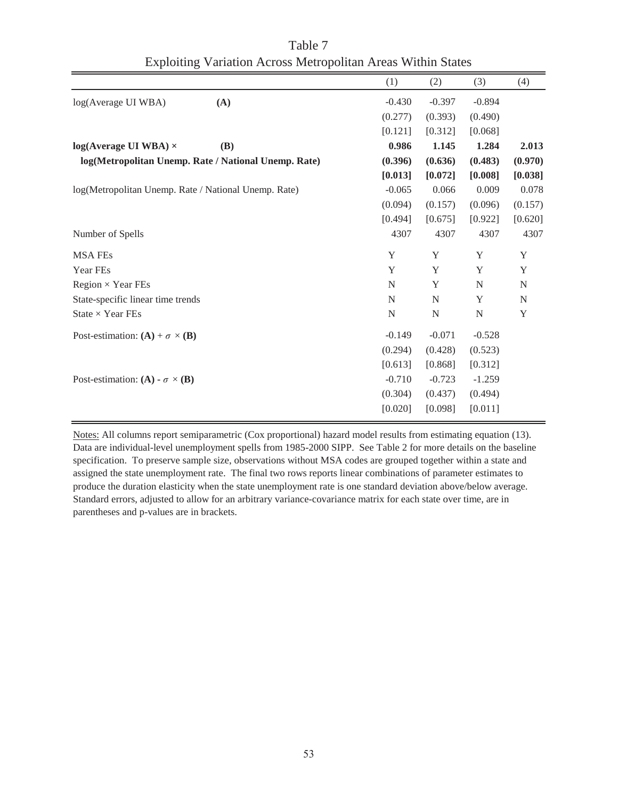|                                                      | (1)      | (2)      | (3)      | (4)     |
|------------------------------------------------------|----------|----------|----------|---------|
| log(Average UI WBA)<br>(A)                           | $-0.430$ | $-0.397$ | $-0.894$ |         |
|                                                      | (0.277)  | (0.393)  | (0.490)  |         |
|                                                      | [0.121]  | [0.312]  | [0.068]  |         |
| $log(Average UI WBA)$ ×<br>(B)                       | 0.986    | 1.145    | 1.284    | 2.013   |
| log(Metropolitan Unemp. Rate / National Unemp. Rate) | (0.396)  | (0.636)  | (0.483)  | (0.970) |
|                                                      | [0.013]  | [0.072]  | [0.008]  | [0.038] |
| log(Metropolitan Unemp. Rate / National Unemp. Rate) | $-0.065$ | 0.066    | 0.009    | 0.078   |
|                                                      | (0.094)  | (0.157)  | (0.096)  | (0.157) |
|                                                      | [0.494]  | [0.675]  | [0.922]  | [0.620] |
| Number of Spells                                     | 4307     | 4307     | 4307     | 4307    |
| <b>MSA FEs</b>                                       | Y        | Y        | Y        | Y       |
| Year FEs                                             | Y        | Y        | Y        | Y       |
| Region $\times$ Year FEs                             | N        | Y        | N        | N       |
| State-specific linear time trends                    | N        | N        | Y        | N       |
| State $\times$ Year FEs                              | N        | N        | N        | Y       |
| Post-estimation: $(A) + \sigma \times (B)$           | $-0.149$ | $-0.071$ | $-0.528$ |         |
|                                                      | (0.294)  | (0.428)  | (0.523)  |         |
|                                                      | [0.613]  | [0.868]  | [0.312]  |         |
| Post-estimation: (A) - $\sigma \times (B)$           | $-0.710$ | $-0.723$ | $-1.259$ |         |
|                                                      | (0.304)  | (0.437)  | (0.494)  |         |
|                                                      | [0.020]  | [0.098]  | [0.011]  |         |

Table 7 Exploiting Variation Across Metropolitan Areas Within States

Notes: All columns report semiparametric (Cox proportional) hazard model results from estimating equation (13). Data are individual-level unemployment spells from 1985-2000 SIPP. See Table 2 for more details on the baseline specification. To preserve sample size, observations without MSA codes are grouped together within a state and assigned the state unemployment rate. The final two rows reports linear combinations of parameter estimates to produce the duration elasticity when the state unemployment rate is one standard deviation above/below average. Standard errors, adjusted to allow for an arbitrary variance-covariance matrix for each state over time, are in parentheses and p-values are in brackets.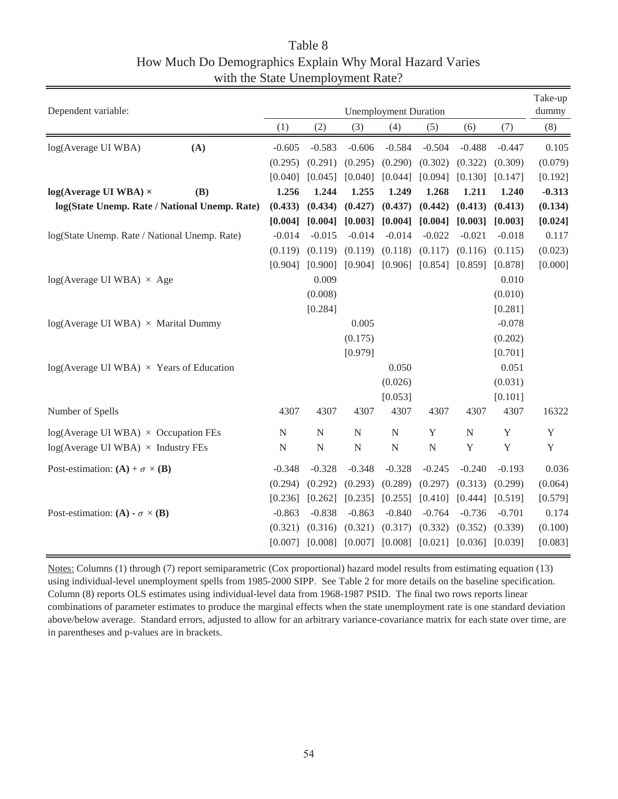# Table 8 How Much Do Demographics Explain Why Moral Hazard Varies with the State Unemployment Rate?

| (8)<br>(1)<br>(2)<br>(3)<br>(4)<br>(5)<br>(7)<br>(6)<br>$-0.605$<br>$-0.583$<br>$-0.606$<br>$-0.584$<br>$-0.504$<br>$-0.488$<br>$-0.447$<br>0.105<br>(A)<br>log(Average UI WBA)<br>(0.290)<br>(0.079)<br>(0.295)<br>(0.291)<br>(0.295)<br>(0.302)<br>(0.322)<br>(0.309)<br>[0.040]<br>[0.192]<br>[0.040]<br>[0.045]<br>[0.044]<br>[0.094]<br>[0.130]<br>[0.147]<br>1.256<br>1.244<br>1.255<br>1.249<br>$-0.313$<br>$log(Average UI WBA) \times$<br><b>(B)</b><br>1.268<br>1.211<br>1.240<br>log(State Unemp. Rate / National Unemp. Rate)<br>(0.442)<br>(0.413)<br>(0.134)<br>(0.433)<br>(0.434)<br>(0.427)<br>(0.437)<br>(0.413)<br>[0.003]<br>[0.004]<br>[0.004]<br>[0.004]<br>[0.004]<br>[0.003]<br>[0.003]<br>[0.024]<br>$-0.014$<br>$-0.015$<br>$-0.014$<br>$-0.014$<br>$-0.022$<br>$-0.021$<br>$-0.018$<br>0.117<br>log(State Unemp. Rate / National Unemp. Rate)<br>(0.119)<br>(0.119)<br>(0.119)<br>(0.118)<br>(0.117)<br>(0.116)<br>(0.115)<br>(0.023)<br>[0.904]<br>[0.900]<br>[0.904]<br>[0.906]<br>[0.854]<br>[0.878]<br>[0.000]<br>[0.859]<br>0.009<br>0.010<br>$log(Average UI WBA) \times Age$<br>(0.008)<br>(0.010)<br>[0.284]<br>[0.281]<br>$-0.078$<br>0.005<br>$log(Average UI WBA) \times Marital Dumpy$<br>(0.175)<br>(0.202)<br>[0.979]<br>[0.701]<br>0.051<br>$log(Average UI WBA) \times Years$ of Education<br>0.050<br>(0.026)<br>(0.031)<br>[0.053]<br>[0.101]<br>Number of Spells<br>4307<br>4307<br>4307<br>4307<br>4307<br>16322<br>4307<br>4307 |
|--------------------------------------------------------------------------------------------------------------------------------------------------------------------------------------------------------------------------------------------------------------------------------------------------------------------------------------------------------------------------------------------------------------------------------------------------------------------------------------------------------------------------------------------------------------------------------------------------------------------------------------------------------------------------------------------------------------------------------------------------------------------------------------------------------------------------------------------------------------------------------------------------------------------------------------------------------------------------------------------------------------------------------------------------------------------------------------------------------------------------------------------------------------------------------------------------------------------------------------------------------------------------------------------------------------------------------------------------------------------------------------------------------------------------------------------------------------------------------|
|                                                                                                                                                                                                                                                                                                                                                                                                                                                                                                                                                                                                                                                                                                                                                                                                                                                                                                                                                                                                                                                                                                                                                                                                                                                                                                                                                                                                                                                                                |
|                                                                                                                                                                                                                                                                                                                                                                                                                                                                                                                                                                                                                                                                                                                                                                                                                                                                                                                                                                                                                                                                                                                                                                                                                                                                                                                                                                                                                                                                                |
|                                                                                                                                                                                                                                                                                                                                                                                                                                                                                                                                                                                                                                                                                                                                                                                                                                                                                                                                                                                                                                                                                                                                                                                                                                                                                                                                                                                                                                                                                |
|                                                                                                                                                                                                                                                                                                                                                                                                                                                                                                                                                                                                                                                                                                                                                                                                                                                                                                                                                                                                                                                                                                                                                                                                                                                                                                                                                                                                                                                                                |
|                                                                                                                                                                                                                                                                                                                                                                                                                                                                                                                                                                                                                                                                                                                                                                                                                                                                                                                                                                                                                                                                                                                                                                                                                                                                                                                                                                                                                                                                                |
|                                                                                                                                                                                                                                                                                                                                                                                                                                                                                                                                                                                                                                                                                                                                                                                                                                                                                                                                                                                                                                                                                                                                                                                                                                                                                                                                                                                                                                                                                |
|                                                                                                                                                                                                                                                                                                                                                                                                                                                                                                                                                                                                                                                                                                                                                                                                                                                                                                                                                                                                                                                                                                                                                                                                                                                                                                                                                                                                                                                                                |
|                                                                                                                                                                                                                                                                                                                                                                                                                                                                                                                                                                                                                                                                                                                                                                                                                                                                                                                                                                                                                                                                                                                                                                                                                                                                                                                                                                                                                                                                                |
|                                                                                                                                                                                                                                                                                                                                                                                                                                                                                                                                                                                                                                                                                                                                                                                                                                                                                                                                                                                                                                                                                                                                                                                                                                                                                                                                                                                                                                                                                |
|                                                                                                                                                                                                                                                                                                                                                                                                                                                                                                                                                                                                                                                                                                                                                                                                                                                                                                                                                                                                                                                                                                                                                                                                                                                                                                                                                                                                                                                                                |
|                                                                                                                                                                                                                                                                                                                                                                                                                                                                                                                                                                                                                                                                                                                                                                                                                                                                                                                                                                                                                                                                                                                                                                                                                                                                                                                                                                                                                                                                                |
|                                                                                                                                                                                                                                                                                                                                                                                                                                                                                                                                                                                                                                                                                                                                                                                                                                                                                                                                                                                                                                                                                                                                                                                                                                                                                                                                                                                                                                                                                |
|                                                                                                                                                                                                                                                                                                                                                                                                                                                                                                                                                                                                                                                                                                                                                                                                                                                                                                                                                                                                                                                                                                                                                                                                                                                                                                                                                                                                                                                                                |
|                                                                                                                                                                                                                                                                                                                                                                                                                                                                                                                                                                                                                                                                                                                                                                                                                                                                                                                                                                                                                                                                                                                                                                                                                                                                                                                                                                                                                                                                                |
|                                                                                                                                                                                                                                                                                                                                                                                                                                                                                                                                                                                                                                                                                                                                                                                                                                                                                                                                                                                                                                                                                                                                                                                                                                                                                                                                                                                                                                                                                |
|                                                                                                                                                                                                                                                                                                                                                                                                                                                                                                                                                                                                                                                                                                                                                                                                                                                                                                                                                                                                                                                                                                                                                                                                                                                                                                                                                                                                                                                                                |
|                                                                                                                                                                                                                                                                                                                                                                                                                                                                                                                                                                                                                                                                                                                                                                                                                                                                                                                                                                                                                                                                                                                                                                                                                                                                                                                                                                                                                                                                                |
|                                                                                                                                                                                                                                                                                                                                                                                                                                                                                                                                                                                                                                                                                                                                                                                                                                                                                                                                                                                                                                                                                                                                                                                                                                                                                                                                                                                                                                                                                |
|                                                                                                                                                                                                                                                                                                                                                                                                                                                                                                                                                                                                                                                                                                                                                                                                                                                                                                                                                                                                                                                                                                                                                                                                                                                                                                                                                                                                                                                                                |
|                                                                                                                                                                                                                                                                                                                                                                                                                                                                                                                                                                                                                                                                                                                                                                                                                                                                                                                                                                                                                                                                                                                                                                                                                                                                                                                                                                                                                                                                                |
| $log(Average UI WBA) \times Occupation FEs$<br>${\bf N}$<br>${\bf N}$<br>$\mathbf N$<br>${\bf N}$<br>Y<br>${\bf N}$<br>$\mathbf Y$<br>$\mathbf Y$                                                                                                                                                                                                                                                                                                                                                                                                                                                                                                                                                                                                                                                                                                                                                                                                                                                                                                                                                                                                                                                                                                                                                                                                                                                                                                                              |
| $\mathbf Y$<br>$\mathbf Y$<br>${\bf N}$<br>$\overline{N}$<br>$\mathbf N$<br>Y<br>${\bf N}$<br>${\bf N}$<br>$log(Average UI WBA) \times Industry FEs$                                                                                                                                                                                                                                                                                                                                                                                                                                                                                                                                                                                                                                                                                                                                                                                                                                                                                                                                                                                                                                                                                                                                                                                                                                                                                                                           |
| $-0.348$<br>$-0.328$<br>$-0.348$<br>$-0.328$<br>$-0.245$<br>$-0.240$<br>$-0.193$<br>0.036<br>Post-estimation: $(A) + \sigma \times (B)$                                                                                                                                                                                                                                                                                                                                                                                                                                                                                                                                                                                                                                                                                                                                                                                                                                                                                                                                                                                                                                                                                                                                                                                                                                                                                                                                        |
| (0.293)<br>(0.289)<br>(0.297)<br>(0.064)<br>(0.294)<br>(0.292)<br>(0.313)<br>(0.299)                                                                                                                                                                                                                                                                                                                                                                                                                                                                                                                                                                                                                                                                                                                                                                                                                                                                                                                                                                                                                                                                                                                                                                                                                                                                                                                                                                                           |
| [0.236]<br>[0.262]<br>[0.235]<br>[0.255]<br>[0.410]<br>[0.519]<br>[0.579]<br>[0.444]                                                                                                                                                                                                                                                                                                                                                                                                                                                                                                                                                                                                                                                                                                                                                                                                                                                                                                                                                                                                                                                                                                                                                                                                                                                                                                                                                                                           |
| $-0.838$<br>$-0.863$<br>0.174<br>$-0.863$<br>$-0.840$<br>$-0.764$<br>$-0.736$<br>$-0.701$<br>Post-estimation: (A) - $\sigma \times (B)$                                                                                                                                                                                                                                                                                                                                                                                                                                                                                                                                                                                                                                                                                                                                                                                                                                                                                                                                                                                                                                                                                                                                                                                                                                                                                                                                        |
| (0.321)<br>(0.100)<br>(0.321)<br>(0.316)<br>(0.317)<br>(0.332)<br>(0.352)<br>(0.339)                                                                                                                                                                                                                                                                                                                                                                                                                                                                                                                                                                                                                                                                                                                                                                                                                                                                                                                                                                                                                                                                                                                                                                                                                                                                                                                                                                                           |
| [0.007]<br>[0.008]<br>$[0.007]$ $[0.008]$<br>[0.021]<br>[0.036]<br>[0.039]<br>[0.083]                                                                                                                                                                                                                                                                                                                                                                                                                                                                                                                                                                                                                                                                                                                                                                                                                                                                                                                                                                                                                                                                                                                                                                                                                                                                                                                                                                                          |

Notes: Columns (1) through (7) report semiparametric (Cox proportional) hazard model results from estimating equation (13) using individual-level unemployment spells from 1985-2000 SIPP. See Table 2 for more details on the baseline specification. Column (8) reports OLS estimates using individual-level data from 1968-1987 PSID. The final two rows reports linear combinations of parameter estimates to produce the marginal effects when the state unemployment rate is one standard deviation above/below average. Standard errors, adjusted to allow for an arbitrary variance-covariance matrix for each state over time, are in parentheses and p-values are in brackets.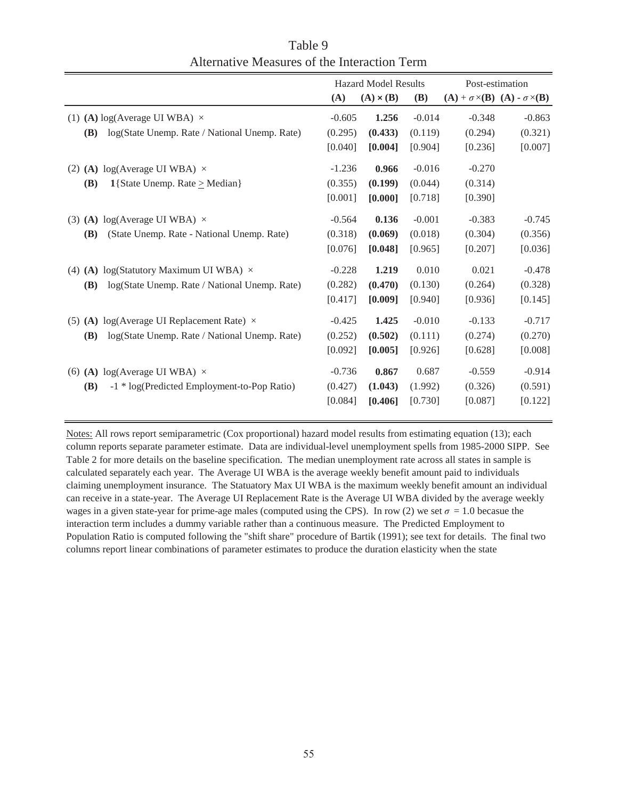|                                                             | <b>Hazard Model Results</b> |                  |            | Post-estimation                                     |          |  |
|-------------------------------------------------------------|-----------------------------|------------------|------------|-----------------------------------------------------|----------|--|
|                                                             | (A)                         | $(A) \times (B)$ | <b>(B)</b> | $(A) + \sigma \times (B)$ $(A) - \sigma \times (B)$ |          |  |
| (1) (A) log(Average UI WBA) $\times$                        | $-0.605$                    | 1.256            | $-0.014$   | $-0.348$                                            | $-0.863$ |  |
| <b>(B)</b><br>log(State Unemp. Rate / National Unemp. Rate) | (0.295)                     | (0.433)          | (0.119)    | (0.294)                                             | (0.321)  |  |
|                                                             | [0.040]                     | [0.004]          | [0.904]    | [0.236]                                             | [0.007]  |  |
| (2) (A) $log(Average UI WBA) \times$                        | $-1.236$                    | 0.966            | $-0.016$   | $-0.270$                                            |          |  |
| <b>(B)</b><br>1{State Unemp. Rate $\geq$ Median}            | (0.355)                     | (0.199)          | (0.044)    | (0.314)                                             |          |  |
|                                                             | [0.001]                     | [0.000]          | [0.718]    | [0.390]                                             |          |  |
| (3) (A) log(Average UI WBA) $\times$                        | $-0.564$                    | 0.136            | $-0.001$   | $-0.383$                                            | $-0.745$ |  |
| <b>(B)</b><br>(State Unemp. Rate - National Unemp. Rate)    | (0.318)                     | (0.069)          | (0.018)    | (0.304)                                             | (0.356)  |  |
|                                                             | [0.076]                     | [0.048]          | [0.965]    | [0.207]                                             | [0.036]  |  |
| (4) (A) log(Statutory Maximum UI WBA) $\times$              | $-0.228$                    | 1.219            | 0.010      | 0.021                                               | $-0.478$ |  |
| log(State Unemp. Rate / National Unemp. Rate)<br><b>(B)</b> | (0.282)                     | (0.470)          | (0.130)    | (0.264)                                             | (0.328)  |  |
|                                                             | [0.417]                     | [0.009]          | [0.940]    | [0.936]                                             | [0.145]  |  |
| (5) (A) log(Average UI Replacement Rate) $\times$           | $-0.425$                    | 1.425            | $-0.010$   | $-0.133$                                            | $-0.717$ |  |
| log(State Unemp. Rate / National Unemp. Rate)<br><b>(B)</b> | (0.252)                     | (0.502)          | (0.111)    | (0.274)                                             | (0.270)  |  |
|                                                             | [0.092]                     | [0.005]          | [0.926]    | [0.628]                                             | [0.008]  |  |
| (6) (A) log(Average UI WBA) $\times$                        | $-0.736$                    | 0.867            | 0.687      | $-0.559$                                            | $-0.914$ |  |
| -1 * log(Predicted Employment-to-Pop Ratio)<br>(B)          | (0.427)                     | (1.043)          | (1.992)    | (0.326)                                             | (0.591)  |  |
|                                                             | [0.084]                     | [0.406]          | [0.730]    | [0.087]                                             | [0.122]  |  |
|                                                             |                             |                  |            |                                                     |          |  |

Table 9 Alternative Measures of the Interaction Term

Notes: All rows report semiparametric (Cox proportional) hazard model results from estimating equation (13); each column reports separate parameter estimate. Data are individual-level unemployment spells from 1985-2000 SIPP. See Table 2 for more details on the baseline specification. The median unemployment rate across all states in sample is calculated separately each year. The Average UI WBA is the average weekly benefit amount paid to individuals claiming unemployment insurance. The Statuatory Max UI WBA is the maximum weekly benefit amount an individual can receive in a state-year. The Average UI Replacement Rate is the Average UI WBA divided by the average weekly wages in a given state-year for prime-age males (computed using the CPS). In row (2) we set  $\sigma = 1.0$  becasue the interaction term includes a dummy variable rather than a continuous measure. The Predicted Employment to Population Ratio is computed following the "shift share" procedure of Bartik (1991); see text for details. The final two columns report linear combinations of parameter estimates to produce the duration elasticity when the state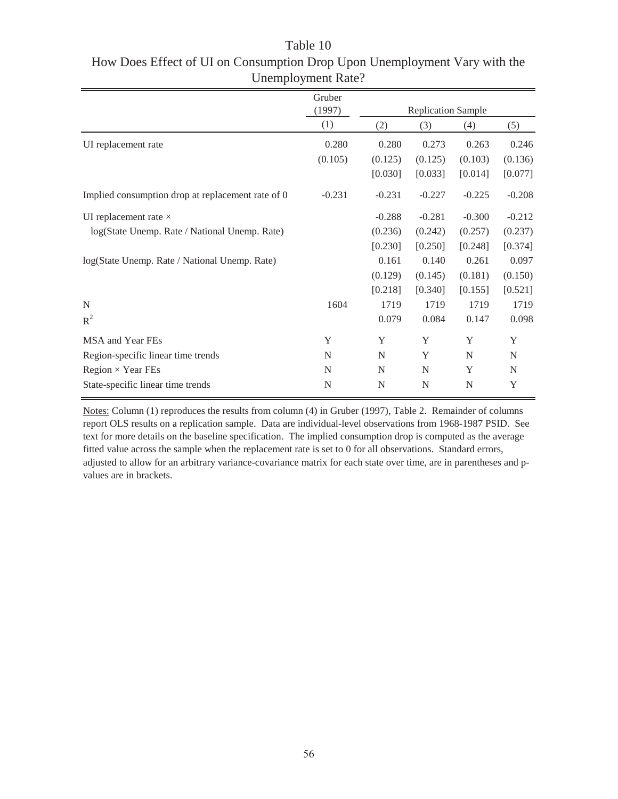|                                                   | Gruber   |                           |          |          |          |
|---------------------------------------------------|----------|---------------------------|----------|----------|----------|
|                                                   | (1997)   | <b>Replication Sample</b> |          |          |          |
|                                                   | (1)      | (2)                       | (3)      | (4)      | (5)      |
| UI replacement rate                               | 0.280    | 0.280                     | 0.273    | 0.263    | 0.246    |
|                                                   | (0.105)  | (0.125)                   | (0.125)  | (0.103)  | (0.136)  |
|                                                   |          | [0.030]                   | [0.033]  | [0.014]  | [0.077]  |
| Implied consumption drop at replacement rate of 0 | $-0.231$ | $-0.231$                  | $-0.227$ | $-0.225$ | $-0.208$ |
| UI replacement rate $\times$                      |          | $-0.288$                  | $-0.281$ | $-0.300$ | $-0.212$ |
| log(State Unemp. Rate / National Unemp. Rate)     |          | (0.236)                   | (0.242)  | (0.257)  | (0.237)  |
|                                                   |          | [0.230]                   | [0.250]  | [0.248]  | [0.374]  |
| log(State Unemp. Rate / National Unemp. Rate)     |          | 0.161                     | 0.140    | 0.261    | 0.097    |
|                                                   |          | (0.129)                   | (0.145)  | (0.181)  | (0.150)  |
|                                                   |          | [0.218]                   | [0.340]  | [0.155]  | [0.521]  |
| N                                                 | 1604     | 1719                      | 1719     | 1719     | 1719     |
| $R^2$                                             |          | 0.079                     | 0.084    | 0.147    | 0.098    |
| MSA and Year FEs                                  | Y        | Y                         | Y        | Y        | Y        |
| Region-specific linear time trends                | N        | N                         | Y        | N        | N        |
| Region $\times$ Year FEs                          | N        | N                         | N        | Y        | N        |
| State-specific linear time trends                 | N        | N                         | N        | N        | Y        |

Table 10 How Does Effect of UI on Consumption Drop Upon Unemployment Vary with the Unemployment Rate?

Notes: Column (1) reproduces the results from column (4) in Gruber (1997), Table 2. Remainder of columns report OLS results on a replication sample. Data are individual-level observations from 1968-1987 PSID. See text for more details on the baseline specification. The implied consumption drop is computed as the average fitted value across the sample when the replacement rate is set to 0 for all observations. Standard errors, adjusted to allow for an arbitrary variance-covariance matrix for each state over time, are in parentheses and pvalues are in brackets.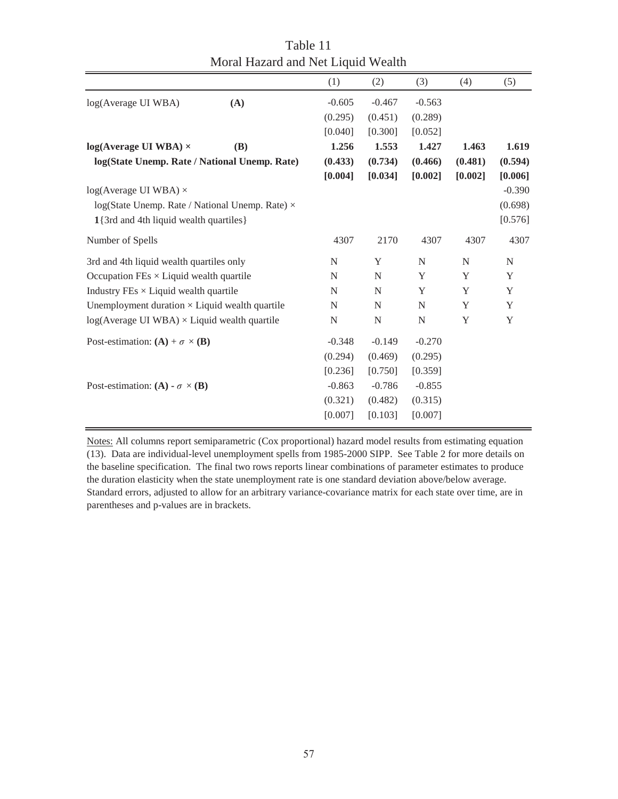|                                                              |     | (1)         | (2)       | (3)         | (4)         | (5)         |
|--------------------------------------------------------------|-----|-------------|-----------|-------------|-------------|-------------|
| log(Average UI WBA)                                          | (A) | $-0.605$    | $-0.467$  | $-0.563$    |             |             |
|                                                              |     | (0.295)     | (0.451)   | (0.289)     |             |             |
|                                                              |     | [0.040]     | [0.300]   | [0.052]     |             |             |
| $log(Average UI WBA)$ ×                                      | (B) | 1.256       | 1.553     | 1.427       | 1.463       | 1.619       |
| log(State Unemp. Rate / National Unemp. Rate)                |     | (0.433)     | (0.734)   | (0.466)     | (0.481)     | (0.594)     |
|                                                              |     | [0.004]     | [0.034]   | [0.002]     | [0.002]     | [0.006]     |
| $log(Average UI WBA)$ ×                                      |     |             |           |             |             | $-0.390$    |
| log(State Unemp. Rate / National Unemp. Rate) ×              |     |             |           |             |             | (0.698)     |
| 1{3rd and 4th liquid wealth quartiles}                       |     |             |           |             |             | [0.576]     |
| Number of Spells                                             |     | 4307        | 2170      | 4307        | 4307        | 4307        |
| 3rd and 4th liquid wealth quartiles only                     |     | ${\bf N}$   | Y         | N           | $\mathbf N$ | $\mathbf N$ |
| Occupation $\text{FEs} \times \text{Liquid}$ wealth quartile |     | N           | N         | Y           | Y           | Y           |
| Industry $\overline{F}$ Es $\times$ Liquid wealth quartile   |     | $\mathbf N$ | N         | Y           | Y           | Y           |
| Unemployment duration $\times$ Liquid wealth quartile        |     | N           | N         | N           | Y           | Y           |
| $log(Average UI WBA) \times Liquid wealth quartile$          |     | N           | ${\bf N}$ | $\mathbf N$ | Y           | Y           |
| Post-estimation: $(A) + \sigma \times (B)$                   |     | $-0.348$    | $-0.149$  | $-0.270$    |             |             |
|                                                              |     | (0.294)     | (0.469)   | (0.295)     |             |             |
|                                                              |     | [0.236]     | [0.750]   | [0.359]     |             |             |
| Post-estimation: (A) - $\sigma \times (B)$                   |     | $-0.863$    | $-0.786$  | $-0.855$    |             |             |
|                                                              |     | (0.321)     | (0.482)   | (0.315)     |             |             |
|                                                              |     | [0.007]     | [0.103]   | [0.007]     |             |             |

Table 11 Moral Hazard and Net Liquid Wealth

Notes: All columns report semiparametric (Cox proportional) hazard model results from estimating equation (13). Data are individual-level unemployment spells from 1985-2000 SIPP. See Table 2 for more details on the baseline specification. The final two rows reports linear combinations of parameter estimates to produce the duration elasticity when the state unemployment rate is one standard deviation above/below average. Standard errors, adjusted to allow for an arbitrary variance-covariance matrix for each state over time, are in parentheses and p-values are in brackets.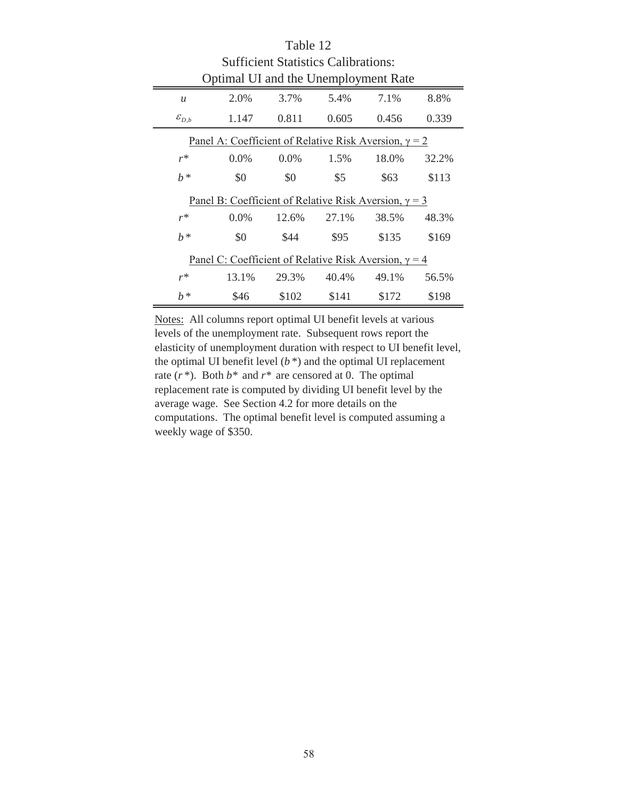| <b>Sufficient Statistics Calibrations:</b>                   |         |         |       |       |       |  |  |  |  |  |
|--------------------------------------------------------------|---------|---------|-------|-------|-------|--|--|--|--|--|
| Optimal UI and the Unemployment Rate                         |         |         |       |       |       |  |  |  |  |  |
| $\mathcal{U}$                                                | 2.0%    | 3.7%    | 5.4%  | 7.1%  | 8.8%  |  |  |  |  |  |
| $\mathcal{E}_{D,b}$                                          | 1.147   | 0.811   | 0.605 | 0.456 | 0.339 |  |  |  |  |  |
| Panel A: Coefficient of Relative Risk Aversion, $\gamma = 2$ |         |         |       |       |       |  |  |  |  |  |
| $r^*$                                                        | $0.0\%$ | $0.0\%$ | 1.5%  | 18.0% | 32.2% |  |  |  |  |  |
| $h^*$                                                        | \$0     | \$0     | \$5   | \$63  |       |  |  |  |  |  |
| Panel B: Coefficient of Relative Risk Aversion, $\gamma = 3$ |         |         |       |       |       |  |  |  |  |  |
| $r^*$                                                        | $0.0\%$ | 12.6%   | 27.1% | 38.5% | 48.3% |  |  |  |  |  |
| $h^*$                                                        | \$0     | \$44    | \$95  | \$135 | \$169 |  |  |  |  |  |
| Panel C: Coefficient of Relative Risk Aversion, $\gamma = 4$ |         |         |       |       |       |  |  |  |  |  |
| $r^*$                                                        | 13.1%   | 29.3%   | 40.4% | 49.1% | 56.5% |  |  |  |  |  |
| $h^*$                                                        | \$46    | \$102   | \$141 | \$172 | \$198 |  |  |  |  |  |

Table 12

Notes: All columns report optimal UI benefit levels at various levels of the unemployment rate. Subsequent rows report the elasticity of unemployment duration with respect to UI benefit level, the optimal UI benefit level (*b* \*) and the optimal UI replacement rate (*r* \*). Both *b\** and *r\** are censored at 0. The optimal replacement rate is computed by dividing UI benefit level by the average wage. See Section 4.2 for more details on the computations. The optimal benefit level is computed assuming a weekly wage of \$350.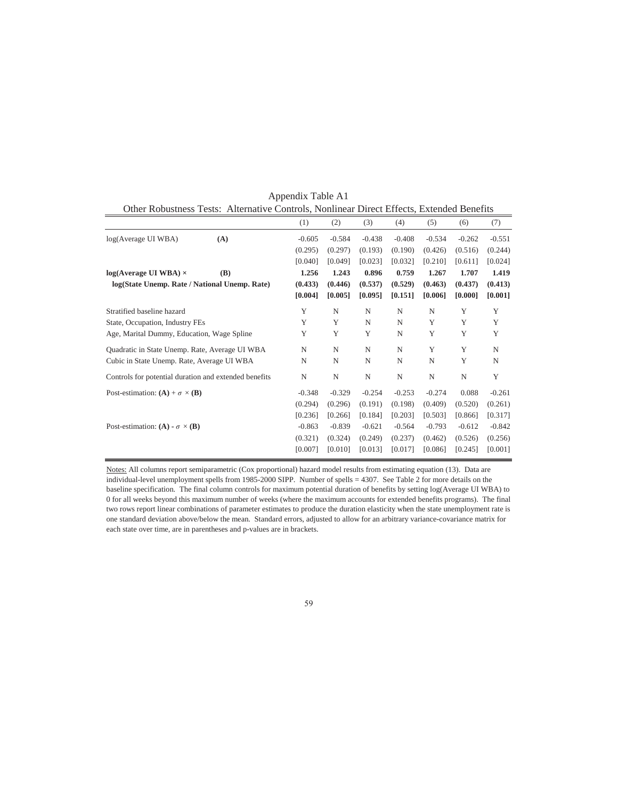|                                                       |              | (1)      | (2)      | (3)      | (4)         | (5)         | (6)      | (7)      |
|-------------------------------------------------------|--------------|----------|----------|----------|-------------|-------------|----------|----------|
| log(Average UI WBA)                                   | (A)          | $-0.605$ | $-0.584$ | $-0.438$ | $-0.408$    | $-0.534$    | $-0.262$ | $-0.551$ |
|                                                       |              | (0.295)  | (0.297)  | (0.193)  | (0.190)     | (0.426)     | (0.516)  | (0.244)  |
|                                                       |              | [0.040]  | [0.049]  | [0.023]  | [0.032]     | [0.210]     | [0.611]  | [0.024]  |
| $log(Average UI WBA) \times$                          | ( <b>B</b> ) | 1.256    | 1.243    | 0.896    | 0.759       | 1.267       | 1.707    | 1.419    |
| log(State Unemp. Rate / National Unemp. Rate)         |              | (0.433)  | (0.446)  | (0.537)  | (0.529)     | (0.463)     | (0.437)  | (0.413)  |
|                                                       |              | [0.004]  | [0.005]  | [0.095]  | [0.151]     | [0.006]     | [0.000]  | [0.001]  |
| Stratified baseline hazard                            |              | Y        | N        | N        | N           | $\mathbf N$ | Y        | Y        |
| State, Occupation, Industry FEs                       |              | Y        | Y        | N        | N           | Y           | Y        | Y        |
| Age, Marital Dummy, Education, Wage Spline            |              | Y        | Y        | Y        | N           | Y           | Y        | Y        |
| Quadratic in State Unemp. Rate, Average UI WBA        |              | N        | N        | N        | N           | Y           | Y        | N        |
| Cubic in State Unemp. Rate, Average UI WBA            |              | N        | N        | N        | N           | N           | Y        | N        |
| Controls for potential duration and extended benefits |              | N        | N        | N        | $\mathbf N$ | N           | N        | Y        |
| Post-estimation: $(A) + \sigma \times (B)$            |              | $-0.348$ | $-0.329$ | $-0.254$ | $-0.253$    | $-0.274$    | 0.088    | $-0.261$ |
|                                                       |              | (0.294)  | (0.296)  | (0.191)  | (0.198)     | (0.409)     | (0.520)  | (0.261)  |
|                                                       |              | [0.236]  | [0.266]  | [0.184]  | [0.203]     | [0.503]     | [0.866]  | [0.317]  |
| Post-estimation: (A) - $\sigma \times (B)$            |              | $-0.863$ | $-0.839$ | $-0.621$ | $-0.564$    | $-0.793$    | $-0.612$ | $-0.842$ |
|                                                       |              | (0.321)  | (0.324)  | (0.249)  | (0.237)     | (0.462)     | (0.526)  | (0.256)  |
|                                                       |              | [0.007]  | [0.010]  | [0.013]  | [0.017]     | [0.086]     | [0.245]  | [0.001]  |

Appendix Table A1 Other Robustness Tests: Alternative Controls, Nonlinear Direct Effects, Extended Benefits

Notes: All columns report semiparametric (Cox proportional) hazard model results from estimating equation (13). Data are individual-level unemployment spells from 1985-2000 SIPP. Number of spells = 4307. See Table 2 for more details on the baseline specification. The final column controls for maximum potential duration of benefits by setting log(Average UI WBA) to 0 for all weeks beyond this maximum number of weeks (where the maximum accounts for extended benefits programs). The final two rows report linear combinations of parameter estimates to produce the duration elasticity when the state unemployment rate is one standard deviation above/below the mean. Standard errors, adjusted to allow for an arbitrary variance-covariance matrix for each state over time, are in parentheses and p-values are in brackets.

59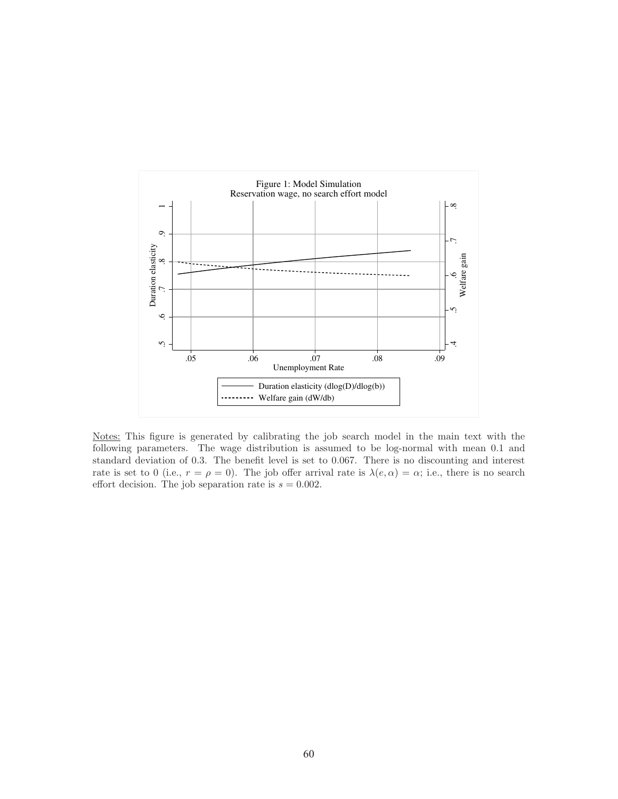

Notes: This figure is generated by calibrating the job search model in the main text with the following parameters. The wage distribution is assumed to be log-normal with mean 0.1 and standard deviation of 0.3. The benefit level is set to 0.067. There is no discounting and interest rate is set to 0 (i.e.,  $r = \rho = 0$ ). The job offer arrival rate is  $\lambda(e, \alpha) = \alpha$ ; i.e., there is no search effort decision. The job separation rate is  $s = 0.002$ .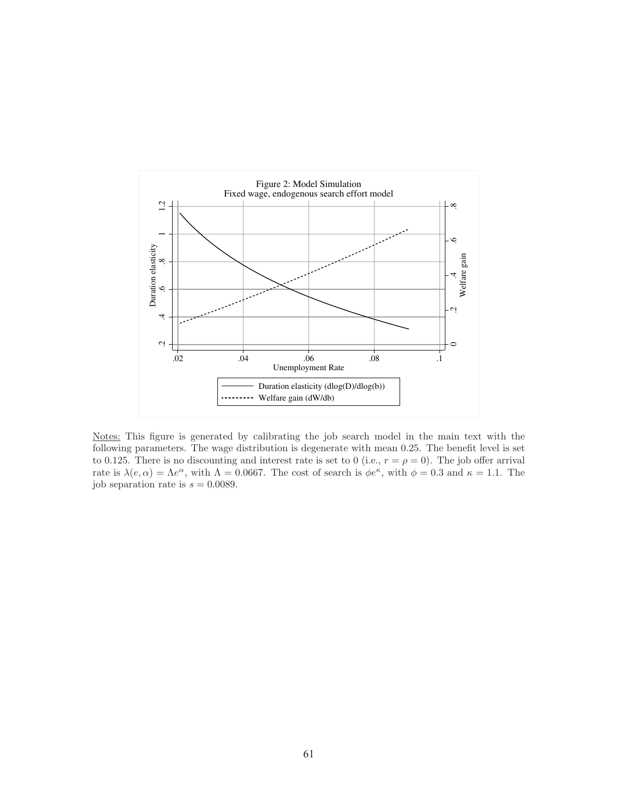

Notes: This figure is generated by calibrating the job search model in the main text with the following parameters. The wage distribution is degenerate with mean 0.25. The benefit level is set to 0.125. There is no discounting and interest rate is set to 0 (i.e.,  $r = \rho = 0$ ). The job offer arrival rate is  $\lambda(e,\alpha)=\Lambda e^{\alpha}$ , with  $\Lambda = 0.0667$ . The cost of search is  $\phi e^{\kappa}$ , with  $\phi = 0.3$  and  $\kappa = 1.1$ . The job separation rate is  $s = 0.0089$ .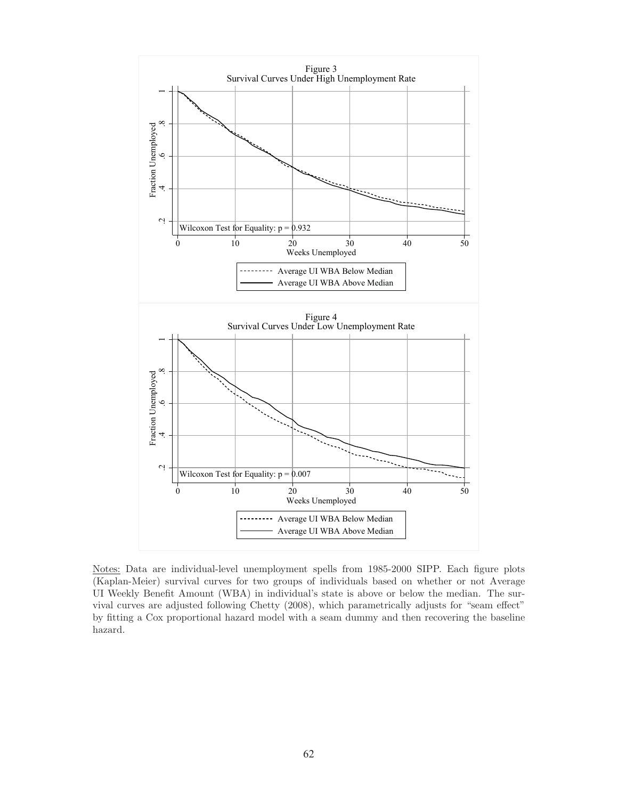

Notes: Data are individual-level unemployment spells from 1985-2000 SIPP. Each figure plots (Kaplan-Meier) survival curves for two groups of individuals based on whether or not Average UI Weekly Benefit Amount (WBA) in individual's state is above or below the median. The survival curves are adjusted following Chetty (2008), which parametrically adjusts for "seam effect" by fitting a Cox proportional hazard model with a seam dummy and then recovering the baseline hazard.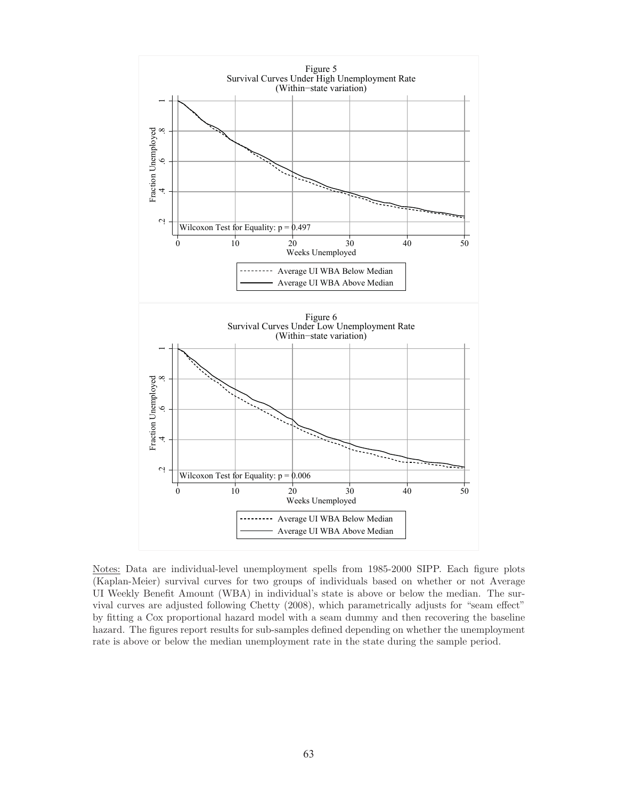

Notes: Data are individual-level unemployment spells from 1985-2000 SIPP. Each figure plots (Kaplan-Meier) survival curves for two groups of individuals based on whether or not Average UI Weekly Benefit Amount (WBA) in individual's state is above or below the median. The survival curves are adjusted following Chetty (2008), which parametrically adjusts for "seam effect" by fitting a Cox proportional hazard model with a seam dummy and then recovering the baseline hazard. The figures report results for sub-samples defined depending on whether the unemployment rate is above or below the median unemployment rate in the state during the sample period.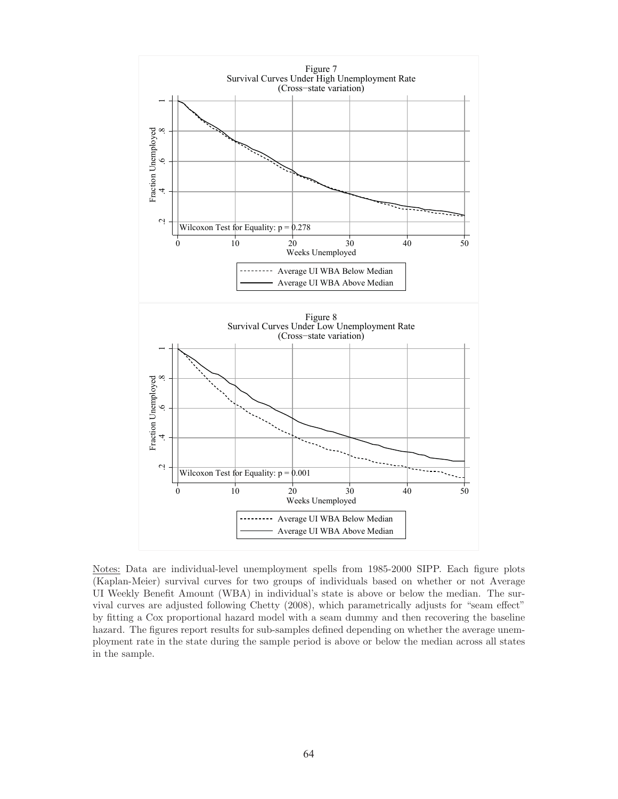

Notes: Data are individual-level unemployment spells from 1985-2000 SIPP. Each figure plots (Kaplan-Meier) survival curves for two groups of individuals based on whether or not Average UI Weekly Benefit Amount (WBA) in individual's state is above or below the median. The survival curves are adjusted following Chetty (2008), which parametrically adjusts for "seam effect" by fitting a Cox proportional hazard model with a seam dummy and then recovering the baseline hazard. The figures report results for sub-samples defined depending on whether the average unemployment rate in the state during the sample period is above or below the median across all states in the sample.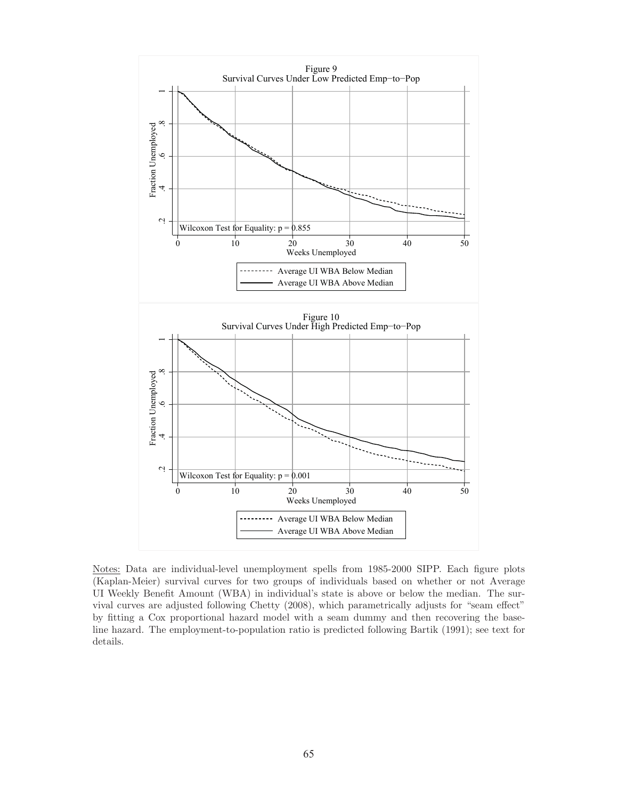

Notes: Data are individual-level unemployment spells from 1985-2000 SIPP. Each figure plots (Kaplan-Meier) survival curves for two groups of individuals based on whether or not Average UI Weekly Benefit Amount (WBA) in individual's state is above or below the median. The survival curves are adjusted following Chetty (2008), which parametrically adjusts for "seam effect" by fitting a Cox proportional hazard model with a seam dummy and then recovering the baseline hazard. The employment-to-population ratio is predicted following Bartik (1991); see text for details.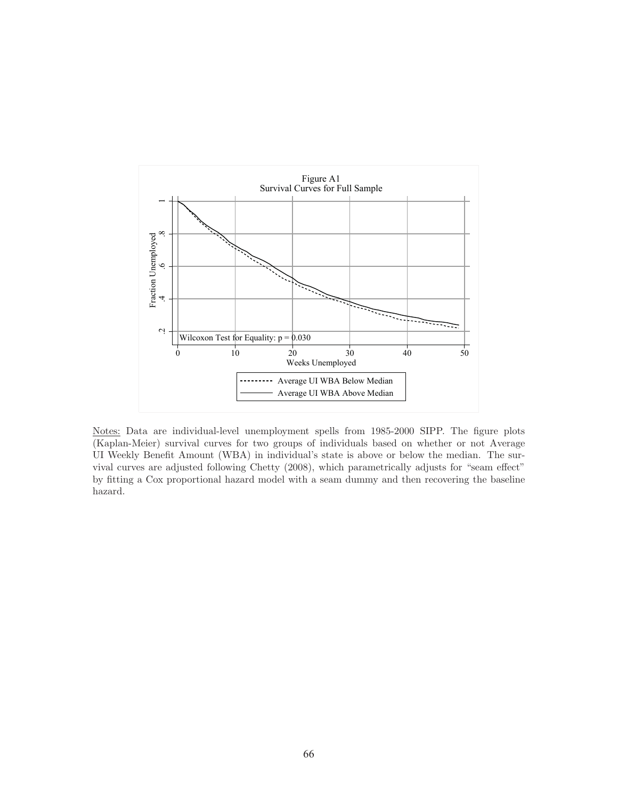

Notes: Data are individual-level unemployment spells from 1985-2000 SIPP. The figure plots (Kaplan-Meier) survival curves for two groups of individuals based on whether or not Average UI Weekly Benefit Amount (WBA) in individual's state is above or below the median. The survival curves are adjusted following Chetty (2008), which parametrically adjusts for "seam effect" by fitting a Cox proportional hazard model with a seam dummy and then recovering the baseline hazard.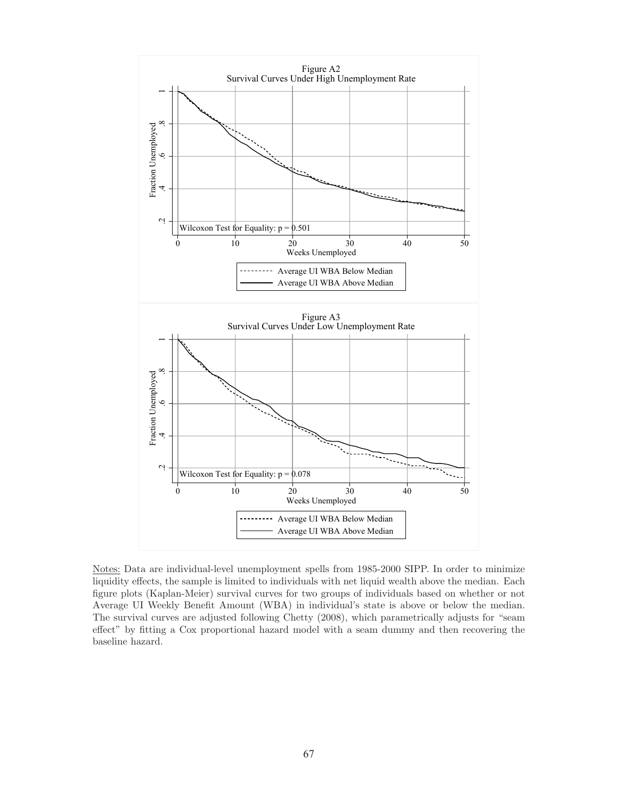

Notes: Data are individual-level unemployment spells from 1985-2000 SIPP. In order to minimize liquidity effects, the sample is limited to individuals with net liquid wealth above the median. Each figure plots (Kaplan-Meier) survival curves for two groups of individuals based on whether or not Average UI Weekly Benefit Amount (WBA) in individual's state is above or below the median. The survival curves are adjusted following Chetty (2008), which parametrically adjusts for "seam effect" by fitting a Cox proportional hazard model with a seam dummy and then recovering the baseline hazard.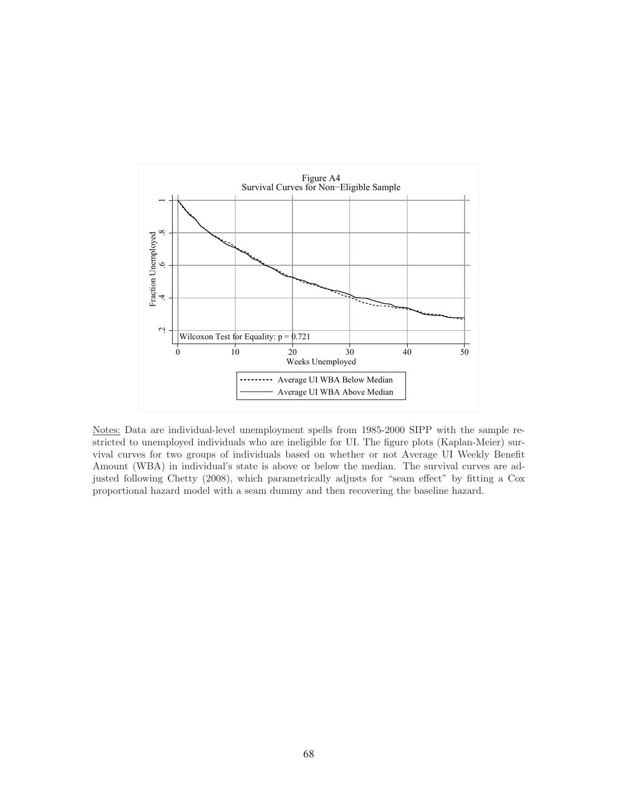![](_page_68_Figure_0.jpeg)

Notes: Data are individual-level unemployment spells from 1985-2000 SIPP with the sample restricted to unemployed individuals who are ineligible for UI. The figure plots (Kaplan-Meier) survival curves for two groups of individuals based on whether or not Average UI Weekly Benefit Amount (WBA) in individual's state is above or below the median. The survival curves are adjusted following Chetty (2008), which parametrically adjusts for "seam effect" by fitting a Cox proportional hazard model with a seam dummy and then recovering the baseline hazard.